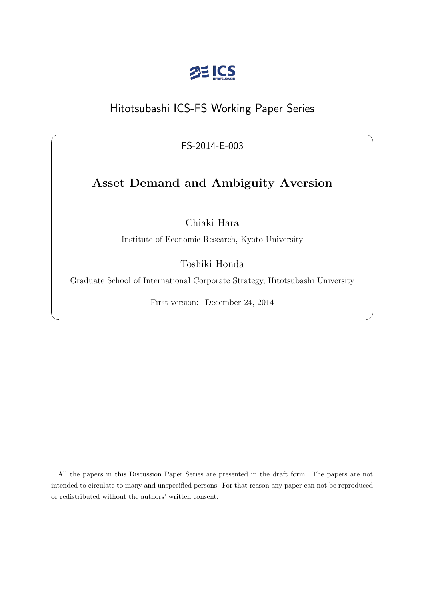

# Hitotsubashi ICS-FS Working Paper Series

FS-2014-E-003

 $\sqrt{2\pi}$ 

# **Asset Demand and Ambiguity Aversion**

Chiaki Hara

Institute of Economic Research, Kyoto University

Toshiki Honda

Graduate School of International Corporate Strategy, Hitotsubashi University

First version: December 24, 2014

✒ ✑

All the papers in this Discussion Paper Series are presented in the draft form. The papers are not intended to circulate to many and unspecified persons. For that reason any paper can not be reproduced or redistributed without the authors' written consent.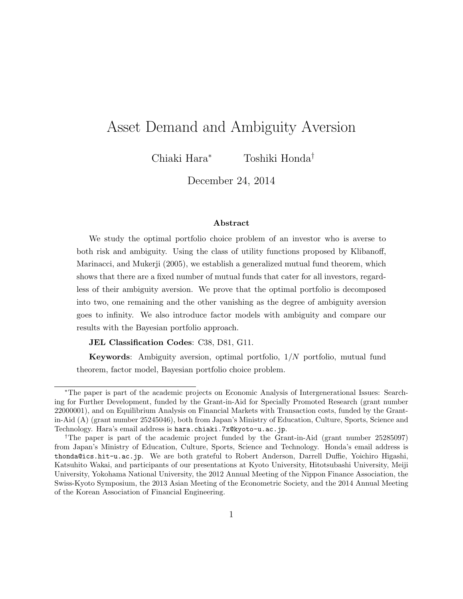# Asset Demand and Ambiguity Aversion

Chiaki Hara*<sup>∗</sup>* Toshiki Honda*†*

December 24, 2014

#### **Abstract**

We study the optimal portfolio choice problem of an investor who is averse to both risk and ambiguity. Using the class of utility functions proposed by Klibanoff, Marinacci, and Mukerji (2005), we establish a generalized mutual fund theorem, which shows that there are a fixed number of mutual funds that cater for all investors, regardless of their ambiguity aversion. We prove that the optimal portfolio is decomposed into two, one remaining and the other vanishing as the degree of ambiguity aversion goes to infinity. We also introduce factor models with ambiguity and compare our results with the Bayesian portfolio approach.

**JEL Classification Codes**: C38, D81, G11.

**Keywords**: Ambiguity aversion, optimal portfolio, 1*/N* portfolio, mutual fund theorem, factor model, Bayesian portfolio choice problem.

*<sup>∗</sup>*The paper is part of the academic projects on Economic Analysis of Intergenerational Issues: Searching for Further Development, funded by the Grant-in-Aid for Specially Promoted Research (grant number 22000001), and on Equilibrium Analysis on Financial Markets with Transaction costs, funded by the Grantin-Aid (A) (grant number 25245046), both from Japan's Ministry of Education, Culture, Sports, Science and Technology. Hara's email address is hara.chiaki.7x@kyoto-u.ac.jp.

<sup>&</sup>lt;sup>†</sup>The paper is part of the academic project funded by the Grant-in-Aid (grant number 25285097) from Japan's Ministry of Education, Culture, Sports, Science and Technology. Honda's email address is thonda@ics.hit-u.ac.jp. We are both grateful to Robert Anderson, Darrell Duffie, Yoichiro Higashi, Katsuhito Wakai, and participants of our presentations at Kyoto University, Hitotsubashi University, Meiji University, Yokohama National University, the 2012 Annual Meeting of the Nippon Finance Association, the Swiss-Kyoto Symposium, the 2013 Asian Meeting of the Econometric Society, and the 2014 Annual Meeting of the Korean Association of Financial Engineering.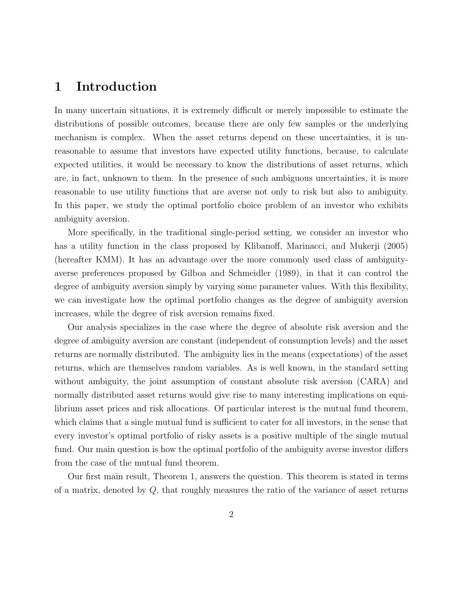## **1 Introduction**

In many uncertain situations, it is extremely difficult or merely impossible to estimate the distributions of possible outcomes, because there are only few samples or the underlying mechanism is complex. When the asset returns depend on these uncertainties, it is unreasonable to assume that investors have expected utility functions, because, to calculate expected utilities, it would be necessary to know the distributions of asset returns, which are, in fact, unknown to them. In the presence of such ambiguous uncertainties, it is more reasonable to use utility functions that are averse not only to risk but also to ambiguity. In this paper, we study the optimal portfolio choice problem of an investor who exhibits ambiguity aversion.

More specifically, in the traditional single-period setting, we consider an investor who has a utility function in the class proposed by Klibanoff, Marinacci, and Mukerji (2005) (hereafter KMM). It has an advantage over the more commonly used class of ambiguityaverse preferences proposed by Gilboa and Schmeidler (1989), in that it can control the degree of ambiguity aversion simply by varying some parameter values. With this flexibility, we can investigate how the optimal portfolio changes as the degree of ambiguity aversion increases, while the degree of risk aversion remains fixed.

Our analysis specializes in the case where the degree of absolute risk aversion and the degree of ambiguity aversion are constant (independent of consumption levels) and the asset returns are normally distributed. The ambiguity lies in the means (expectations) of the asset returns, which are themselves random variables. As is well known, in the standard setting without ambiguity, the joint assumption of constant absolute risk aversion (CARA) and normally distributed asset returns would give rise to many interesting implications on equilibrium asset prices and risk allocations. Of particular interest is the mutual fund theorem, which claims that a single mutual fund is sufficient to cater for all investors, in the sense that every investor's optimal portfolio of risky assets is a positive multiple of the single mutual fund. Our main question is how the optimal portfolio of the ambiguity averse investor differs from the case of the mutual fund theorem.

Our first main result, Theorem 1, answers the question. This theorem is stated in terms of a matrix, denoted by *Q*, that roughly measures the ratio of the variance of asset returns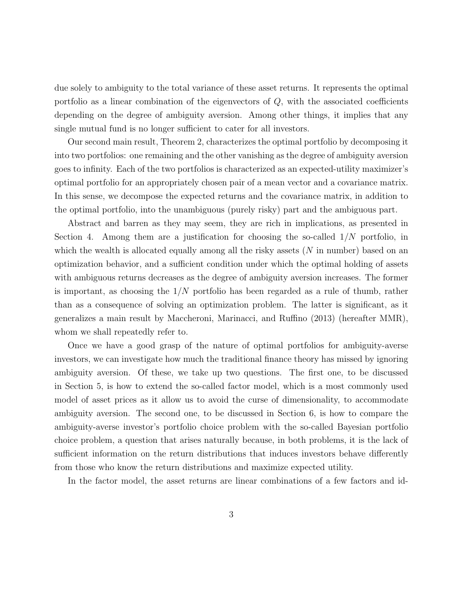due solely to ambiguity to the total variance of these asset returns. It represents the optimal portfolio as a linear combination of the eigenvectors of *Q*, with the associated coefficients depending on the degree of ambiguity aversion. Among other things, it implies that any single mutual fund is no longer sufficient to cater for all investors.

Our second main result, Theorem 2, characterizes the optimal portfolio by decomposing it into two portfolios: one remaining and the other vanishing as the degree of ambiguity aversion goes to infinity. Each of the two portfolios is characterized as an expected-utility maximizer's optimal portfolio for an appropriately chosen pair of a mean vector and a covariance matrix. In this sense, we decompose the expected returns and the covariance matrix, in addition to the optimal portfolio, into the unambiguous (purely risky) part and the ambiguous part.

Abstract and barren as they may seem, they are rich in implications, as presented in Section 4. Among them are a justification for choosing the so-called 1*/N* portfolio, in which the wealth is allocated equally among all the risky assets (*N* in number) based on an optimization behavior, and a sufficient condition under which the optimal holding of assets with ambiguous returns decreases as the degree of ambiguity aversion increases. The former is important, as choosing the 1*/N* portfolio has been regarded as a rule of thumb, rather than as a consequence of solving an optimization problem. The latter is significant, as it generalizes a main result by Maccheroni, Marinacci, and Ruffino (2013) (hereafter MMR), whom we shall repeatedly refer to.

Once we have a good grasp of the nature of optimal portfolios for ambiguity-averse investors, we can investigate how much the traditional finance theory has missed by ignoring ambiguity aversion. Of these, we take up two questions. The first one, to be discussed in Section 5, is how to extend the so-called factor model, which is a most commonly used model of asset prices as it allow us to avoid the curse of dimensionality, to accommodate ambiguity aversion. The second one, to be discussed in Section 6, is how to compare the ambiguity-averse investor's portfolio choice problem with the so-called Bayesian portfolio choice problem, a question that arises naturally because, in both problems, it is the lack of sufficient information on the return distributions that induces investors behave differently from those who know the return distributions and maximize expected utility.

In the factor model, the asset returns are linear combinations of a few factors and id-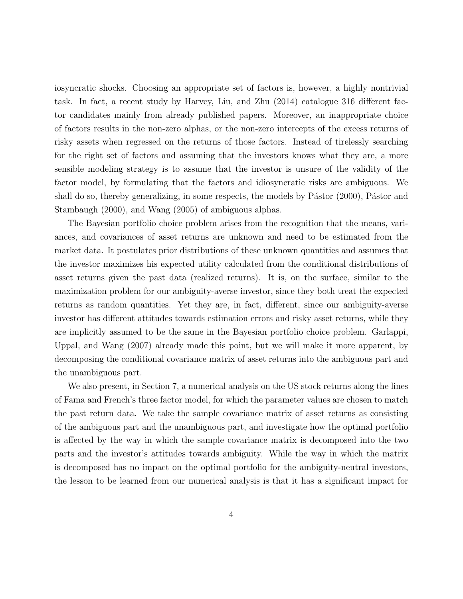iosyncratic shocks. Choosing an appropriate set of factors is, however, a highly nontrivial task. In fact, a recent study by Harvey, Liu, and Zhu (2014) catalogue 316 different factor candidates mainly from already published papers. Moreover, an inappropriate choice of factors results in the non-zero alphas, or the non-zero intercepts of the excess returns of risky assets when regressed on the returns of those factors. Instead of tirelessly searching for the right set of factors and assuming that the investors knows what they are, a more sensible modeling strategy is to assume that the investor is unsure of the validity of the factor model, by formulating that the factors and idiosyncratic risks are ambiguous. We shall do so, thereby generalizing, in some respects, the models by  $P$ ástor  $(2000)$ ,  $P$ ástor and Stambaugh (2000), and Wang (2005) of ambiguous alphas.

The Bayesian portfolio choice problem arises from the recognition that the means, variances, and covariances of asset returns are unknown and need to be estimated from the market data. It postulates prior distributions of these unknown quantities and assumes that the investor maximizes his expected utility calculated from the conditional distributions of asset returns given the past data (realized returns). It is, on the surface, similar to the maximization problem for our ambiguity-averse investor, since they both treat the expected returns as random quantities. Yet they are, in fact, different, since our ambiguity-averse investor has different attitudes towards estimation errors and risky asset returns, while they are implicitly assumed to be the same in the Bayesian portfolio choice problem. Garlappi, Uppal, and Wang (2007) already made this point, but we will make it more apparent, by decomposing the conditional covariance matrix of asset returns into the ambiguous part and the unambiguous part.

We also present, in Section 7, a numerical analysis on the US stock returns along the lines of Fama and French's three factor model, for which the parameter values are chosen to match the past return data. We take the sample covariance matrix of asset returns as consisting of the ambiguous part and the unambiguous part, and investigate how the optimal portfolio is affected by the way in which the sample covariance matrix is decomposed into the two parts and the investor's attitudes towards ambiguity. While the way in which the matrix is decomposed has no impact on the optimal portfolio for the ambiguity-neutral investors, the lesson to be learned from our numerical analysis is that it has a significant impact for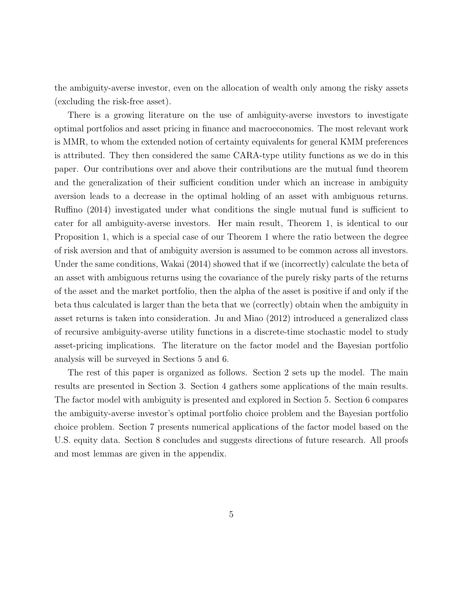the ambiguity-averse investor, even on the allocation of wealth only among the risky assets (excluding the risk-free asset).

There is a growing literature on the use of ambiguity-averse investors to investigate optimal portfolios and asset pricing in finance and macroeconomics. The most relevant work is MMR, to whom the extended notion of certainty equivalents for general KMM preferences is attributed. They then considered the same CARA-type utility functions as we do in this paper. Our contributions over and above their contributions are the mutual fund theorem and the generalization of their sufficient condition under which an increase in ambiguity aversion leads to a decrease in the optimal holding of an asset with ambiguous returns. Ruffino (2014) investigated under what conditions the single mutual fund is sufficient to cater for all ambiguity-averse investors. Her main result, Theorem 1, is identical to our Proposition 1, which is a special case of our Theorem 1 where the ratio between the degree of risk aversion and that of ambiguity aversion is assumed to be common across all investors. Under the same conditions, Wakai (2014) showed that if we (incorrectly) calculate the beta of an asset with ambiguous returns using the covariance of the purely risky parts of the returns of the asset and the market portfolio, then the alpha of the asset is positive if and only if the beta thus calculated is larger than the beta that we (correctly) obtain when the ambiguity in asset returns is taken into consideration. Ju and Miao (2012) introduced a generalized class of recursive ambiguity-averse utility functions in a discrete-time stochastic model to study asset-pricing implications. The literature on the factor model and the Bayesian portfolio analysis will be surveyed in Sections 5 and 6.

The rest of this paper is organized as follows. Section 2 sets up the model. The main results are presented in Section 3. Section 4 gathers some applications of the main results. The factor model with ambiguity is presented and explored in Section 5. Section 6 compares the ambiguity-averse investor's optimal portfolio choice problem and the Bayesian portfolio choice problem. Section 7 presents numerical applications of the factor model based on the U.S. equity data. Section 8 concludes and suggests directions of future research. All proofs and most lemmas are given in the appendix.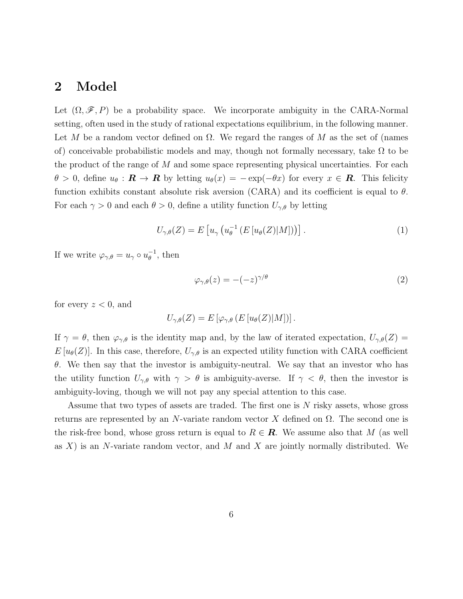## **2 Model**

Let  $(\Omega, \mathscr{F}, P)$  be a probability space. We incorporate ambiguity in the CARA-Normal setting, often used in the study of rational expectations equilibrium, in the following manner. Let *M* be a random vector defined on  $\Omega$ . We regard the ranges of *M* as the set of (names of) conceivable probabilistic models and may, though not formally necessary, take  $\Omega$  to be the product of the range of *M* and some space representing physical uncertainties. For each  $\theta > 0$ , define  $u_{\theta} : \mathbf{R} \to \mathbf{R}$  by letting  $u_{\theta}(x) = -\exp(-\theta x)$  for every  $x \in \mathbf{R}$ . This felicity function exhibits constant absolute risk aversion (CARA) and its coefficient is equal to *θ*. For each  $\gamma > 0$  and each  $\theta > 0$ , define a utility function  $U_{\gamma,\theta}$  by letting

$$
U_{\gamma,\theta}(Z) = E\left[u_{\gamma}\left(u_{\theta}^{-1}\left(E\left[u_{\theta}(Z)|M\right]\right)\right)\right].\tag{1}
$$

If we write  $\varphi_{\gamma,\theta} = u_{\gamma} \circ u_{\theta}^{-1}$ , then

$$
\varphi_{\gamma,\theta}(z) = -(-z)^{\gamma/\theta} \tag{2}
$$

for every  $z < 0$ , and

$$
U_{\gamma,\theta}(Z) = E\left[\varphi_{\gamma,\theta}\left(E\left[u_{\theta}(Z)|M\right]\right)\right].
$$

If  $\gamma = \theta$ , then  $\varphi_{\gamma,\theta}$  is the identity map and, by the law of iterated expectation,  $U_{\gamma,\theta}(Z) =$  $E[u_{\theta}(Z)]$ . In this case, therefore,  $U_{\gamma,\theta}$  is an expected utility function with CARA coefficient *θ*. We then say that the investor is ambiguity-neutral. We say that an investor who has the utility function  $U_{\gamma,\theta}$  with  $\gamma > \theta$  is ambiguity-averse. If  $\gamma < \theta$ , then the investor is ambiguity-loving, though we will not pay any special attention to this case.

Assume that two types of assets are traded. The first one is *N* risky assets, whose gross returns are represented by an *N*-variate random vector *X* defined on Ω. The second one is the risk-free bond, whose gross return is equal to  $R \in \mathbf{R}$ . We assume also that M (as well as *X*) is an *N*-variate random vector, and *M* and *X* are jointly normally distributed. We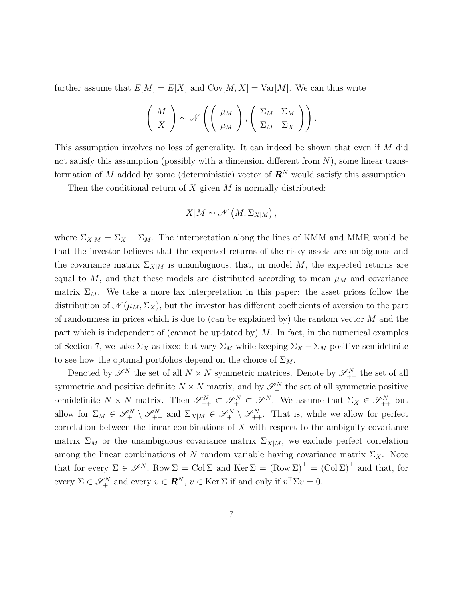further assume that  $E[M] = E[X]$  and  $Cov[M, X] = Var[M]$ . We can thus write

$$
\left(\begin{array}{c}M\\X\end{array}\right)\sim \mathscr{N}\left(\left(\begin{array}{c}\mu_M\\ \mu_M\end{array}\right),\left(\begin{array}{cc}\Sigma_M & \Sigma_M\\ \Sigma_M & \Sigma_X\end{array}\right)\right).
$$

This assumption involves no loss of generality. It can indeed be shown that even if *M* did not satisfy this assumption (possibly with a dimension different from *N*), some linear transformation of *M* added by some (deterministic) vector of  $\mathbb{R}^{N}$  would satisfy this assumption.

Then the conditional return of *X* given *M* is normally distributed:

$$
X|M \sim \mathcal{N}\left(M,\Sigma_{X|M}\right),\,
$$

where  $\Sigma_{X|M} = \Sigma_X - \Sigma_M$ . The interpretation along the lines of KMM and MMR would be that the investor believes that the expected returns of the risky assets are ambiguous and the covariance matrix  $\Sigma_{X|M}$  is unambiguous, that, in model M, the expected returns are equal to  $M$ , and that these models are distributed according to mean  $\mu_M$  and covariance matrix  $\Sigma_M$ . We take a more lax interpretation in this paper: the asset prices follow the distribution of  $\mathcal{N}(\mu_M, \Sigma_X)$ , but the investor has different coefficients of aversion to the part of randomness in prices which is due to (can be explained by) the random vector *M* and the part which is independent of (cannot be updated by) *M*. In fact, in the numerical examples of Section 7, we take  $\Sigma_X$  as fixed but vary  $\Sigma_M$  while keeping  $\Sigma_X - \Sigma_M$  positive semidefinite to see how the optimal portfolios depend on the choice of  $\Sigma_M$ .

Denoted by  $\mathscr{S}^N$  the set of all  $N \times N$  symmetric matrices. Denote by  $\mathscr{S}^N_{++}$  the set of all symmetric and positive definite  $N \times N$  matrix, and by  $\mathscr{S}_{+}^{N}$  the set of all symmetric positive semidefinite  $N \times N$  matrix. Then  $\mathscr{S}_{++}^N \subset \mathscr{S}_+^N \subset \mathscr{S}_-^N$ . We assume that  $\Sigma_X \in \mathscr{S}_{++}^N$  but allow for  $\Sigma_M \in \mathscr{S}_+^N \setminus \mathscr{S}_{++}^N$  and  $\Sigma_{X|M} \in \mathscr{S}_+^N \setminus \mathscr{S}_{++}^N$ . That is, while we allow for perfect correlation between the linear combinations of *X* with respect to the ambiguity covariance matrix  $\Sigma_M$  or the unambiguous covariance matrix  $\Sigma_{X|M}$ , we exclude perfect correlation among the linear combinations of *N* random variable having covariance matrix  $\Sigma_X$ . Note that for every  $\Sigma \in \mathscr{S}^N$ , Row  $\Sigma = \text{Col } \Sigma$  and Ker  $\Sigma = (\text{Row } \Sigma)^{\perp} = (\text{Col } \Sigma)^{\perp}$  and that, for every  $\Sigma \in \mathscr{S}_+^N$  and every  $v \in \mathbb{R}^N$ ,  $v \in \text{Ker } \Sigma$  if and only if  $v^\top \Sigma v = 0$ .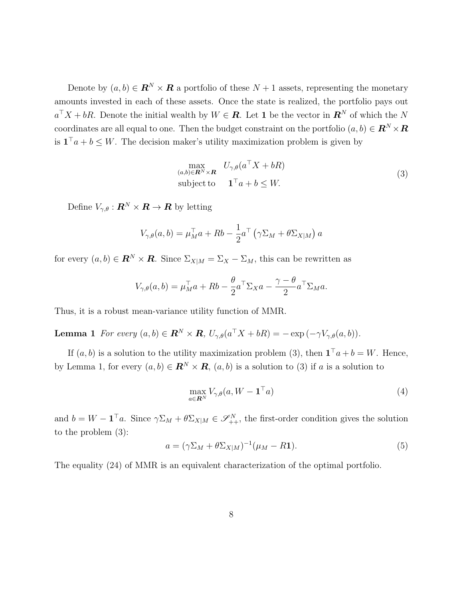Denote by  $(a, b) \in \mathbb{R}^N \times \mathbb{R}$  a portfolio of these  $N + 1$  assets, representing the monetary amounts invested in each of these assets. Once the state is realized, the portfolio pays out  $a^{\top}X + bR$ . Denote the initial wealth by  $W \in \mathbb{R}$ . Let 1 be the vector in  $\mathbb{R}^N$  of which the *N* coordinates are all equal to one. Then the budget constraint on the portfolio  $(a, b) \in \mathbb{R}^N \times \mathbb{R}$ is  $1<sup>⁻</sup>a + b ≤ W$ . The decision maker's utility maximization problem is given by

$$
\max_{(a,b)\in\mathbf{R}^N\times\mathbf{R}} U_{\gamma,\theta}(a^{\top}X+bR)
$$
  
subject to 
$$
\mathbf{1}^{\top}a+b\leq W.
$$
 (3)

Define  $V_{\gamma,\theta}: \mathbb{R}^N \times \mathbb{R} \to \mathbb{R}$  by letting

$$
V_{\gamma,\theta}(a,b) = \mu_M^{\top} a + Rb - \frac{1}{2} a^{\top} (\gamma \Sigma_M + \theta \Sigma_{X|M}) a
$$

for every  $(a, b) \in \mathbb{R}^N \times \mathbb{R}$ . Since  $\Sigma_{X|M} = \Sigma_X - \Sigma_M$ , this can be rewritten as

$$
V_{\gamma,\theta}(a,b) = \mu_M^{\top} a + Rb - \frac{\theta}{2} a^{\top} \Sigma_X a - \frac{\gamma - \theta}{2} a^{\top} \Sigma_M a.
$$

Thus, it is a robust mean-variance utility function of MMR.

**Lemma 1** *For every*  $(a, b) \in \mathbb{R}^N \times \mathbb{R}$ ,  $U_{\gamma, \theta}(a^{\top}X + bR) = -\exp(-\gamma V_{\gamma, \theta}(a, b)).$ 

If  $(a, b)$  is a solution to the utility maximization problem (3), then  $\mathbf{1}^{\top}a + b = W$ . Hence, by Lemma 1, for every  $(a, b) \in \mathbb{R}^N \times \mathbb{R}$ ,  $(a, b)$  is a solution to (3) if *a* is a solution to

$$
\max_{a \in \mathbf{R}^N} V_{\gamma,\theta}(a, W - \mathbf{1}^\top a) \tag{4}
$$

and  $b = W - \mathbf{1}^\top a$ . Since  $\gamma \Sigma_M + \theta \Sigma_{X|M} \in \mathcal{S}_{++}^N$ , the first-order condition gives the solution to the problem (3):

$$
a = (\gamma \Sigma_M + \theta \Sigma_{X|M})^{-1} (\mu_M - R\mathbf{1}). \tag{5}
$$

The equality (24) of MMR is an equivalent characterization of the optimal portfolio.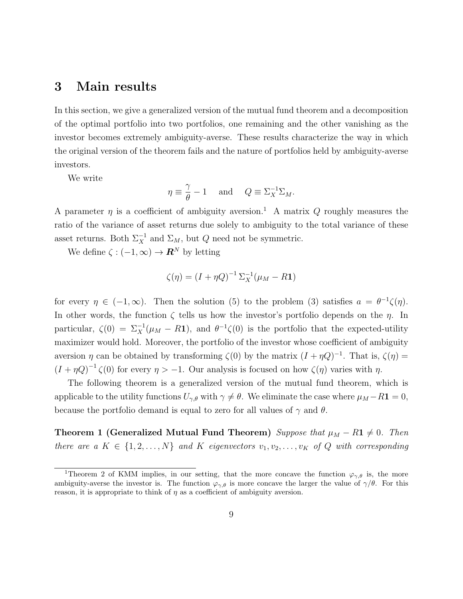## **3 Main results**

In this section, we give a generalized version of the mutual fund theorem and a decomposition of the optimal portfolio into two portfolios, one remaining and the other vanishing as the investor becomes extremely ambiguity-averse. These results characterize the way in which the original version of the theorem fails and the nature of portfolios held by ambiguity-averse investors.

We write

$$
\eta \equiv \frac{\gamma}{\theta} - 1 \quad \text{ and } \quad Q \equiv \Sigma_X^{-1} \Sigma_M.
$$

A parameter  $\eta$  is a coefficient of ambiguity aversion.<sup>1</sup> A matrix Q roughly measures the ratio of the variance of asset returns due solely to ambiguity to the total variance of these asset returns. Both  $\Sigma_X^{-1}$  and  $\Sigma_M$ , but *Q* need not be symmetric.

We define  $\zeta : (-1, \infty) \to \mathbb{R}^N$  by letting

$$
\zeta(\eta) = (I + \eta Q)^{-1} \Sigma_X^{-1} (\mu_M - R\mathbf{1})
$$

for every  $\eta \in (-1, \infty)$ . Then the solution (5) to the problem (3) satisfies  $a = \theta^{-1}\zeta(\eta)$ . In other words, the function *ζ* tells us how the investor's portfolio depends on the *η*. In particular,  $\zeta(0) = \sum_X^{-1} (\mu_M - R\mathbf{1})$ , and  $\theta^{-1}\zeta(0)$  is the portfolio that the expected-utility maximizer would hold. Moreover, the portfolio of the investor whose coefficient of ambiguity aversion *η* can be obtained by transforming  $\zeta(0)$  by the matrix  $(I + \eta Q)^{-1}$ . That is,  $\zeta(\eta) =$  $(I + \eta Q)^{-1} \zeta(0)$  for every  $\eta > -1$ . Our analysis is focused on how  $\zeta(\eta)$  varies with  $\eta$ .

The following theorem is a generalized version of the mutual fund theorem, which is applicable to the utility functions  $U_{\gamma,\theta}$  with  $\gamma \neq \theta$ . We eliminate the case where  $\mu_M - R\mathbf{1} = 0$ , because the portfolio demand is equal to zero for all values of  $\gamma$  and  $\theta$ .

**Theorem 1 (Generalized Mutual Fund Theorem)** *Suppose that*  $\mu_M - R$ **1**  $\neq$  0*. Then there are a*  $K \in \{1, 2, \ldots, N\}$  *and*  $K$  *eigenvectors*  $v_1, v_2, \ldots, v_K$  *of*  $Q$  *with corresponding* 

<sup>&</sup>lt;sup>1</sup>Theorem 2 of KMM implies, in our setting, that the more concave the function  $\varphi_{\gamma,\theta}$  is, the more ambiguity-averse the investor is. The function  $\varphi_{\gamma,\theta}$  is more concave the larger the value of  $\gamma/\theta$ . For this reason, it is appropriate to think of  $\eta$  as a coefficient of ambiguity aversion.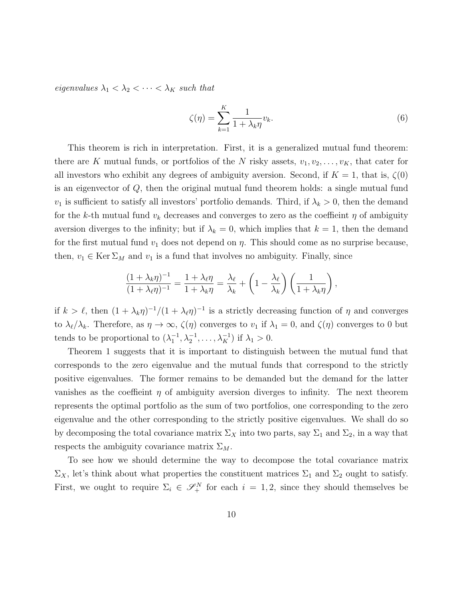*eigenvalues*  $\lambda_1 < \lambda_2 < \cdots < \lambda_K$  *such that* 

$$
\zeta(\eta) = \sum_{k=1}^{K} \frac{1}{1 + \lambda_k \eta} v_k.
$$
\n(6)

This theorem is rich in interpretation. First, it is a generalized mutual fund theorem: there are *K* mutual funds, or portfolios of the *N* risky assets,  $v_1, v_2, \ldots, v_K$ , that cater for all investors who exhibit any degrees of ambiguity aversion. Second, if  $K = 1$ , that is,  $\zeta(0)$ is an eigenvector of *Q*, then the original mutual fund theorem holds: a single mutual fund *v*<sub>1</sub> is sufficient to satisfy all investors' portfolio demands. Third, if  $\lambda_k > 0$ , then the demand for the *k*-th mutual fund  $v_k$  decreases and converges to zero as the coeffieint  $\eta$  of ambiguity aversion diverges to the infinity; but if  $\lambda_k = 0$ , which implies that  $k = 1$ , then the demand for the first mutual fund *v*<sup>1</sup> does not depend on *η*. This should come as no surprise because, then,  $v_1 \in \text{Ker } \Sigma_M$  and  $v_1$  is a fund that involves no ambiguity. Finally, since

$$
\frac{(1+\lambda_k\eta)^{-1}}{(1+\lambda_\ell\eta)^{-1}} = \frac{1+\lambda_\ell\eta}{1+\lambda_k\eta} = \frac{\lambda_\ell}{\lambda_k} + \left(1-\frac{\lambda_\ell}{\lambda_k}\right)\left(\frac{1}{1+\lambda_k\eta}\right),
$$

if  $k > \ell$ , then  $(1 + \lambda_k \eta)^{-1}/(1 + \lambda_\ell \eta)^{-1}$  is a strictly decreasing function of  $\eta$  and converges to  $\lambda_{\ell}/\lambda_{k}$ . Therefore, as  $\eta \to \infty$ ,  $\zeta(\eta)$  converges to  $v_1$  if  $\lambda_1 = 0$ , and  $\zeta(\eta)$  converges to 0 but tends to be proportional to  $(\lambda_1^{-1}, \lambda_2^{-1}, \dots, \lambda_K^{-1})$  if  $\lambda_1 > 0$ .

Theorem 1 suggests that it is important to distinguish between the mutual fund that corresponds to the zero eigenvalue and the mutual funds that correspond to the strictly positive eigenvalues. The former remains to be demanded but the demand for the latter vanishes as the coeffieint  $\eta$  of ambiguity aversion diverges to infinity. The next theorem represents the optimal portfolio as the sum of two portfolios, one corresponding to the zero eigenvalue and the other corresponding to the strictly positive eigenvalues. We shall do so by decomposing the total covariance matrix  $\Sigma_X$  into two parts, say  $\Sigma_1$  and  $\Sigma_2$ , in a way that respects the ambiguity covariance matrix Σ*M*.

To see how we should determine the way to decompose the total covariance matrix  $\Sigma_X$ , let's think about what properties the constituent matrices  $\Sigma_1$  and  $\Sigma_2$  ought to satisfy. First, we ought to require  $\Sigma_i \in \mathscr{S}_+^N$  for each  $i = 1, 2$ , since they should themselves be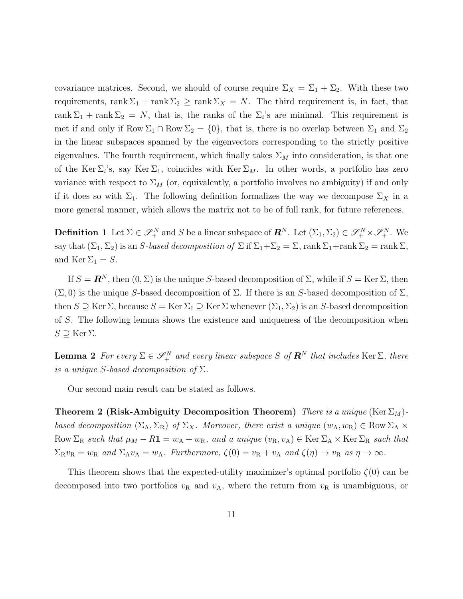covariance matrices. Second, we should of course require  $\Sigma_X = \Sigma_1 + \Sigma_2$ . With these two requirements, rank  $\Sigma_1$  + rank  $\Sigma_2$   $\geq$  rank  $\Sigma_X = N$ . The third requirement is, in fact, that rank  $\Sigma_1$  + rank  $\Sigma_2 = N$ , that is, the ranks of the  $\Sigma_i$ 's are minimal. This requirement is met if and only if  $Row \Sigma_1 \cap Row \Sigma_2 = \{0\}$ , that is, there is no overlap between  $\Sigma_1$  and  $\Sigma_2$ in the linear subspaces spanned by the eigenvectors corresponding to the strictly positive eigenvalues. The fourth requirement, which finally takes  $\Sigma_M$  into consideration, is that one of the Ker  $\Sigma_i$ 's, say Ker  $\Sigma_1$ , coincides with Ker  $\Sigma_M$ . In other words, a portfolio has zero variance with respect to  $\Sigma_M$  (or, equivalently, a portfolio involves no ambiguity) if and only if it does so with  $\Sigma_1$ . The following definition formalizes the way we decompose  $\Sigma_X$  in a more general manner, which allows the matrix not to be of full rank, for future references.

**Definition 1** Let  $\Sigma \in \mathscr{S}_+^N$  and *S* be a linear subspace of  $\mathbb{R}^N$ . Let  $(\Sigma_1, \Sigma_2) \in \mathscr{S}_+^N \times \mathscr{S}_+^N$ . We say that  $(\Sigma_1, \Sigma_2)$  is an *S-based decomposition of*  $\Sigma$  if  $\Sigma_1 + \Sigma_2 = \Sigma$ , rank  $\Sigma_1$ +rank  $\Sigma_2$  = rank  $\Sigma$ , and Ker  $\Sigma_1 = S$ .

If  $S = \mathbb{R}^N$ , then  $(0, \Sigma)$  is the unique *S*-based decomposition of  $\Sigma$ , while if  $S = \text{Ker } \Sigma$ , then  $(\Sigma, 0)$  is the unique *S*-based decomposition of  $\Sigma$ . If there is an *S*-based decomposition of  $\Sigma$ , then  $S \supseteq \text{Ker } \Sigma$ , because  $S = \text{Ker } \Sigma_1 \supseteq \text{Ker } \Sigma$  whenever  $(\Sigma_1, \Sigma_2)$  is an *S*-based decomposition of *S*. The following lemma shows the existence and uniqueness of the decomposition when *S ⊇* Ker Σ.

**Lemma 2** *For every*  $\Sigma \in \mathscr{S}_+^N$  *and every linear subspace S of*  $\mathbb{R}^N$  *that includes* Ker  $\Sigma$ *, there is a unique S*-based decomposition of  $\Sigma$ *.* 

Our second main result can be stated as follows.

**Theorem 2 (Risk-Ambiguity Decomposition Theorem)** *There is a unique* (Ker  $\Sigma_M$ )*based decomposition*  $(\Sigma_A, \Sigma_R)$  *of*  $\Sigma_X$ *. Moreover, there exist a unique*  $(w_A, w_R) \in Row \Sigma_A \times$  $Row \Sigma_R$  *such that*  $\mu_M - R\mathbf{1} = w_A + w_R$ *, and a unique*  $(v_R, v_A) \in \text{Ker } \Sigma_A \times \text{Ker } \Sigma_R$  *such that*  $\Sigma_R v_R = w_R$  and  $\Sigma_A v_A = w_A$ . Furthermore,  $\zeta(0) = v_R + v_A$  and  $\zeta(\eta) \to v_R$  as  $\eta \to \infty$ .

This theorem shows that the expected-utility maximizer's optimal portfolio *ζ*(0) can be decomposed into two portfolios  $v_R$  and  $v_A$ , where the return from  $v_R$  is unambiguous, or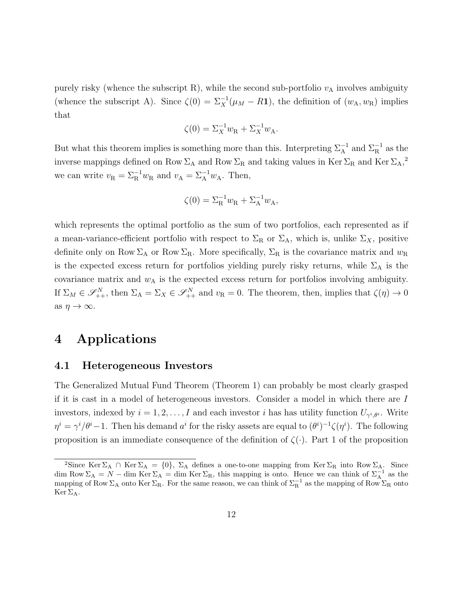purely risky (whence the subscript R), while the second sub-portfolio  $v_A$  involves ambiguity (whence the subscript A). Since  $\zeta(0) = \sum_{X}^{-1}(\mu_M - R\mathbf{1})$ , the definition of  $(w_A, w_B)$  implies that

$$
\zeta(0) = \Sigma_X^{-1} w_{\mathcal{R}} + \Sigma_X^{-1} w_{\mathcal{A}}.
$$

But what this theorem implies is something more than this. Interpreting  $\Sigma_A^{-1}$  and  $\Sigma_R^{-1}$  as the inverse mappings defined on Row  $\Sigma_A$  and Row  $\Sigma_R$  and taking values in Ker  $\Sigma_R$  and Ker  $\Sigma_A$ ,<sup>2</sup> we can write  $v_R = \Sigma_R^{-1} w_R$  and  $v_A = \Sigma_A^{-1} w_A$ . Then,

$$
\zeta(0) = \Sigma_R^{-1} w_R + \Sigma_A^{-1} w_A,
$$

which represents the optimal portfolio as the sum of two portfolios, each represented as if a mean-variance-efficient portfolio with respect to  $\Sigma_R$  or  $\Sigma_A$ , which is, unlike  $\Sigma_X$ , positive definite only on Row  $\Sigma_A$  or Row  $\Sigma_R$ . More specifically,  $\Sigma_R$  is the covariance matrix and  $w_R$ is the expected excess return for portfolios yielding purely risky returns, while  $\Sigma_A$  is the covariance matrix and  $w_A$  is the expected excess return for portfolios involving ambiguity. If  $\Sigma_M \in \mathscr{S}_{++}^N$ , then  $\Sigma_A = \Sigma_X \in \mathscr{S}_{++}^N$  and  $v_R = 0$ . The theorem, then, implies that  $\zeta(\eta) \to 0$ as  $\eta \to \infty$ .

## **4 Applications**

#### **4.1 Heterogeneous Investors**

The Generalized Mutual Fund Theorem (Theorem 1) can probably be most clearly grasped if it is cast in a model of heterogeneous investors. Consider a model in which there are *I* investors, indexed by  $i = 1, 2, ..., I$  and each investor *i* has has utility function  $U_{\gamma^i, \theta^i}$ . Write  $\eta^i = \gamma^i/\theta^i - 1$ . Then his demand  $a^i$  for the risky assets are equal to  $(\theta^i)^{-1}\zeta(\eta^i)$ . The following proposition is an immediate consequence of the definition of  $\zeta(\cdot)$ . Part 1 of the proposition

<sup>&</sup>lt;sup>2</sup>Since Ker  $\Sigma_A \cap$  Ker  $\Sigma_A = \{0\}$ ,  $\Sigma_A$  defines a one-to-one mapping from Ker  $\Sigma_R$  into Row  $\Sigma_A$ . Since dim Row  $\Sigma_A = N - \dim \text{Ker } \Sigma_A = \dim \text{Ker } \Sigma_R$ , this mapping is onto. Hence we can think of  $\Sigma_A^{-1}$  as the mapping of Row  $\Sigma_A$  onto Ker  $\Sigma_R$ . For the same reason, we can think of  $\Sigma_R^{-1}$  as the mapping of Row  $\Sigma_R$  onto  $\text{Ker } \Sigma_A$ .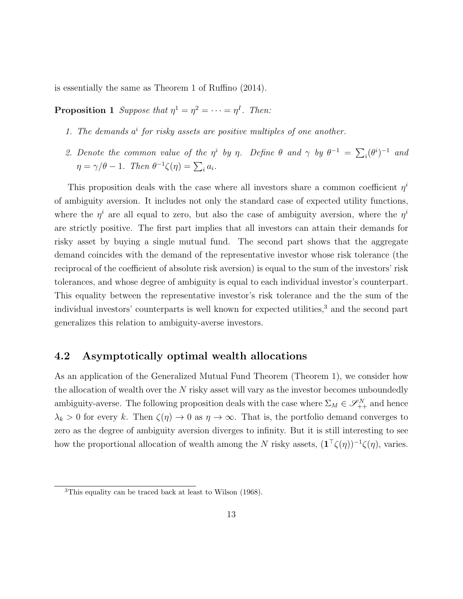is essentially the same as Theorem 1 of Ruffino (2014).

**Proposition 1** *Suppose that*  $\eta^1 = \eta^2 = \cdots = \eta^I$ . *Then:* 

- *1. The demands a i for risky assets are positive multiples of one another.*
- 2. Denote the common value of the  $\eta^i$  by  $\eta$ . Define  $\theta$  and  $\gamma$  by  $\theta^{-1} = \sum_i (\theta^i)^{-1}$  and  $\eta = \gamma/\theta - 1$ *. Then*  $\theta^{-1}\zeta(\eta) = \sum_i a_i$ *.*

This proposition deals with the case where all investors share a common coefficient  $\eta^i$ of ambiguity aversion. It includes not only the standard case of expected utility functions, where the  $\eta^i$  are all equal to zero, but also the case of ambiguity aversion, where the  $\eta^i$ are strictly positive. The first part implies that all investors can attain their demands for risky asset by buying a single mutual fund. The second part shows that the aggregate demand coincides with the demand of the representative investor whose risk tolerance (the reciprocal of the coefficient of absolute risk aversion) is equal to the sum of the investors' risk tolerances, and whose degree of ambiguity is equal to each individual investor's counterpart. This equality between the representative investor's risk tolerance and the the sum of the individual investors' counterparts is well known for expected utilities,<sup>3</sup> and the second part generalizes this relation to ambiguity-averse investors.

#### **4.2 Asymptotically optimal wealth allocations**

As an application of the Generalized Mutual Fund Theorem (Theorem 1), we consider how the allocation of wealth over the *N* risky asset will vary as the investor becomes unboundedly ambiguity-averse. The following proposition deals with the case where  $\Sigma_M \in \mathscr{S}_{++}^N$  and hence  $\lambda_k$  > 0 for every *k*. Then  $\zeta(\eta) \to 0$  as  $\eta \to \infty$ . That is, the portfolio demand converges to zero as the degree of ambiguity aversion diverges to infinity. But it is still interesting to see how the proportional allocation of wealth among the *N* risky assets,  $(\mathbf{1}^\top \zeta(\eta))^{-1} \zeta(\eta)$ , varies.

<sup>3</sup>This equality can be traced back at least to Wilson (1968).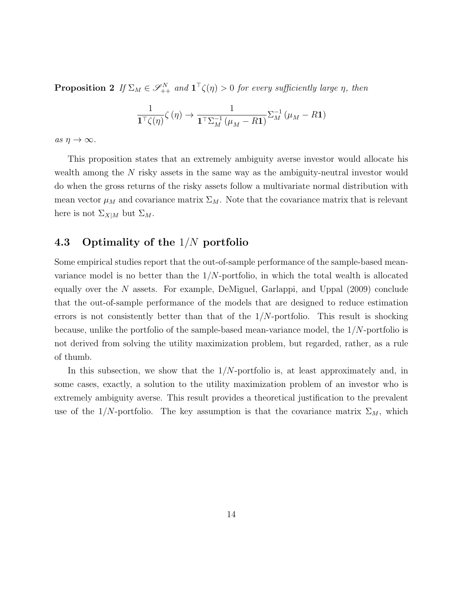**Proposition 2** *If*  $\Sigma_M \in \mathscr{S}_{++}^N$  and  $\mathbf{1}^\top \zeta(\eta) > 0$  for every sufficiently large  $\eta$ *, then* 

$$
\frac{1}{\mathbf{1}^{\top} \zeta(\eta)} \zeta(\eta) \to \frac{1}{\mathbf{1}^{\top} \Sigma_M^{-1} (\mu_M - R\mathbf{1})} \Sigma_M^{-1} (\mu_M - R\mathbf{1})
$$

 $as \eta \rightarrow \infty$ .

This proposition states that an extremely ambiguity averse investor would allocate his wealth among the *N* risky assets in the same way as the ambiguity-neutral investor would do when the gross returns of the risky assets follow a multivariate normal distribution with mean vector  $\mu_M$  and covariance matrix  $\Sigma_M$ . Note that the covariance matrix that is relevant here is not  $\Sigma_{X|M}$  but  $\Sigma_M$ .

#### **4.3 Optimality of the** 1*/N* **portfolio**

Some empirical studies report that the out-of-sample performance of the sample-based meanvariance model is no better than the 1*/N*-portfolio, in which the total wealth is allocated equally over the *N* assets. For example, DeMiguel, Garlappi, and Uppal (2009) conclude that the out-of-sample performance of the models that are designed to reduce estimation errors is not consistently better than that of the 1*/N*-portfolio. This result is shocking because, unlike the portfolio of the sample-based mean-variance model, the 1*/N*-portfolio is not derived from solving the utility maximization problem, but regarded, rather, as a rule of thumb.

In this subsection, we show that the 1*/N*-portfolio is, at least approximately and, in some cases, exactly, a solution to the utility maximization problem of an investor who is extremely ambiguity averse. This result provides a theoretical justification to the prevalent use of the 1/N-portfolio. The key assumption is that the covariance matrix  $\Sigma_M$ , which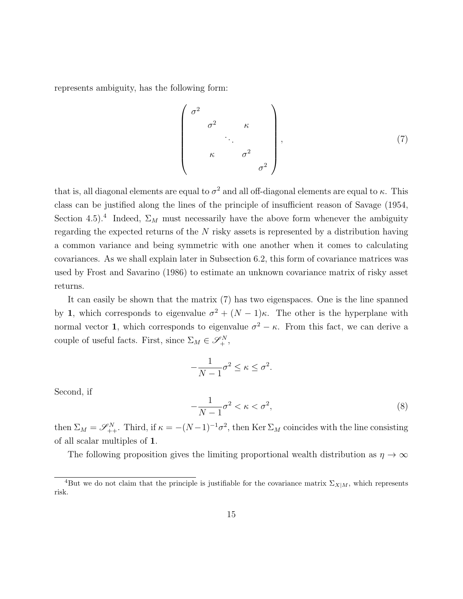represents ambiguity, has the following form:

$$
\begin{pmatrix}\n\sigma^2 & & & & \\
\sigma^2 & & \kappa & & \\
& \ddots & & & \\
& & \kappa & & \sigma^2 & \\
& & & & \sigma^2 & \\
& & & & & \n\end{pmatrix}, \tag{7}
$$

that is, all diagonal elements are equal to  $\sigma^2$  and all off-diagonal elements are equal to  $\kappa$ . This class can be justified along the lines of the principle of insufficient reason of Savage (1954, Section 4.5).<sup>4</sup> Indeed,  $\Sigma_M$  must necessarily have the above form whenever the ambiguity regarding the expected returns of the *N* risky assets is represented by a distribution having a common variance and being symmetric with one another when it comes to calculating covariances. As we shall explain later in Subsection 6.2, this form of covariance matrices was used by Frost and Savarino (1986) to estimate an unknown covariance matrix of risky asset returns.

It can easily be shown that the matrix (7) has two eigenspaces. One is the line spanned by **1**, which corresponds to eigenvalue  $\sigma^2 + (N-1)\kappa$ . The other is the hyperplane with normal vector **1**, which corresponds to eigenvalue  $\sigma^2 - \kappa$ . From this fact, we can derive a couple of useful facts. First, since  $\Sigma_M \in \mathcal{S}_{+}^N$ ,

$$
-\frac{1}{N-1}\sigma^2 \le \kappa \le \sigma^2.
$$

Second, if

$$
-\frac{1}{N-1}\sigma^2 < \kappa < \sigma^2,\tag{8}
$$

then  $\Sigma_M = \mathscr{S}_{++}^N$ . Third, if  $\kappa = -(N-1)^{-1}\sigma^2$ , then Ker  $\Sigma_M$  coincides with the line consisting of all scalar multiples of **1**.

The following proposition gives the limiting proportional wealth distribution as  $\eta \to \infty$ 

<sup>&</sup>lt;sup>4</sup>But we do not claim that the principle is justifiable for the covariance matrix  $\Sigma_{X|M}$ , which represents risk.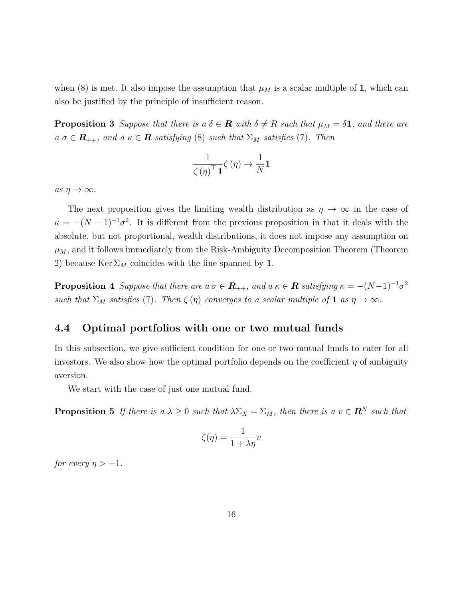when (8) is met. It also impose the assumption that  $\mu_M$  is a scalar multiple of 1, which can also be justified by the principle of insufficient reason.

**Proposition 3** *Suppose that there is a*  $\delta \in \mathbf{R}$  *with*  $\delta \neq R$  *such that*  $\mu_M = \delta \mathbf{1}$ *, and there are*  $a \sigma \in \mathbf{R}_{++}$ , and  $a \kappa \in \mathbf{R}$  *satisfying* (8) *such that*  $\Sigma_M$  *satisfies* (7)*. Then* 

$$
\frac{1}{\zeta(\eta)^{\top} \mathbf{1}} \zeta(\eta) \to \frac{1}{N} \mathbf{1}
$$

 $as \eta \rightarrow \infty$ .

The next proposition gives the limiting wealth distribution as  $\eta \to \infty$  in the case of  $\kappa = -(N-1)^{-1}\sigma^2$ . It is different from the previous proposition in that it deals with the absolute, but not proportional, wealth distributions, it does not impose any assumption on  $\mu_M$ , and it follows immediately from the Risk-Ambiguity Decomposition Theorem (Theorem 2) because  $\text{Ker } \Sigma_M$  coincides with the line spanned by **1**.

**Proposition 4** Suppose that there are  $a \sigma \in \mathbb{R}_{++}$ , and  $a \kappa \in \mathbb{R}$  satisfying  $\kappa = -(N-1)^{-1} \sigma^2$ *such that*  $\Sigma_M$  *satisfies* (7)*. Then*  $\zeta(\eta)$  *converges to a scalar multiple of* **1** *as*  $\eta \to \infty$ *.* 

#### **4.4 Optimal portfolios with one or two mutual funds**

In this subsection, we give sufficient condition for one or two mutual funds to cater for all investors. We also show how the optimal portfolio depends on the coefficient  $\eta$  of ambiguity aversion.

We start with the case of just one mutual fund.

**Proposition 5** *If there is a*  $\lambda \geq 0$  *such that*  $\lambda \Sigma_X = \Sigma_M$ *, then there is a*  $v \in \mathbb{R}^N$  *such that* 

$$
\zeta(\eta)=\frac{1}{1+\lambda\eta}v
$$

*for every*  $\eta > -1$ *.*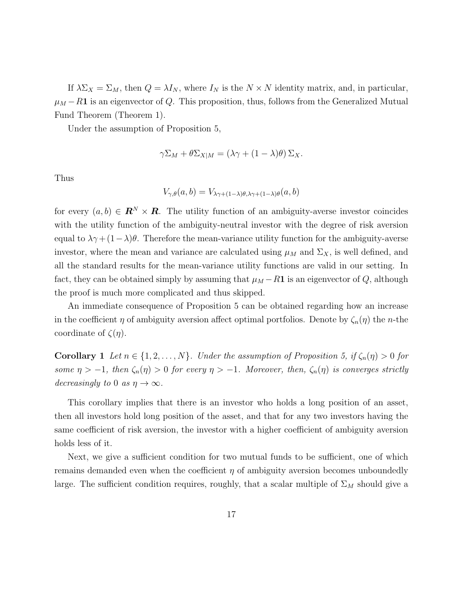If  $\lambda \Sigma_X = \Sigma_M$ , then  $Q = \lambda I_N$ , where  $I_N$  is the  $N \times N$  identity matrix, and, in particular,  $\mu_M - R$ **1** is an eigenvector of *Q*. This proposition, thus, follows from the Generalized Mutual Fund Theorem (Theorem 1).

Under the assumption of Proposition 5,

$$
\gamma \Sigma_M + \theta \Sigma_{X|M} = (\lambda \gamma + (1 - \lambda)\theta) \Sigma_X.
$$

Thus

$$
V_{\gamma,\theta}(a,b) = V_{\lambda\gamma+(1-\lambda)\theta,\lambda\gamma+(1-\lambda)\theta}(a,b)
$$

for every  $(a, b) \in \mathbf{R}^N \times \mathbf{R}$ . The utility function of an ambiguity-averse investor coincides with the utility function of the ambiguity-neutral investor with the degree of risk aversion equal to  $\lambda \gamma + (1 - \lambda)\theta$ . Therefore the mean-variance utility function for the ambiguity-averse investor, where the mean and variance are calculated using  $\mu_M$  and  $\Sigma_X$ , is well defined, and all the standard results for the mean-variance utility functions are valid in our setting. In fact, they can be obtained simply by assuming that  $\mu_M - R$ **1** is an eigenvector of *Q*, although the proof is much more complicated and thus skipped.

An immediate consequence of Proposition 5 can be obtained regarding how an increase in the coefficient *η* of ambiguity aversion affect optimal portfolios. Denote by  $\zeta_n(\eta)$  the *n*-the coordinate of *ζ*(*η*).

**Corollary 1** *Let*  $n \in \{1, 2, \ldots, N\}$ *. Under the assumption of Proposition 5, if*  $\zeta_n(\eta) > 0$  *for some*  $\eta$  > −1*, then*  $\zeta_n(\eta)$  > 0 *for every*  $\eta$  > −1*. Moreover, then,*  $\zeta_n(\eta)$  *is converges strictly decreasingly to* 0 *as*  $\eta \to \infty$ .

This corollary implies that there is an investor who holds a long position of an asset, then all investors hold long position of the asset, and that for any two investors having the same coefficient of risk aversion, the investor with a higher coefficient of ambiguity aversion holds less of it.

Next, we give a sufficient condition for two mutual funds to be sufficient, one of which remains demanded even when the coefficient *η* of ambiguity aversion becomes unboundedly large. The sufficient condition requires, roughly, that a scalar multiple of  $\Sigma_M$  should give a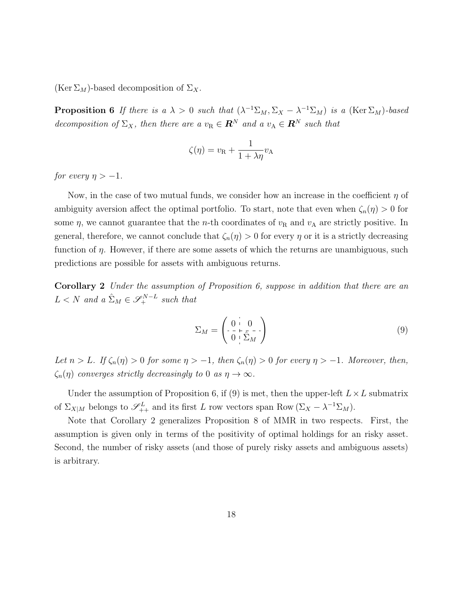(Ker  $\Sigma_M$ )-based decomposition of  $\Sigma_X$ .

**Proposition 6** *If there is a*  $\lambda > 0$  *such that*  $(\lambda^{-1}\Sigma_M, \Sigma_X - \lambda^{-1}\Sigma_M)$  *is a* (Ker $\Sigma_M$ )*-based decomposition of*  $\Sigma_X$ *, then there are a*  $v_R \in \mathbb{R}^N$  *and a*  $v_A \in \mathbb{R}^N$  *such that* 

$$
\zeta(\eta) = v_{\rm R} + \frac{1}{1 + \lambda \eta} v_{\rm A}
$$

*for every*  $\eta > -1$ *.* 

Now, in the case of two mutual funds, we consider how an increase in the coefficient *η* of ambiguity aversion affect the optimal portfolio. To start, note that even when  $\zeta_n(\eta) > 0$  for some  $\eta$ , we cannot guarantee that the *n*-th coordinates of  $v_R$  and  $v_A$  are strictly positive. In general, therefore, we cannot conclude that  $\zeta_n(\eta) > 0$  for every  $\eta$  or it is a strictly decreasing function of *η*. However, if there are some assets of which the returns are unambiguous, such predictions are possible for assets with ambiguous returns.

**Corollary 2** *Under the assumption of Proposition 6, suppose in addition that there are an*  $L < N$  *and a*  $\hat{\Sigma}_M \in \mathscr{S}_+^{N-L}$  *such that* 

$$
\Sigma_M = \begin{pmatrix} 0 & 0 \\ 0 & \overline{\Sigma}_M \end{pmatrix} \tag{9}
$$

*Let*  $n > L$ *. If*  $\zeta_n(\eta) > 0$  *for some*  $\eta > -1$ *, then*  $\zeta_n(\eta) > 0$  *for every*  $\eta > -1$ *. Moreover, then,*  $\zeta_n(\eta)$  *converges strictly decreasingly to* 0 *as*  $\eta \to \infty$ *.* 

Under the assumption of Proposition 6, if (9) is met, then the upper-left  $L \times L$  submatrix of  $\Sigma_{X|M}$  belongs to  $\mathscr{S}_{++}^L$  and its first *L* row vectors span Row  $(\Sigma_X - \lambda^{-1} \Sigma_M)$ .

Note that Corollary 2 generalizes Proposition 8 of MMR in two respects. First, the assumption is given only in terms of the positivity of optimal holdings for an risky asset. Second, the number of risky assets (and those of purely risky assets and ambiguous assets) is arbitrary.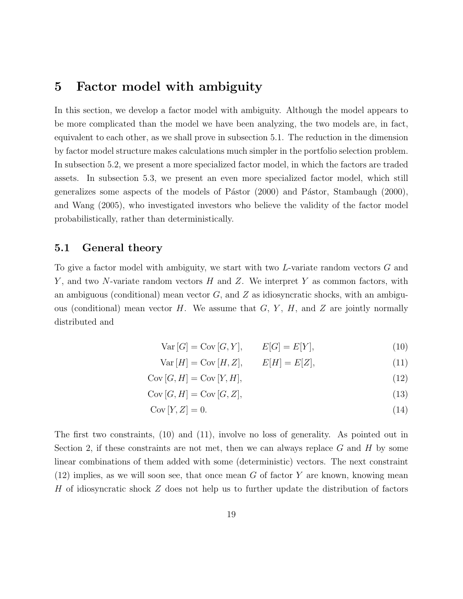## **5 Factor model with ambiguity**

In this section, we develop a factor model with ambiguity. Although the model appears to be more complicated than the model we have been analyzing, the two models are, in fact, equivalent to each other, as we shall prove in subsection 5.1. The reduction in the dimension by factor model structure makes calculations much simpler in the portfolio selection problem. In subsection 5.2, we present a more specialized factor model, in which the factors are traded assets. In subsection 5.3, we present an even more specialized factor model, which still generalizes some aspects of the models of Pástor  $(2000)$  and Pástor, Stambaugh  $(2000)$ , and Wang (2005), who investigated investors who believe the validity of the factor model probabilistically, rather than deterministically.

#### **5.1 General theory**

To give a factor model with ambiguity, we start with two *L*-variate random vectors *G* and *Y* , and two *N*-variate random vectors *H* and *Z*. We interpret *Y* as common factors, with an ambiguous (conditional) mean vector *G*, and *Z* as idiosyncratic shocks, with an ambiguous (conditional) mean vector *H*. We assume that *G*, *Y* , *H*, and *Z* are jointly normally distributed and

$$
Var[G] = Cov[G, Y], \qquad E[G] = E[Y], \tag{10}
$$

$$
Var[H] = Cov[H, Z], \qquad E[H] = E[Z], \tag{11}
$$

- $Cov [G, H] = Cov [Y, H],$  (12)
- $Cov[G, H] = Cov[G, Z],$  (13)

$$
Cov[Y, Z] = 0.
$$
\n<sup>(14)</sup>

The first two constraints, (10) and (11), involve no loss of generality. As pointed out in Section 2, if these constraints are not met, then we can always replace *G* and *H* by some linear combinations of them added with some (deterministic) vectors. The next constraint (12) implies, as we will soon see, that once mean *G* of factor *Y* are known, knowing mean *H* of idiosyncratic shock *Z* does not help us to further update the distribution of factors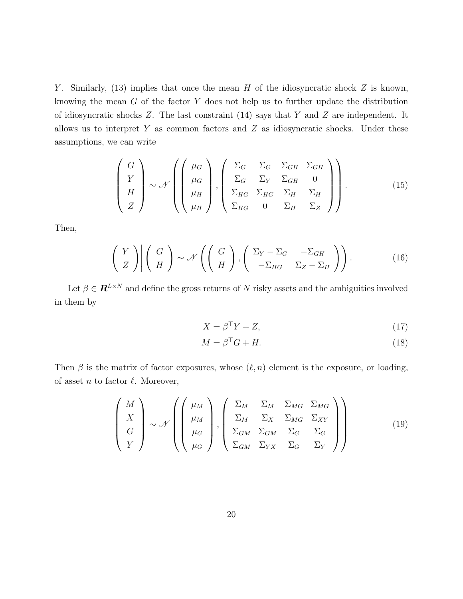*Y* . Similarly, (13) implies that once the mean *H* of the idiosyncratic shock *Z* is known, knowing the mean *G* of the factor *Y* does not help us to further update the distribution of idiosyncratic shocks *Z*. The last constraint (14) says that *Y* and *Z* are independent. It allows us to interpret *Y* as common factors and *Z* as idiosyncratic shocks. Under these assumptions, we can write

$$
\begin{pmatrix}\nG \\
Y \\
H \\
Z\n\end{pmatrix}\n\sim\mathcal{N}\left(\begin{pmatrix}\n\mu_G \\
\mu_G \\
\mu_H \\
\mu_H\n\end{pmatrix}, \begin{pmatrix}\n\Sigma_G & \Sigma_G & \Sigma_{GH} & \Sigma_{GH} \\
\Sigma_G & \Sigma_Y & \Sigma_{GH} & 0 \\
\Sigma_{HG} & \Sigma_{HG} & \Sigma_H & \Sigma_H \\
\Sigma_{HG} & 0 & \Sigma_H & \Sigma_Z\n\end{pmatrix}\right).
$$
\n(15)

Then,

$$
\left(\begin{array}{c} Y \\ Z \end{array}\right) \middle| \left(\begin{array}{c} G \\ H \end{array}\right) \sim \mathcal{N}\left(\left(\begin{array}{c} G \\ H \end{array}\right), \left(\begin{array}{cc} \Sigma_Y - \Sigma_G & -\Sigma_{GH} \\ -\Sigma_{HG} & \Sigma_Z - \Sigma_H \end{array}\right)\right). \tag{16}
$$

Let  $\beta \in \mathbf{R}^{L \times N}$  and define the gross returns of *N* risky assets and the ambiguities involved in them by

$$
X = \beta^{\top} Y + Z,\tag{17}
$$

$$
M = \beta^{\top} G + H. \tag{18}
$$

Then  $\beta$  is the matrix of factor exposures, whose  $(\ell, n)$  element is the exposure, or loading, of asset *n* to factor *ℓ*. Moreover,

$$
\begin{pmatrix}\nM \\
X \\
G \\
Y\n\end{pmatrix}\n\sim \mathcal{N}\left(\begin{pmatrix}\n\mu_M \\
\mu_M \\
\mu_G \\
\mu_G\n\end{pmatrix}, \begin{pmatrix}\n\Sigma_M & \Sigma_M & \Sigma_{MG} & \Sigma_{MG} \\
\Sigma_M & \Sigma_X & \Sigma_{MG} & \Sigma_{XY} \\
\Sigma_{GM} & \Sigma_{GM} & \Sigma_G & \Sigma_G \\
\Sigma_{GM} & \Sigma_{YX} & \Sigma_G & \Sigma_Y\n\end{pmatrix}\right)
$$
\n(19)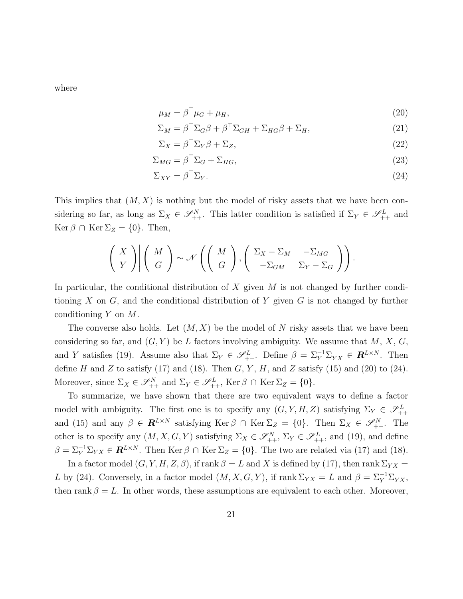where

$$
\mu_M = \beta^{\perp} \mu_G + \mu_H,\tag{20}
$$

$$
\Sigma_M = \beta^\top \Sigma_G \beta + \beta^\top \Sigma_{GH} + \Sigma_{HG} \beta + \Sigma_H,\tag{21}
$$

$$
\Sigma_X = \beta^\top \Sigma_Y \beta + \Sigma_Z,\tag{22}
$$

$$
\Sigma_{MG} = \beta^{\top} \Sigma_G + \Sigma_{HG},\tag{23}
$$

$$
\Sigma_{XY} = \beta^{\top} \Sigma_Y. \tag{24}
$$

This implies that (*M, X*) is nothing but the model of risky assets that we have been considering so far, as long as  $\Sigma_X \in \mathscr{S}^N_{++}$ . This latter condition is satisfied if  $\Sigma_Y \in \mathscr{S}^L_{++}$  and  $\text{Ker } \beta \cap \text{Ker } \Sigma_Z = \{0\}.$  Then,

$$
\left(\begin{array}{c} X \\ Y \end{array}\right) \left|\begin{array}{c} M \\ G \end{array}\right| \sim \mathcal{N}\left(\left(\begin{array}{c} M \\ G \end{array}\right), \left(\begin{array}{cc} \Sigma_X - \Sigma_M & -\Sigma_{MG} \\ -\Sigma_{GM} & \Sigma_Y - \Sigma_G \end{array}\right)\right).
$$

In particular, the conditional distribution of *X* given *M* is not changed by further conditioning *X* on *G*, and the conditional distribution of *Y* given *G* is not changed by further conditioning *Y* on *M*.

The converse also holds. Let (*M, X*) be the model of *N* risky assets that we have been considering so far, and  $(G, Y)$  be *L* factors involving ambiguity. We assume that *M*, *X*, *G*, and *Y* satisfies (19). Assume also that  $\Sigma_Y \in \mathscr{S}_{++}^L$ . Define  $\beta = \Sigma_Y^{-1} \Sigma_{YX} \in \mathbb{R}^{L \times N}$ . Then define  $H$  and  $Z$  to satisfy (17) and (18). Then  $G, Y, H$ , and  $Z$  satisfy (15) and (20) to (24). Moreover, since  $\Sigma_X \in \mathscr{S}_{++}^N$  and  $\Sigma_Y \in \mathscr{S}_{++}^L$ , Ker  $\beta \cap \text{Ker } \Sigma_Z = \{0\}.$ 

To summarize, we have shown that there are two equivalent ways to define a factor model with ambiguity. The first one is to specify any  $(G, Y, H, Z)$  satisfying  $\Sigma_Y \in \mathscr{S}^L_{++}$ and (15) and any  $\beta \in \mathbf{R}^{L \times N}$  satisfying Ker  $\beta \cap \text{Ker } \Sigma_Z = \{0\}$ . Then  $\Sigma_X \in \mathscr{S}^N_{++}$ . The other is to specify any  $(M, X, G, Y)$  satisfying  $\Sigma_X \in \mathscr{S}^N_{++}$ ,  $\Sigma_Y \in \mathscr{S}^L_{++}$ , and (19), and define  $\beta = \sum_{Y}^{-1} \sum_{YX} \in \mathbb{R}^{L \times N}$ . Then Ker  $\beta \cap \text{Ker } \Sigma_Z = \{0\}$ . The two are related via (17) and (18).

In a factor model  $(G, Y, H, Z, \beta)$ , if rank  $\beta = L$  and X is defined by (17), then rank  $\Sigma_{YX} =$ *L* by (24). Conversely, in a factor model  $(M, X, G, Y)$ , if rank  $\Sigma_{YX} = L$  and  $\beta = \Sigma_Y^{-1} \Sigma_{YX}$ , then rank  $\beta = L$ . In other words, these assumptions are equivalent to each other. Moreover,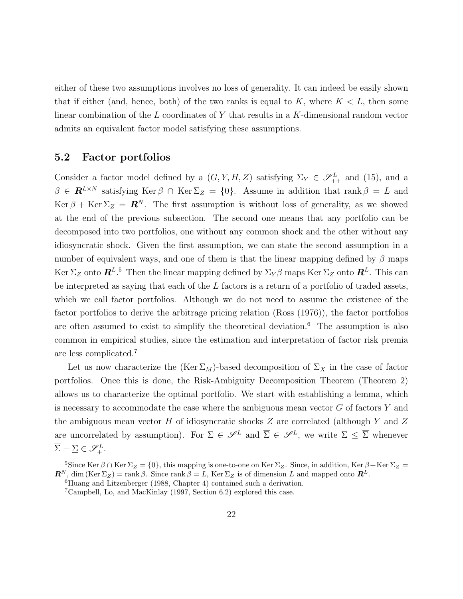either of these two assumptions involves no loss of generality. It can indeed be easily shown that if either (and, hence, both) of the two ranks is equal to  $K$ , where  $K < L$ , then some linear combination of the *L* coordinates of *Y* that results in a *K*-dimensional random vector admits an equivalent factor model satisfying these assumptions.

#### **5.2 Factor portfolios**

Consider a factor model defined by a  $(G, Y, H, Z)$  satisfying  $\Sigma_Y \in \mathscr{S}_{++}^L$  and (15), and a  $\beta \in \mathbf{R}^{L \times N}$  satisfying Ker  $\beta \cap \text{Ker } \Sigma_Z = \{0\}$ . Assume in addition that rank  $\beta = L$  and Ker  $\beta$  + Ker  $\Sigma_Z = \mathbb{R}^N$ . The first assumption is without loss of generality, as we showed at the end of the previous subsection. The second one means that any portfolio can be decomposed into two portfolios, one without any common shock and the other without any idiosyncratic shock. Given the first assumption, we can state the second assumption in a number of equivalent ways, and one of them is that the linear mapping defined by  $\beta$  maps  $\ker \Sigma_Z$  onto  $\mathbb{R}^{L.5}$  Then the linear mapping defined by  $\Sigma_Y \beta$  maps  $\ker \Sigma_Z$  onto  $\mathbb{R}^L$ . This can be interpreted as saying that each of the *L* factors is a return of a portfolio of traded assets, which we call factor portfolios. Although we do not need to assume the existence of the factor portfolios to derive the arbitrage pricing relation (Ross (1976)), the factor portfolios are often assumed to exist to simplify the theoretical deviation.<sup>6</sup> The assumption is also common in empirical studies, since the estimation and interpretation of factor risk premia are less complicated.<sup>7</sup>

Let us now characterize the  $(Ker \Sigma_M)$ -based decomposition of  $\Sigma_X$  in the case of factor portfolios. Once this is done, the Risk-Ambiguity Decomposition Theorem (Theorem 2) allows us to characterize the optimal portfolio. We start with establishing a lemma, which is necessary to accommodate the case where the ambiguous mean vector *G* of factors *Y* and the ambiguous mean vector *H* of idiosyncratic shocks *Z* are correlated (although *Y* and *Z* are uncorrelated by assumption). For  $\Sigma \in \mathscr{S}^L$  and  $\overline{\Sigma} \in \mathscr{S}^L$ , we write  $\Sigma \leq \overline{\Sigma}$  whenever  $\overline{\Sigma} - \underline{\Sigma} \in \mathscr{S}_+^L$ .

<sup>&</sup>lt;sup>5</sup>Since Ker  $\beta \cap$  Ker  $\Sigma_Z = \{0\}$ , this mapping is one-to-one on Ker  $\Sigma_Z$ . Since, in addition, Ker  $\beta$ +Ker  $\Sigma_Z =$  $\mathbb{R}^N$ , dim (Ker  $\Sigma_Z$ ) = rank  $\beta$ . Since rank  $\beta = L$ , Ker  $\Sigma_Z$  is of dimension *L* and mapped onto  $\mathbb{R}^L$ .

 $6$ Huang and Litzenberger (1988, Chapter 4) contained such a derivation.

<sup>7</sup>Campbell, Lo, and MacKinlay (1997, Section 6.2) explored this case.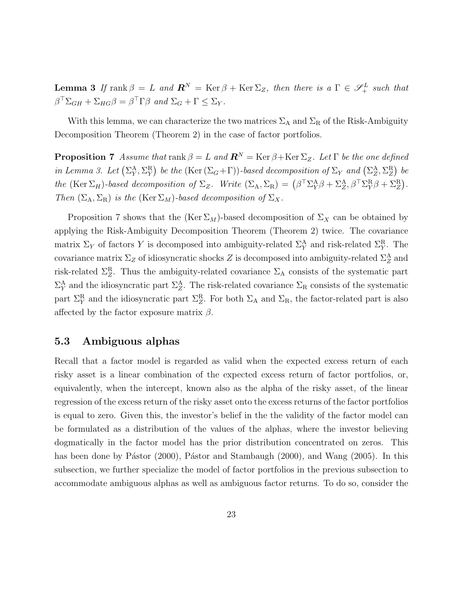$\textbf{Lemma 3}$  *If*  $\text{rank } \beta = L$  *and*  $\mathbb{R}^N = \text{Ker } \beta + \text{Ker } \Sigma_Z$ , then there is a  $\Gamma \in \mathscr{S}_+^L$  *such that*  $\beta^{\top} \Sigma_{GH} + \Sigma_{HG} \beta = \beta^{\top} \Gamma \beta$  and  $\Sigma_G + \Gamma \leq \Sigma_Y$ .

With this lemma, we can characterize the two matrices  $\Sigma_A$  and  $\Sigma_R$  of the Risk-Ambiguity Decomposition Theorem (Theorem 2) in the case of factor portfolios.

**Proposition 7** *Assume that* rank  $\beta = L$  *and*  $\mathbb{R}^N = \text{Ker } \beta + \text{Ker } \Sigma_Z$ *. Let*  $\Gamma$  *be the one defined in Lemma 3. Let*  $(\Sigma_Y^A, \Sigma_Y^R)$  *be the* (Ker  $(\Sigma_G + \Gamma)$ )-*based decomposition of*  $\Sigma_Y$  *and*  $(\Sigma_Z^A, \Sigma_Z^R)$  *be the* (Ker  $\Sigma_H$ )-based decomposition of  $\Sigma_Z$ . Write  $(\Sigma_A, \Sigma_R) = (\beta^\top \Sigma_Y^A \beta + \Sigma_Z^A, \beta^\top \Sigma_Y^R \beta + \Sigma_Z^R)$ . *Then*  $(\Sigma_A, \Sigma_R)$  *is the* (Ker  $\Sigma_M$ )*-based decomposition of*  $\Sigma_X$ *.* 

Proposition 7 shows that the  $(Ker \Sigma_M)$ -based decomposition of  $\Sigma_X$  can be obtained by applying the Risk-Ambiguity Decomposition Theorem (Theorem 2) twice. The covariance matrix  $\Sigma_Y$  of factors *Y* is decomposed into ambiguity-related  $\Sigma_Y^{\text{A}}$  and risk-related  $\Sigma_Y^{\text{R}}$ . The covariance matrix  $\Sigma_Z$  of idiosyncratic shocks  $Z$  is decomposed into ambiguity-related  $\Sigma_Z^{\text{A}}$  and risk-related  $\Sigma_Z^R$ . Thus the ambiguity-related covariance  $\Sigma_A$  consists of the systematic part  $\Sigma_Y^{\text{A}}$  and the idiosyncratic part  $\Sigma_Z^{\text{A}}$ . The risk-related covariance  $\Sigma_R$  consists of the systematic part  $\Sigma_Y^R$  and the idiosyncratic part  $\Sigma_Z^R$ . For both  $\Sigma_A$  and  $\Sigma_R$ , the factor-related part is also affected by the factor exposure matrix *β*.

#### **5.3 Ambiguous alphas**

Recall that a factor model is regarded as valid when the expected excess return of each risky asset is a linear combination of the expected excess return of factor portfolios, or, equivalently, when the intercept, known also as the alpha of the risky asset, of the linear regression of the excess return of the risky asset onto the excess returns of the factor portfolios is equal to zero. Given this, the investor's belief in the the validity of the factor model can be formulated as a distribution of the values of the alphas, where the investor believing dogmatically in the factor model has the prior distribution concentrated on zeros. This has been done by Pástor (2000), Pástor and Stambaugh (2000), and Wang (2005). In this subsection, we further specialize the model of factor portfolios in the previous subsection to accommodate ambiguous alphas as well as ambiguous factor returns. To do so, consider the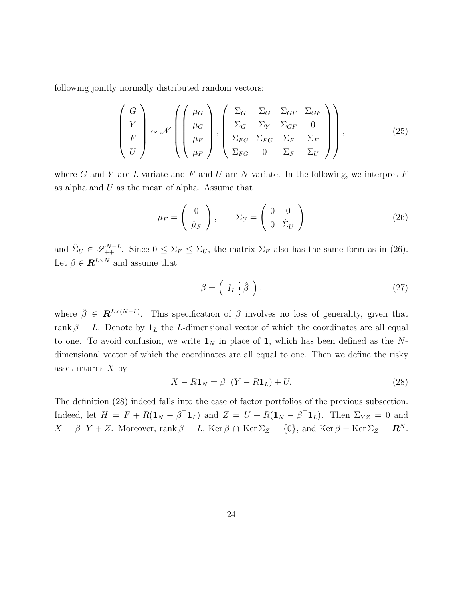following jointly normally distributed random vectors:

$$
\begin{pmatrix}\nG \\
Y \\
F \\
U\n\end{pmatrix}\n\sim\mathcal{N}\left(\begin{pmatrix}\n\mu_G \\
\mu_G \\
\mu_F \\
\mu_F\n\end{pmatrix}, \begin{pmatrix}\n\Sigma_G & \Sigma_G & \Sigma_{GF} & \Sigma_{GF} \\
\Sigma_G & \Sigma_Y & \Sigma_{GF} & 0 \\
\Sigma_{FG} & \Sigma_F & \Sigma_F & \Sigma_F \\
\Sigma_{FG} & 0 & \Sigma_F & \Sigma_U\n\end{pmatrix}\right),
$$
\n(25)

where *G* and *Y* are *L*-variate and *F* and *U* are *N*-variate. In the following, we interpret *F* as alpha and *U* as the mean of alpha. Assume that

$$
\mu_F = \begin{pmatrix} 0 \\ -\frac{1}{\hat{\mu}_F} \end{pmatrix}, \qquad \Sigma_U = \begin{pmatrix} 0 & 0 \\ -\frac{1}{\hat{\mu}_F} & -\frac{1}{\hat{\mu}_U} \end{pmatrix} \tag{26}
$$

and  $\hat{\Sigma}_U \in \mathscr{S}_{++}^{N-L}$ . Since  $0 \leq \Sigma_F \leq \Sigma_U$ , the matrix  $\Sigma_F$  also has the same form as in (26). Let  $\beta \in \mathbb{R}^{L \times N}$  and assume that

$$
\beta = \left( \begin{array}{c} I_L & \hat{\beta} \end{array} \right),\tag{27}
$$

where  $\hat{\beta} \in \mathbf{R}^{L\times (N-L)}$ . This specification of  $\beta$  involves no loss of generality, given that rank  $\beta = L$ . Denote by  $\mathbf{1}_L$  the *L*-dimensional vector of which the coordinates are all equal to one. To avoid confusion, we write  $\mathbf{1}_N$  in place of 1, which has been defined as the Ndimensional vector of which the coordinates are all equal to one. Then we define the risky asset returns *X* by

$$
X - R\mathbf{1}_N = \beta^\top (Y - R\mathbf{1}_L) + U. \tag{28}
$$

The definition (28) indeed falls into the case of factor portfolios of the previous subsection. Indeed, let  $H = F + R(\mathbf{1}_N - \beta^T \mathbf{1}_L)$  and  $Z = U + R(\mathbf{1}_N - \beta^T \mathbf{1}_L)$ . Then  $\Sigma_{YZ} = 0$  and  $X = \beta^{\top} Y + Z$ . Moreover, rank  $\beta = L$ , Ker  $\beta \cap \text{Ker } \Sigma_Z = \{0\}$ , and Ker  $\beta + \text{Ker } \Sigma_Z = \mathbb{R}^N$ .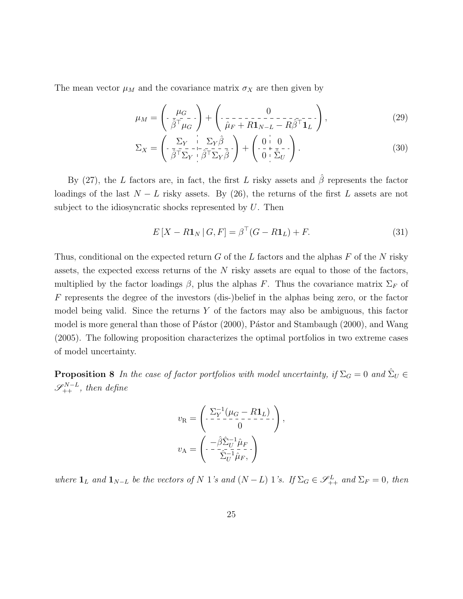The mean vector  $\mu_M$  and the covariance matrix  $\sigma_X$  are then given by

$$
\mu_M = \left( \frac{\mu_G}{\hat{\beta}^T \mu_G} \right) + \left( \frac{0}{\hat{\mu}_F + R \mathbf{1}_{N-L} - R \hat{\beta}^T \mathbf{1}_L} \right),\tag{29}
$$

$$
\Sigma_X = \begin{pmatrix} \Sigma_Y & \Sigma_Y \hat{\beta} \\ \bar{\beta}^\top \Sigma_Y & \bar{\beta}^\top \Sigma_Y \bar{\beta} \end{pmatrix} + \begin{pmatrix} 0 & 0 \\ 0 & \bar{\Sigma}_U \end{pmatrix} . \tag{30}
$$

By (27), the *L* factors are, in fact, the first *L* risky assets and *β*ˆ represents the factor loadings of the last  $N - L$  risky assets. By (26), the returns of the first  $L$  assets are not subject to the idiosyncratic shocks represented by *U*. Then

$$
E\left[X - R\mathbf{1}_N \,|\, G, F\right] = \beta^{\top} (G - R\mathbf{1}_L) + F. \tag{31}
$$

Thus, conditional on the expected return *G* of the *L* factors and the alphas *F* of the *N* risky assets, the expected excess returns of the *N* risky assets are equal to those of the factors, multiplied by the factor loadings  $\beta$ , plus the alphas *F*. Thus the covariance matrix  $\Sigma_F$  of *F* represents the degree of the investors (dis-)belief in the alphas being zero, or the factor model being valid. Since the returns *Y* of the factors may also be ambiguous, this factor model is more general than those of Pástor  $(2000)$ , Pástor and Stambaugh  $(2000)$ , and Wang (2005). The following proposition characterizes the optimal portfolios in two extreme cases of model uncertainty.

**Proposition 8** *In the case of factor portfolios with model uncertainty, if*  $\Sigma_G = 0$  *and*  $\hat{\Sigma}_U$   $\in$  $\mathscr{S}_{++}^{N-L}$ , then define

$$
v_{\mathbf{R}} = \begin{pmatrix} \Sigma_Y^{-1} (\mu_G - R \mathbf{1}_L) \\ -\frac{\Sigma_Y^{-1} (\mu_G - R \mathbf{1}_L)}{0} \end{pmatrix},
$$

$$
v_{\mathbf{A}} = \begin{pmatrix} -\hat{\beta} \hat{\Sigma}_U^{-1} \hat{\mu}_F \\ -\frac{\Sigma_Y^{-1} \hat{\mu}_F}{\hat{\Sigma}_U^{-1} \hat{\mu}_F} \end{pmatrix}
$$

where  $\mathbf{1}_L$  and  $\mathbf{1}_{N-L}$  be the vectors of N 1's and  $(N-L)$  1's. If  $\Sigma_G \in \mathscr{S}^L_{++}$  and  $\Sigma_F = 0$ , then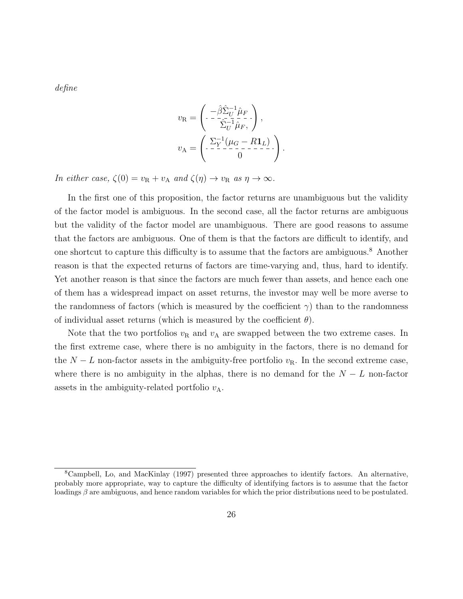*define*

$$
v_{\mathcal{R}} = \begin{pmatrix} -\hat{\beta} \hat{\Sigma}_{U}^{-1} \hat{\mu}_{F} \\ -\frac{\hat{\Sigma}_{U}^{-1}}{\hat{\Sigma}_{U}^{-1} \hat{\mu}_{F}}, \end{pmatrix},
$$

$$
v_{\mathcal{A}} = \begin{pmatrix} \Sigma_{Y}^{-1} (\mu_{G} - R \mathbf{1}_{L}) \\ -\frac{\Sigma_{Y}^{-1} (\mu_{G} - R \mathbf{1}_{L})}{0} \end{pmatrix}.
$$

*In either case,*  $\zeta(0) = v_R + v_A$  *and*  $\zeta(\eta) \to v_R$  *as*  $\eta \to \infty$ *.* 

In the first one of this proposition, the factor returns are unambiguous but the validity of the factor model is ambiguous. In the second case, all the factor returns are ambiguous but the validity of the factor model are unambiguous. There are good reasons to assume that the factors are ambiguous. One of them is that the factors are difficult to identify, and one shortcut to capture this difficulty is to assume that the factors are ambiguous.<sup>8</sup> Another reason is that the expected returns of factors are time-varying and, thus, hard to identify. Yet another reason is that since the factors are much fewer than assets, and hence each one of them has a widespread impact on asset returns, the investor may well be more averse to the randomness of factors (which is measured by the coefficient  $\gamma$ ) than to the randomness of individual asset returns (which is measured by the coefficient  $\theta$ ).

Note that the two portfolios  $v_R$  and  $v_A$  are swapped between the two extreme cases. In the first extreme case, where there is no ambiguity in the factors, there is no demand for the  $N - L$  non-factor assets in the ambiguity-free portfolio  $v<sub>R</sub>$ . In the second extreme case, where there is no ambiguity in the alphas, there is no demand for the  $N - L$  non-factor assets in the ambiguity-related portfolio  $v_A$ .

<sup>8</sup>Campbell, Lo, and MacKinlay (1997) presented three approaches to identify factors. An alternative, probably more appropriate, way to capture the difficulty of identifying factors is to assume that the factor loadings *β* are ambiguous, and hence random variables for which the prior distributions need to be postulated.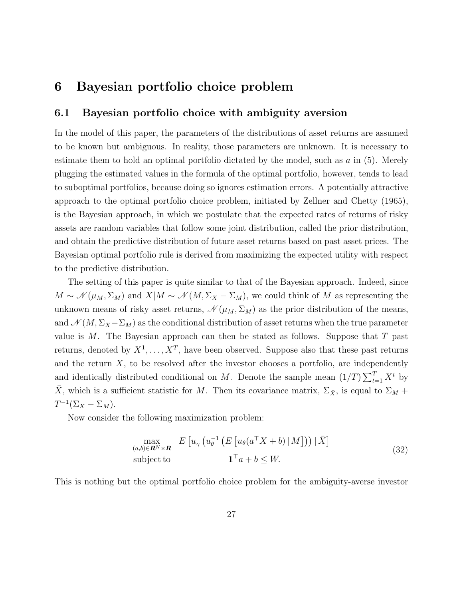## **6 Bayesian portfolio choice problem**

#### **6.1 Bayesian portfolio choice with ambiguity aversion**

In the model of this paper, the parameters of the distributions of asset returns are assumed to be known but ambiguous. In reality, those parameters are unknown. It is necessary to estimate them to hold an optimal portfolio dictated by the model, such as *a* in (5). Merely plugging the estimated values in the formula of the optimal portfolio, however, tends to lead to suboptimal portfolios, because doing so ignores estimation errors. A potentially attractive approach to the optimal portfolio choice problem, initiated by Zellner and Chetty (1965), is the Bayesian approach, in which we postulate that the expected rates of returns of risky assets are random variables that follow some joint distribution, called the prior distribution, and obtain the predictive distribution of future asset returns based on past asset prices. The Bayesian optimal portfolio rule is derived from maximizing the expected utility with respect to the predictive distribution.

The setting of this paper is quite similar to that of the Bayesian approach. Indeed, since  $M \sim \mathcal{N}(\mu_M, \Sigma_M)$  and  $X|M \sim \mathcal{N}(M, \Sigma_X - \Sigma_M)$ , we could think of M as representing the unknown means of risky asset returns,  $\mathcal{N}(\mu_M, \Sigma_M)$  as the prior distribution of the means, and  $\mathcal{N}(M, \Sigma_X - \Sigma_M)$  as the conditional distribution of asset returns when the true parameter value is *M*. The Bayesian approach can then be stated as follows. Suppose that *T* past returns, denoted by  $X^1, \ldots, X^T$ , have been observed. Suppose also that these past returns and the return  $X$ , to be resolved after the investor chooses a portfolio, are independently and identically distributed conditional on *M*. Denote the sample mean  $(1/T)\sum_{t=1}^{T} X^t$  by  $\bar{X}$ , which is a sufficient statistic for *M*. Then its covariance matrix,  $\Sigma_{\bar{X}}$ , is equal to  $\Sigma_M$  +  $T^{-1}(\Sigma_X - \Sigma_M).$ 

Now consider the following maximization problem:

$$
\max_{(a,b)\in\mathbf{R}^N\times\mathbf{R}} E\left[u_{\gamma}\left(u_{\theta}^{-1}\left(E\left[u_{\theta}(a^{\top}X+b)\,|\,M\right]\right)\right)|\,\bar{X}\right] \qquad (32)
$$
\n
$$
\text{subject to} \qquad \mathbf{1}^{\top}a+b\leq W.
$$

This is nothing but the optimal portfolio choice problem for the ambiguity-averse investor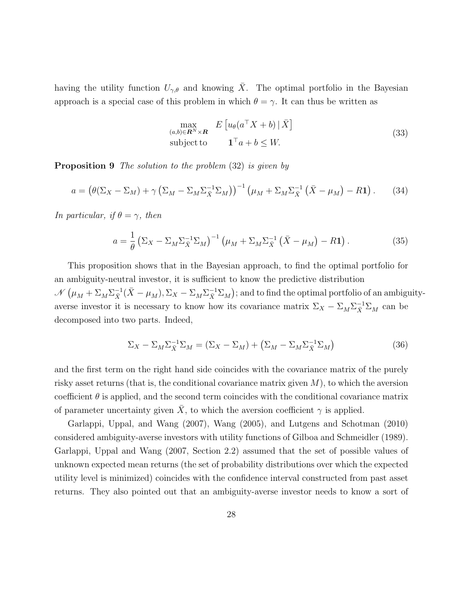having the utility function  $U_{\gamma,\theta}$  and knowing  $\overline{X}$ . The optimal portfolio in the Bayesian approach is a special case of this problem in which  $\theta = \gamma$ . It can thus be written as

$$
\max_{(a,b)\in\mathbf{R}^N\times\mathbf{R}} E\left[u_{\theta}(a^{\top}X+b)\,|\,\bar{X}\right]
$$
\nsubject to\n
$$
\mathbf{1}^{\top}a+b\leq W.
$$
\n(33)

**Proposition 9** *The solution to the problem* (32) *is given by*

$$
a = \left(\theta(\Sigma_X - \Sigma_M) + \gamma \left(\Sigma_M - \Sigma_M \Sigma_{\bar{X}}^{-1} \Sigma_M\right)\right)^{-1} \left(\mu_M + \Sigma_M \Sigma_{\bar{X}}^{-1} \left(\bar{X} - \mu_M\right) - R\mathbf{1}\right). \tag{34}
$$

*In particular, if*  $\theta = \gamma$ *, then* 

$$
a = \frac{1}{\theta} \left( \Sigma_X - \Sigma_M \Sigma_X^{-1} \Sigma_M \right)^{-1} \left( \mu_M + \Sigma_M \Sigma_X^{-1} \left( \bar{X} - \mu_M \right) - R \mathbf{1} \right). \tag{35}
$$

This proposition shows that in the Bayesian approach, to find the optimal portfolio for an ambiguity-neutral investor, it is sufficient to know the predictive distribution  $\mathcal{N}(\mu_M + \Sigma_M \Sigma_X^{-1} (\bar{X} - \mu_M), \Sigma_X - \Sigma_M \Sigma_X^{-1} \Sigma_M)$ ; and to find the optimal portfolio of an ambiguityaverse investor it is necessary to know how its covariance matrix  $\Sigma_X - \Sigma_M \Sigma_X^{-1} \Sigma_M$  can be decomposed into two parts. Indeed,

$$
\Sigma_X - \Sigma_M \Sigma_X^{-1} \Sigma_M = (\Sigma_X - \Sigma_M) + (\Sigma_M - \Sigma_M \Sigma_X^{-1} \Sigma_M)
$$
\n(36)

and the first term on the right hand side coincides with the covariance matrix of the purely risky asset returns (that is, the conditional covariance matrix given *M*), to which the aversion coefficient  $\theta$  is applied, and the second term coincides with the conditional covariance matrix of parameter uncertainty given *X*, to which the aversion coefficient  $\gamma$  is applied.

Garlappi, Uppal, and Wang (2007), Wang (2005), and Lutgens and Schotman (2010) considered ambiguity-averse investors with utility functions of Gilboa and Schmeidler (1989). Garlappi, Uppal and Wang (2007, Section 2.2) assumed that the set of possible values of unknown expected mean returns (the set of probability distributions over which the expected utility level is minimized) coincides with the confidence interval constructed from past asset returns. They also pointed out that an ambiguity-averse investor needs to know a sort of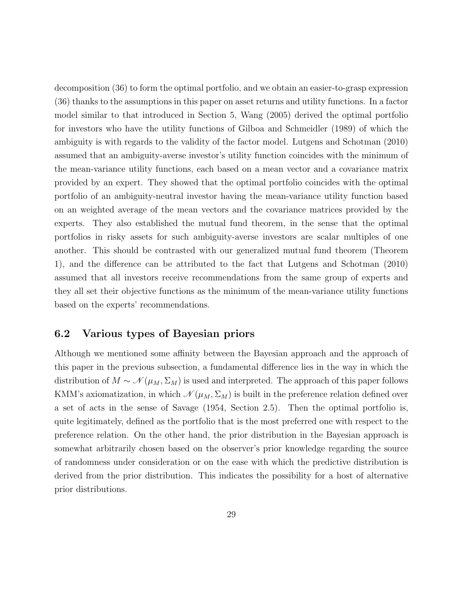decomposition (36) to form the optimal portfolio, and we obtain an easier-to-grasp expression (36) thanks to the assumptions in this paper on asset returns and utility functions. In a factor model similar to that introduced in Section 5, Wang (2005) derived the optimal portfolio for investors who have the utility functions of Gilboa and Schmeidler (1989) of which the ambiguity is with regards to the validity of the factor model. Lutgens and Schotman (2010) assumed that an ambiguity-averse investor's utility function coincides with the minimum of the mean-variance utility functions, each based on a mean vector and a covariance matrix provided by an expert. They showed that the optimal portfolio coincides with the optimal portfolio of an ambiguity-neutral investor having the mean-variance utility function based on an weighted average of the mean vectors and the covariance matrices provided by the experts. They also established the mutual fund theorem, in the sense that the optimal portfolios in risky assets for such ambiguity-averse investors are scalar multiples of one another. This should be contrasted with our generalized mutual fund theorem (Theorem 1), and the difference can be attributed to the fact that Lutgens and Schotman (2010) assumed that all investors receive recommendations from the same group of experts and they all set their objective functions as the minimum of the mean-variance utility functions based on the experts' recommendations.

#### **6.2 Various types of Bayesian priors**

Although we mentioned some affinity between the Bayesian approach and the approach of this paper in the previous subsection, a fundamental difference lies in the way in which the distribution of  $M \sim \mathcal{N}(\mu_M, \Sigma_M)$  is used and interpreted. The approach of this paper follows KMM's axiomatization, in which  $\mathcal{N}(\mu_M, \Sigma_M)$  is built in the preference relation defined over a set of acts in the sense of Savage (1954, Section 2.5). Then the optimal portfolio is, quite legitimately, defined as the portfolio that is the most preferred one with respect to the preference relation. On the other hand, the prior distribution in the Bayesian approach is somewhat arbitrarily chosen based on the observer's prior knowledge regarding the source of randomness under consideration or on the ease with which the predictive distribution is derived from the prior distribution. This indicates the possibility for a host of alternative prior distributions.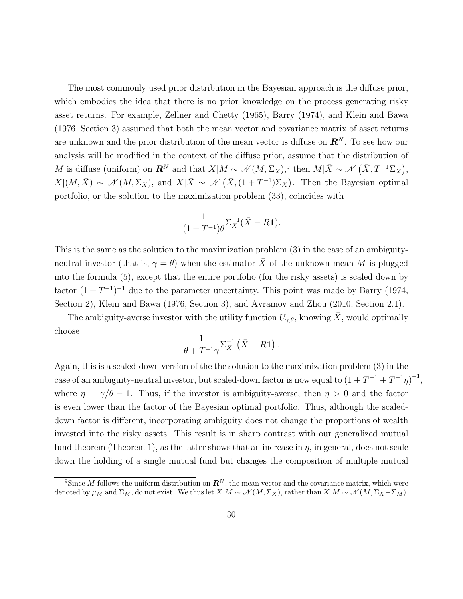The most commonly used prior distribution in the Bayesian approach is the diffuse prior, which embodies the idea that there is no prior knowledge on the process generating risky asset returns. For example, Zellner and Chetty (1965), Barry (1974), and Klein and Bawa (1976, Section 3) assumed that both the mean vector and covariance matrix of asset returns are unknown and the prior distribution of the mean vector is diffuse on *R<sup>N</sup>* . To see how our analysis will be modified in the context of the diffuse prior, assume that the distribution of *M* is diffuse (uniform) on  $\mathbb{R}^N$  and that  $X|M \sim \mathcal{N}(M, \Sigma_X)$ ,<sup>9</sup> then  $M|\bar{X} \sim \mathcal{N}(\bar{X}, T^{-1}\Sigma_X)$ ,  $X|(M,\bar{X}) \sim \mathcal{N}(M,\Sigma_X)$ , and  $X|\bar{X} \sim \mathcal{N}(\bar{X},(1+T^{-1})\Sigma_X)$ . Then the Bayesian optimal portfolio, or the solution to the maximization problem (33), coincides with

$$
\frac{1}{(1+T^{-1})\theta} \Sigma_X^{-1} (\bar{X} - R\mathbf{1}).
$$

This is the same as the solution to the maximization problem (3) in the case of an ambiguityneutral investor (that is,  $\gamma = \theta$ ) when the estimator  $\bar{X}$  of the unknown mean *M* is plugged into the formula (5), except that the entire portfolio (for the risky assets) is scaled down by factor  $(1+T^{-1})^{-1}$  due to the parameter uncertainty. This point was made by Barry (1974, Section 2), Klein and Bawa (1976, Section 3), and Avramov and Zhou (2010, Section 2.1).

The ambiguity-averse investor with the utility function  $U_{\gamma,\theta}$ , knowing  $\bar{X}$ , would optimally choose

$$
\frac{1}{\theta+T^{-1}\gamma}\Sigma_X^{-1}(\bar{X}-R\mathbf{1}).
$$

Again, this is a scaled-down version of the the solution to the maximization problem (3) in the case of an ambiguity-neutral investor, but scaled-down factor is now equal to  $(1 + T^{-1} + T^{-1}\eta)^{-1}$ , where  $\eta = \gamma/\theta - 1$ . Thus, if the investor is ambiguity-averse, then  $\eta > 0$  and the factor is even lower than the factor of the Bayesian optimal portfolio. Thus, although the scaleddown factor is different, incorporating ambiguity does not change the proportions of wealth invested into the risky assets. This result is in sharp contrast with our generalized mutual fund theorem (Theorem 1), as the latter shows that an increase in  $\eta$ , in general, does not scale down the holding of a single mutual fund but changes the composition of multiple mutual

<sup>&</sup>lt;sup>9</sup>Since *M* follows the uniform distribution on  $\mathbb{R}^N$ , the mean vector and the covariance matrix, which were denoted by  $\mu_M$  and  $\Sigma_M$ , do not exist. We thus let  $X|M \sim \mathcal{N}(M, \Sigma_X)$ , rather than  $X|M \sim \mathcal{N}(M, \Sigma_X - \Sigma_M)$ .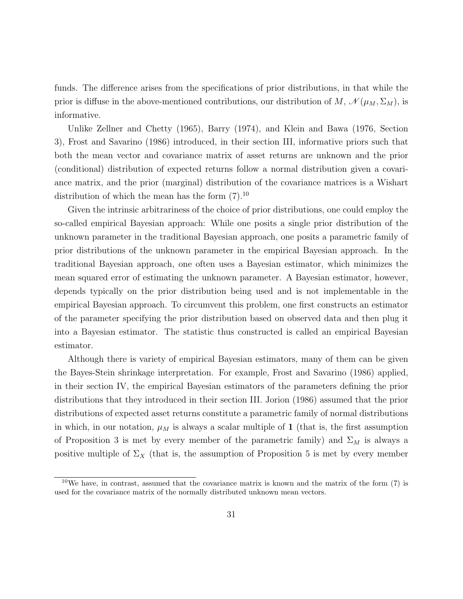funds. The difference arises from the specifications of prior distributions, in that while the prior is diffuse in the above-mentioned contributions, our distribution of  $M$ ,  $\mathcal{N}(\mu_M, \Sigma_M)$ , is informative.

Unlike Zellner and Chetty (1965), Barry (1974), and Klein and Bawa (1976, Section 3), Frost and Savarino (1986) introduced, in their section III, informative priors such that both the mean vector and covariance matrix of asset returns are unknown and the prior (conditional) distribution of expected returns follow a normal distribution given a covariance matrix, and the prior (marginal) distribution of the covariance matrices is a Wishart distribution of which the mean has the form  $(7).^{10}$ 

Given the intrinsic arbitrariness of the choice of prior distributions, one could employ the so-called empirical Bayesian approach: While one posits a single prior distribution of the unknown parameter in the traditional Bayesian approach, one posits a parametric family of prior distributions of the unknown parameter in the empirical Bayesian approach. In the traditional Bayesian approach, one often uses a Bayesian estimator, which minimizes the mean squared error of estimating the unknown parameter. A Bayesian estimator, however, depends typically on the prior distribution being used and is not implementable in the empirical Bayesian approach. To circumvent this problem, one first constructs an estimator of the parameter specifying the prior distribution based on observed data and then plug it into a Bayesian estimator. The statistic thus constructed is called an empirical Bayesian estimator.

Although there is variety of empirical Bayesian estimators, many of them can be given the Bayes-Stein shrinkage interpretation. For example, Frost and Savarino (1986) applied, in their section IV, the empirical Bayesian estimators of the parameters defining the prior distributions that they introduced in their section III. Jorion (1986) assumed that the prior distributions of expected asset returns constitute a parametric family of normal distributions in which, in our notation,  $\mu_M$  is always a scalar multiple of 1 (that is, the first assumption of Proposition 3 is met by every member of the parametric family) and  $\Sigma_M$  is always a positive multiple of  $\Sigma_X$  (that is, the assumption of Proposition 5 is met by every member

 $10\,\text{We have, in contrast, assumed that the covariance matrix is known and the matrix of the form (7) is}$ used for the covariance matrix of the normally distributed unknown mean vectors.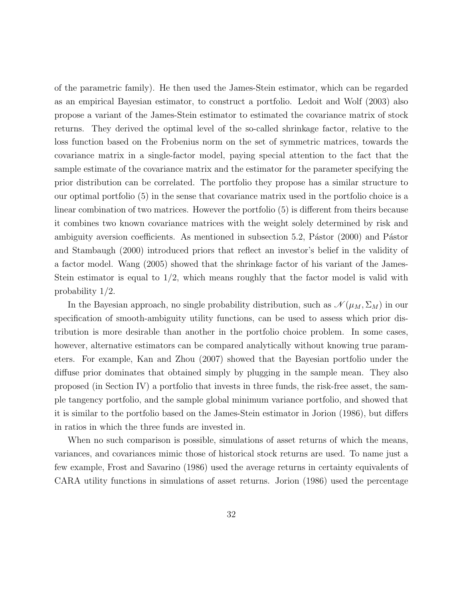of the parametric family). He then used the James-Stein estimator, which can be regarded as an empirical Bayesian estimator, to construct a portfolio. Ledoit and Wolf (2003) also propose a variant of the James-Stein estimator to estimated the covariance matrix of stock returns. They derived the optimal level of the so-called shrinkage factor, relative to the loss function based on the Frobenius norm on the set of symmetric matrices, towards the covariance matrix in a single-factor model, paying special attention to the fact that the sample estimate of the covariance matrix and the estimator for the parameter specifying the prior distribution can be correlated. The portfolio they propose has a similar structure to our optimal portfolio (5) in the sense that covariance matrix used in the portfolio choice is a linear combination of two matrices. However the portfolio (5) is different from theirs because it combines two known covariance matrices with the weight solely determined by risk and ambiguity aversion coefficients. As mentioned in subsection  $5.2$ , Pástor  $(2000)$  and Pástor and Stambaugh (2000) introduced priors that reflect an investor's belief in the validity of a factor model. Wang (2005) showed that the shrinkage factor of his variant of the James-Stein estimator is equal to 1*/*2, which means roughly that the factor model is valid with probability 1*/*2.

In the Bayesian approach, no single probability distribution, such as  $\mathcal{N}(\mu_M, \Sigma_M)$  in our specification of smooth-ambiguity utility functions, can be used to assess which prior distribution is more desirable than another in the portfolio choice problem. In some cases, however, alternative estimators can be compared analytically without knowing true parameters. For example, Kan and Zhou (2007) showed that the Bayesian portfolio under the diffuse prior dominates that obtained simply by plugging in the sample mean. They also proposed (in Section IV) a portfolio that invests in three funds, the risk-free asset, the sample tangency portfolio, and the sample global minimum variance portfolio, and showed that it is similar to the portfolio based on the James-Stein estimator in Jorion (1986), but differs in ratios in which the three funds are invested in.

When no such comparison is possible, simulations of asset returns of which the means, variances, and covariances mimic those of historical stock returns are used. To name just a few example, Frost and Savarino (1986) used the average returns in certainty equivalents of CARA utility functions in simulations of asset returns. Jorion (1986) used the percentage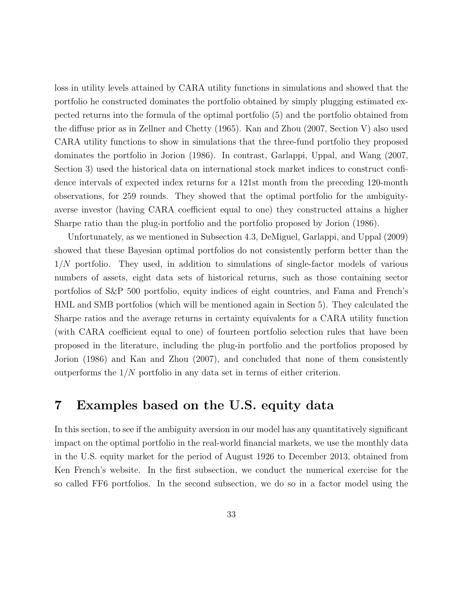loss in utility levels attained by CARA utility functions in simulations and showed that the portfolio he constructed dominates the portfolio obtained by simply plugging estimated expected returns into the formula of the optimal portfolio (5) and the portfolio obtained from the diffuse prior as in Zellner and Chetty (1965). Kan and Zhou (2007, Section V) also used CARA utility functions to show in simulations that the three-fund portfolio they proposed dominates the portfolio in Jorion (1986). In contrast, Garlappi, Uppal, and Wang (2007, Section 3) used the historical data on international stock market indices to construct confidence intervals of expected index returns for a 121st month from the preceding 120-month observations, for 259 rounds. They showed that the optimal portfolio for the ambiguityaverse investor (having CARA coefficient equal to one) they constructed attains a higher Sharpe ratio than the plug-in portfolio and the portfolio proposed by Jorion (1986).

Unfortunately, as we mentioned in Subsection 4.3, DeMiguel, Garlappi, and Uppal (2009) showed that these Bayesian optimal portfolios do not consistently perform better than the 1*/N* portfolio. They used, in addition to simulations of single-factor models of various numbers of assets, eight data sets of historical returns, such as those containing sector portfolios of S&P 500 portfolio, equity indices of eight countries, and Fama and French's HML and SMB portfolios (which will be mentioned again in Section 5). They calculated the Sharpe ratios and the average returns in certainty equivalents for a CARA utility function (with CARA coefficient equal to one) of fourteen portfolio selection rules that have been proposed in the literature, including the plug-in portfolio and the portfolios proposed by Jorion (1986) and Kan and Zhou (2007), and concluded that none of them consistently outperforms the 1*/N* portfolio in any data set in terms of either criterion.

### **7 Examples based on the U.S. equity data**

In this section, to see if the ambiguity aversion in our model has any quantitatively significant impact on the optimal portfolio in the real-world financial markets, we use the monthly data in the U.S. equity market for the period of August 1926 to December 2013, obtained from Ken French's website. In the first subsection, we conduct the numerical exercise for the so called FF6 portfolios. In the second subsection, we do so in a factor model using the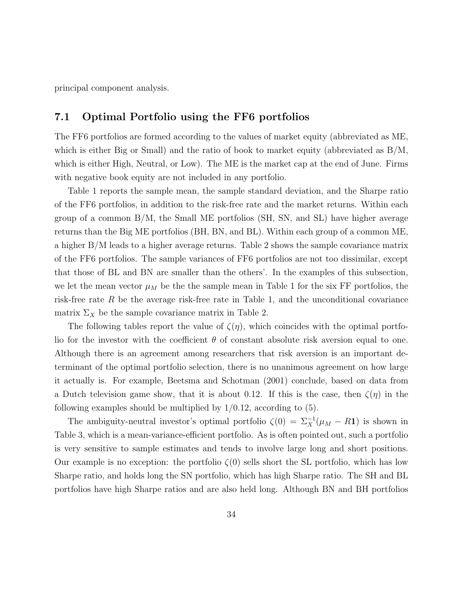principal component analysis.

#### **7.1 Optimal Portfolio using the FF6 portfolios**

The FF6 portfolios are formed according to the values of market equity (abbreviated as ME, which is either Big or Small) and the ratio of book to market equity (abbreviated as B/M, which is either High, Neutral, or Low). The ME is the market cap at the end of June. Firms with negative book equity are not included in any portfolio.

Table 1 reports the sample mean, the sample standard deviation, and the Sharpe ratio of the FF6 portfolios, in addition to the risk-free rate and the market returns. Within each group of a common B/M, the Small ME portfolios (SH, SN, and SL) have higher average returns than the Big ME portfolios (BH, BN, and BL). Within each group of a common ME, a higher B/M leads to a higher average returns. Table 2 shows the sample covariance matrix of the FF6 portfolios. The sample variances of FF6 portfolios are not too dissimilar, except that those of BL and BN are smaller than the others'. In the examples of this subsection, we let the mean vector  $\mu_M$  be the sample mean in Table 1 for the six FF portfolios, the risk-free rate  $R$  be the average risk-free rate in Table 1, and the unconditional covariance matrix  $\Sigma_X$  be the sample covariance matrix in Table 2.

The following tables report the value of  $\zeta(\eta)$ , which coincides with the optimal portfolio for the investor with the coefficient  $\theta$  of constant absolute risk aversion equal to one. Although there is an agreement among researchers that risk aversion is an important determinant of the optimal portfolio selection, there is no unanimous agreement on how large it actually is. For example, Beetsma and Schotman (2001) conclude, based on data from a Dutch television game show, that it is about 0.12. If this is the case, then  $\zeta(\eta)$  in the following examples should be multiplied by 1*/*0*.*12, according to (5).

The ambiguity-neutral investor's optimal portfolio  $\zeta(0) = \sum_{X}^{-1} (\mu_M - R\mathbf{1})$  is shown in Table 3, which is a mean-variance-efficient portfolio. As is often pointed out, such a portfolio is very sensitive to sample estimates and tends to involve large long and short positions. Our example is no exception: the portfolio  $\zeta(0)$  sells short the SL portfolio, which has low Sharpe ratio, and holds long the SN portfolio, which has high Sharpe ratio. The SH and BL portfolios have high Sharpe ratios and are also held long. Although BN and BH portfolios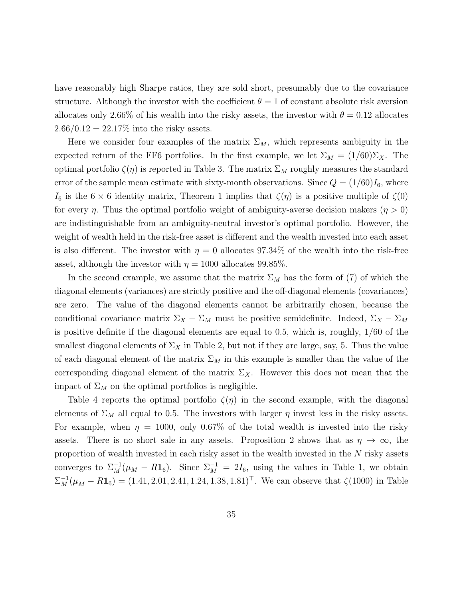have reasonably high Sharpe ratios, they are sold short, presumably due to the covariance structure. Although the investor with the coefficient  $\theta = 1$  of constant absolute risk aversion allocates only 2.66% of his wealth into the risky assets, the investor with  $\theta = 0.12$  allocates  $2.66/0.12 = 22.17\%$  into the risky assets.

Here we consider four examples of the matrix  $\Sigma_M$ , which represents ambiguity in the expected return of the FF6 portfolios. In the first example, we let  $\Sigma_M = (1/60)\Sigma_X$ . The optimal portfolio  $\zeta(\eta)$  is reported in Table 3. The matrix  $\Sigma_M$  roughly measures the standard error of the sample mean estimate with sixty-month observations. Since  $Q = (1/60)I_6$ , where *I*<sub>6</sub> is the 6  $\times$  6 identity matrix, Theorem 1 implies that  $\zeta(\eta)$  is a positive multiple of  $\zeta(0)$ for every *η*. Thus the optimal portfolio weight of ambiguity-averse decision makers  $(\eta > 0)$ are indistinguishable from an ambiguity-neutral investor's optimal portfolio. However, the weight of wealth held in the risk-free asset is different and the wealth invested into each asset is also different. The investor with  $\eta = 0$  allocates 97.34% of the wealth into the risk-free asset, although the investor with  $\eta = 1000$  allocates 99.85%.

In the second example, we assume that the matrix  $\Sigma_M$  has the form of (7) of which the diagonal elements (variances) are strictly positive and the off-diagonal elements (covariances) are zero. The value of the diagonal elements cannot be arbitrarily chosen, because the conditional covariance matrix  $\Sigma_X - \Sigma_M$  must be positive semidefinite. Indeed,  $\Sigma_X - \Sigma_M$ is positive definite if the diagonal elements are equal to 0*.*5, which is, roughly, 1*/*60 of the smallest diagonal elements of  $\Sigma_X$  in Table 2, but not if they are large, say, 5. Thus the value of each diagonal element of the matrix  $\Sigma_M$  in this example is smaller than the value of the corresponding diagonal element of the matrix  $\Sigma_X$ . However this does not mean that the impact of  $\Sigma_M$  on the optimal portfolios is negligible.

Table 4 reports the optimal portfolio  $\zeta(\eta)$  in the second example, with the diagonal elements of  $\Sigma_M$  all equal to 0.5. The investors with larger  $\eta$  invest less in the risky assets. For example, when  $\eta = 1000$ , only 0.67% of the total wealth is invested into the risky assets. There is no short sale in any assets. Proposition 2 shows that as  $\eta \to \infty$ , the proportion of wealth invested in each risky asset in the wealth invested in the *N* risky assets converges to  $\Sigma_M^{-1}(\mu_M - R\mathbf{1}_6)$ . Since  $\Sigma_M^{-1} = 2I_6$ , using the values in Table 1, we obtain  $\Sigma_M^{-1}(\mu_M - R\mathbf{1}_6) = (1.41, 2.01, 2.41, 1.24, 1.38, 1.81)^\top$ . We can observe that  $\zeta(1000)$  in Table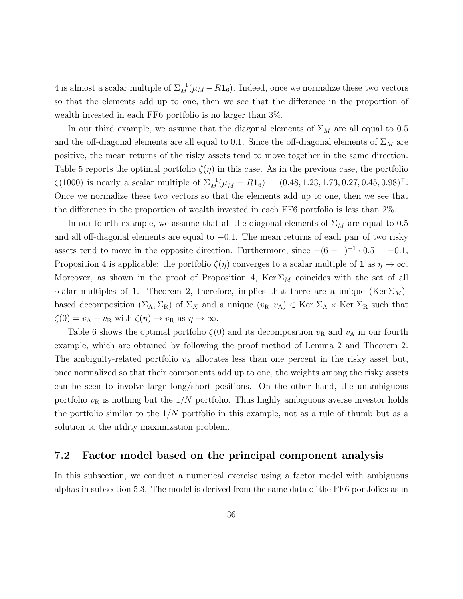4 is almost a scalar multiple of  $\Sigma_M^{-1}(\mu_M - R\mathbf{1}_6)$ . Indeed, once we normalize these two vectors so that the elements add up to one, then we see that the difference in the proportion of wealth invested in each FF6 portfolio is no larger than 3%.

In our third example, we assume that the diagonal elements of  $\Sigma_M$  are all equal to 0.5 and the off-diagonal elements are all equal to 0.1. Since the off-diagonal elements of  $\Sigma_M$  are positive, the mean returns of the risky assets tend to move together in the same direction. Table 5 reports the optimal portfolio  $\zeta(\eta)$  in this case. As in the previous case, the portfolio  $\zeta(1000)$  is nearly a scalar multiple of  $\Sigma_M^{-1}(\mu_M - R\mathbf{1}_6) = (0.48, 1.23, 1.73, 0.27, 0.45, 0.98)^\top$ . Once we normalize these two vectors so that the elements add up to one, then we see that the difference in the proportion of wealth invested in each FF6 portfolio is less than 2%.

In our fourth example, we assume that all the diagonal elements of  $\Sigma_M$  are equal to 0.5 and all off-diagonal elements are equal to *−*0*.*1. The mean returns of each pair of two risky assets tend to move in the opposite direction. Furthermore, since  $-(6-1)^{-1} \cdot 0.5 = -0.1$ , Proposition 4 is applicable: the portfolio  $\zeta(\eta)$  converges to a scalar multiple of **1** as  $\eta \to \infty$ . Moreover, as shown in the proof of Proposition 4,  $\text{Ker } \Sigma_M$  coincides with the set of all scalar multiples of **1**. Theorem 2, therefore, implies that there are a unique (Ker  $\Sigma_M$ )based decomposition  $(\Sigma_A, \Sigma_R)$  of  $\Sigma_X$  and a unique  $(v_R, v_A) \in \text{Ker } \Sigma_A \times \text{Ker } \Sigma_R$  such that  $\zeta(0) = v_A + v_R \text{ with } \zeta(\eta) \to v_R \text{ as } \eta \to \infty.$ 

Table 6 shows the optimal portfolio  $\zeta(0)$  and its decomposition  $v_R$  and  $v_A$  in our fourth example, which are obtained by following the proof method of Lemma 2 and Theorem 2. The ambiguity-related portfolio  $v_A$  allocates less than one percent in the risky asset but, once normalized so that their components add up to one, the weights among the risky assets can be seen to involve large long/short positions. On the other hand, the unambiguous portfolio  $v_R$  is nothing but the  $1/N$  portfolio. Thus highly ambiguous averse investor holds the portfolio similar to the 1*/N* portfolio in this example, not as a rule of thumb but as a solution to the utility maximization problem.

#### **7.2 Factor model based on the principal component analysis**

In this subsection, we conduct a numerical exercise using a factor model with ambiguous alphas in subsection 5.3. The model is derived from the same data of the FF6 portfolios as in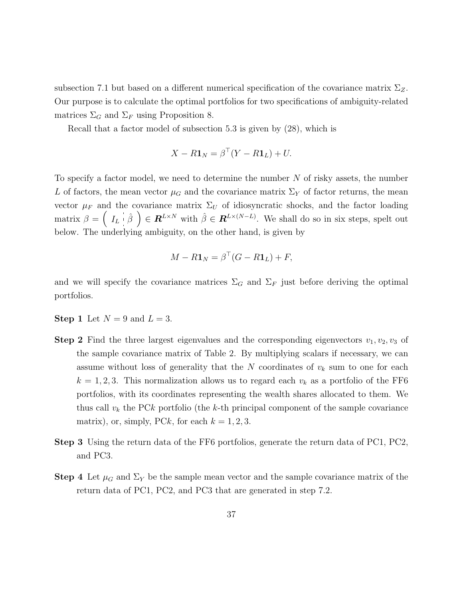subsection 7.1 but based on a different numerical specification of the covariance matrix Σ*Z*. Our purpose is to calculate the optimal portfolios for two specifications of ambiguity-related matrices  $\Sigma_G$  and  $\Sigma_F$  using Proposition 8.

Recall that a factor model of subsection 5.3 is given by (28), which is

$$
X - R\mathbf{1}_N = \beta^{\top}(Y - R\mathbf{1}_L) + U.
$$

To specify a factor model, we need to determine the number *N* of risky assets, the number L of factors, the mean vector  $\mu_G$  and the covariance matrix  $\Sigma_Y$  of factor returns, the mean vector  $\mu_F$  and the covariance matrix  $\Sigma_U$  of idiosyncratic shocks, and the factor loading  $\text{matrix } \beta = \left( \begin{array}{c} I_L \vdots \hat{\beta} \end{array} \right) \in \mathbb{R}^{L \times N} \text{ with } \hat{\beta} \in \mathbb{R}^{L \times (N-L)}$ . We shall do so in six steps, spelt out below. The underlying ambiguity, on the other hand, is given by

$$
M - R\mathbf{1}_N = \beta^{\top} (G - R\mathbf{1}_L) + F,
$$

and we will specify the covariance matrices  $\Sigma_G$  and  $\Sigma_F$  just before deriving the optimal portfolios.

- **Step 1** Let  $N = 9$  and  $L = 3$ .
- **Step 2** Find the three largest eigenvalues and the corresponding eigenvectors  $v_1, v_2, v_3$  of the sample covariance matrix of Table 2. By multiplying scalars if necessary, we can assume without loss of generality that the *N* coordinates of *v<sup>k</sup>* sum to one for each  $k = 1, 2, 3$ . This normalization allows us to regard each  $v_k$  as a portfolio of the FF6 portfolios, with its coordinates representing the wealth shares allocated to them. We thus call  $v_k$  the PCk portfolio (the k-th principal component of the sample covariance matrix), or, simply, PCk, for each  $k = 1, 2, 3$ .
- **Step 3** Using the return data of the FF6 portfolios, generate the return data of PC1, PC2, and PC3.
- **Step 4** Let  $\mu_G$  and  $\Sigma_Y$  be the sample mean vector and the sample covariance matrix of the return data of PC1, PC2, and PC3 that are generated in step 7.2.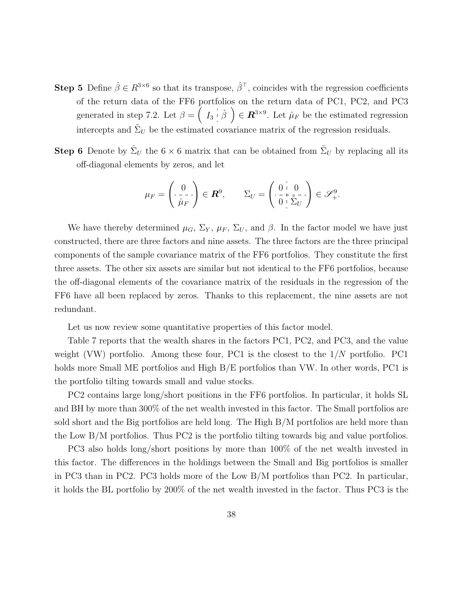- **Step 5** Define  $\hat{\beta} \in R^{3\times6}$  so that its transpose,  $\hat{\beta}^{\top}$ , coincides with the regression coefficients of the return data of the FF6 portfolios on the return data of PC1, PC2, and PC3 generated in step 7.2. Let  $\beta = \begin{pmatrix} I_3 & \hat{\beta} \end{pmatrix} \in \mathbb{R}^{3 \times 9}$ . Let  $\hat{\mu}_F$  be the estimated regression intercepts and  $\tilde{\Sigma}_U$  be the estimated covariance matrix of the regression residuals.
- **Step 6** Denote by  $\hat{\Sigma}_U$  the 6  $\times$  6 matrix that can be obtained from  $\tilde{\Sigma}_U$  by replacing all its off-diagonal elements by zeros, and let

$$
\mu_F = \begin{pmatrix} 0 \\ -\frac{1}{\hat{\mu}_F} \end{pmatrix} \in \mathbf{R}^9, \qquad \Sigma_U = \begin{pmatrix} 0 & 0 \\ -\frac{1}{\hat{\nu}_F} & \frac{1}{\hat{\Sigma}_U} \end{pmatrix} \in \mathscr{S}^9_+.
$$

We have thereby determined  $\mu_G$ ,  $\Sigma_Y$ ,  $\mu_F$ ,  $\Sigma_U$ , and  $\beta$ . In the factor model we have just constructed, there are three factors and nine assets. The three factors are the three principal components of the sample covariance matrix of the FF6 portfolios. They constitute the first three assets. The other six assets are similar but not identical to the FF6 portfolios, because the off-diagonal elements of the covariance matrix of the residuals in the regression of the FF6 have all been replaced by zeros. Thanks to this replacement, the nine assets are not redundant.

Let us now review some quantitative properties of this factor model.

Table 7 reports that the wealth shares in the factors PC1, PC2, and PC3, and the value weight (VW) portfolio. Among these four, PC1 is the closest to the 1*/N* portfolio. PC1 holds more Small ME portfolios and High  $B/E$  portfolios than VW. In other words, PC1 is the portfolio tilting towards small and value stocks.

PC2 contains large long/short positions in the FF6 portfolios. In particular, it holds SL and BH by more than 300% of the net wealth invested in this factor. The Small portfolios are sold short and the Big portfolios are held long. The High B/M portfolios are held more than the Low B/M portfolios. Thus PC2 is the portfolio tilting towards big and value portfolios.

PC3 also holds long/short positions by more than 100% of the net wealth invested in this factor. The differences in the holdings between the Small and Big portfolios is smaller in PC3 than in PC2. PC3 holds more of the Low B/M portfolios than PC2. In particular, it holds the BL portfolio by 200% of the net wealth invested in the factor. Thus PC3 is the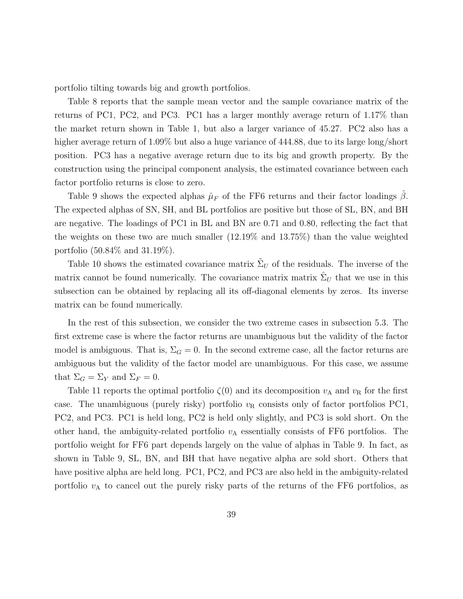portfolio tilting towards big and growth portfolios.

Table 8 reports that the sample mean vector and the sample covariance matrix of the returns of PC1, PC2, and PC3. PC1 has a larger monthly average return of 1.17% than the market return shown in Table 1, but also a larger variance of 45.27. PC2 also has a higher average return of 1.09% but also a huge variance of 444.88, due to its large long/short position. PC3 has a negative average return due to its big and growth property. By the construction using the principal component analysis, the estimated covariance between each factor portfolio returns is close to zero.

Table 9 shows the expected alphas  $\hat{\mu}_F$  of the FF6 returns and their factor loadings  $\beta$ . The expected alphas of SN, SH, and BL portfolios are positive but those of SL, BN, and BH are negative. The loadings of PC1 in BL and BN are 0.71 and 0.80, reflecting the fact that the weights on these two are much smaller (12.19% and 13.75%) than the value weighted portfolio (50.84% and 31.19%).

Table 10 shows the estimated covariance matrix  $\tilde{\Sigma}_U$  of the residuals. The inverse of the matrix cannot be found numerically. The covariance matrix matrix  $\hat{\Sigma}_U$  that we use in this subsection can be obtained by replacing all its off-diagonal elements by zeros. Its inverse matrix can be found numerically.

In the rest of this subsection, we consider the two extreme cases in subsection 5.3. The first extreme case is where the factor returns are unambiguous but the validity of the factor model is ambiguous. That is,  $\Sigma_G = 0$ . In the second extreme case, all the factor returns are ambiguous but the validity of the factor model are unambiguous. For this case, we assume that  $\Sigma_G = \Sigma_Y$  and  $\Sigma_F = 0$ .

Table 11 reports the optimal portfolio  $\zeta(0)$  and its decomposition  $v_A$  and  $v_B$  for the first case. The unambiguous (purely risky) portfolio  $v<sub>R</sub>$  consists only of factor portfolios PC1, PC2, and PC3. PC1 is held long, PC2 is held only slightly, and PC3 is sold short. On the other hand, the ambiguity-related portfolio  $v_A$  essentially consists of FF6 portfolios. The portfolio weight for FF6 part depends largely on the value of alphas in Table 9. In fact, as shown in Table 9, SL, BN, and BH that have negative alpha are sold short. Others that have positive alpha are held long. PC1, PC2, and PC3 are also held in the ambiguity-related portfolio  $v_A$  to cancel out the purely risky parts of the returns of the FF6 portfolios, as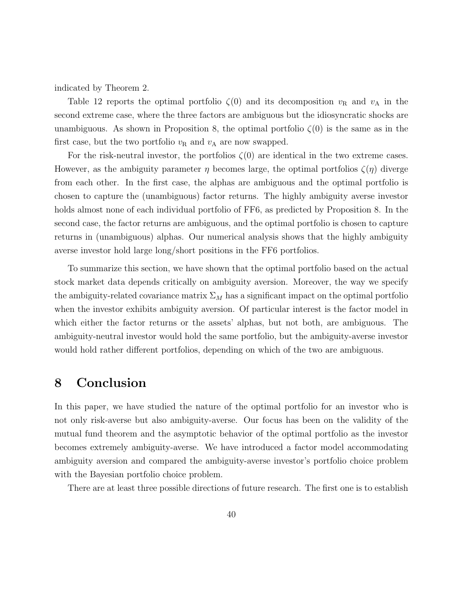indicated by Theorem 2.

Table 12 reports the optimal portfolio  $\zeta(0)$  and its decomposition  $v_R$  and  $v_A$  in the second extreme case, where the three factors are ambiguous but the idiosyncratic shocks are unambiguous. As shown in Proposition 8, the optimal portfolio  $\zeta(0)$  is the same as in the first case, but the two portfolio  $v_R$  and  $v_A$  are now swapped.

For the risk-neutral investor, the portfolios *ζ*(0) are identical in the two extreme cases. However, as the ambiguity parameter  $\eta$  becomes large, the optimal portfolios  $\zeta(\eta)$  diverge from each other. In the first case, the alphas are ambiguous and the optimal portfolio is chosen to capture the (unambiguous) factor returns. The highly ambiguity averse investor holds almost none of each individual portfolio of FF6, as predicted by Proposition 8. In the second case, the factor returns are ambiguous, and the optimal portfolio is chosen to capture returns in (unambiguous) alphas. Our numerical analysis shows that the highly ambiguity averse investor hold large long/short positions in the FF6 portfolios.

To summarize this section, we have shown that the optimal portfolio based on the actual stock market data depends critically on ambiguity aversion. Moreover, the way we specify the ambiguity-related covariance matrix  $\Sigma_M$  has a significant impact on the optimal portfolio when the investor exhibits ambiguity aversion. Of particular interest is the factor model in which either the factor returns or the assets' alphas, but not both, are ambiguous. The ambiguity-neutral investor would hold the same portfolio, but the ambiguity-averse investor would hold rather different portfolios, depending on which of the two are ambiguous.

### **8 Conclusion**

In this paper, we have studied the nature of the optimal portfolio for an investor who is not only risk-averse but also ambiguity-averse. Our focus has been on the validity of the mutual fund theorem and the asymptotic behavior of the optimal portfolio as the investor becomes extremely ambiguity-averse. We have introduced a factor model accommodating ambiguity aversion and compared the ambiguity-averse investor's portfolio choice problem with the Bayesian portfolio choice problem.

There are at least three possible directions of future research. The first one is to establish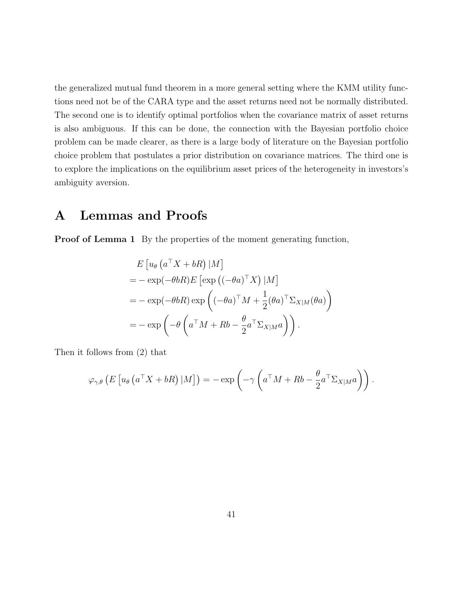the generalized mutual fund theorem in a more general setting where the KMM utility functions need not be of the CARA type and the asset returns need not be normally distributed. The second one is to identify optimal portfolios when the covariance matrix of asset returns is also ambiguous. If this can be done, the connection with the Bayesian portfolio choice problem can be made clearer, as there is a large body of literature on the Bayesian portfolio choice problem that postulates a prior distribution on covariance matrices. The third one is to explore the implications on the equilibrium asset prices of the heterogeneity in investors's ambiguity aversion.

## **A Lemmas and Proofs**

**Proof of Lemma 1** By the properties of the moment generating function,

$$
E [u_{\theta} (a^{\top} X + bR) |M]
$$
  
= - exp(- $\theta bR$ )E [exp ((- $\theta a$ )<sup>T</sup> X) |M]  
= - exp(- $\theta bR$ ) exp ((- $\theta a$ )<sup>T</sup> M +  $\frac{1}{2}$ ( $\theta a$ )<sup>T</sup>  $\Sigma_{X|M}$ ( $\theta a$ )  
= - exp(- $\theta$  ( $a^{\top} M + Rb - \frac{\theta}{2} a^{\top} \Sigma_{X|M} a$ )).

Then it follows from (2) that

$$
\varphi_{\gamma,\theta}\left(E\left[u_{\theta}\left(a^{\top}X+bR\right)|M\right]\right)=-\exp\left(-\gamma\left(a^{\top}M+Rb-\frac{\theta}{2}a^{\top}\Sigma_{X|M}a\right)\right).
$$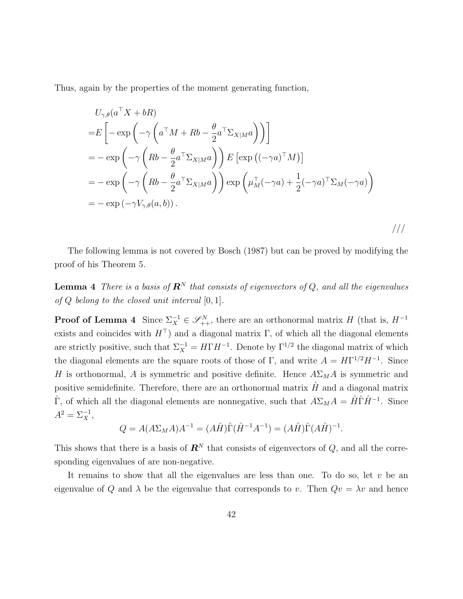Thus, again by the properties of the moment generating function,

$$
U_{\gamma,\theta}(a^{\top}X+bR)
$$
  
= $E\left[-\exp\left(-\gamma\left(a^{\top}M+Rb-\frac{\theta}{2}a^{\top}\Sigma_{X|M}a\right)\right)\right]$   
= $-\exp\left(-\gamma\left(Rb-\frac{\theta}{2}a^{\top}\Sigma_{X|M}a\right)\right)E\left[\exp\left((-\gamma a)^{\top}M\right)\right]$   
= $-\exp\left(-\gamma\left(Rb-\frac{\theta}{2}a^{\top}\Sigma_{X|M}a\right)\right)\exp\left(\mu_{M}^{\top}(-\gamma a)+\frac{1}{2}(-\gamma a)^{\top}\Sigma_{M}(-\gamma a)\right)$   
= $-\exp(-\gamma V_{\gamma,\theta}(a,b)).$ 

The following lemma is not covered by Bosch (1987) but can be proved by modifying the proof of his Theorem 5.

**Lemma 4** *There is a basis of*  $\mathbb{R}^N$  *that consists of eigenvectors of*  $Q$ *, and all the eigenvalues of Q belong to the closed unit interval* [0*,* 1]*.*

**Proof of Lemma 4** Since  $\Sigma_X^{-1} \in \mathscr{S}_{++}^N$ , there are an orthonormal matrix *H* (that is,  $H^{-1}$ ) exists and coincides with  $H^{\top}$ ) and a diagonal matrix  $\Gamma$ , of which all the diagonal elements are strictly positive, such that  $\Sigma_X^{-1} = H\Gamma H^{-1}$ . Denote by  $\Gamma^{1/2}$  the diagonal matrix of which the diagonal elements are the square roots of those of Γ, and write  $A = H\Gamma^{1/2}H^{-1}$ . Since *H* is orthonormal, *A* is symmetric and positive definite. Hence  $A\Sigma_M A$  is symmetric and positive semidefinite. Therefore, there are an orthonormal matrix  $\hat{H}$  and a diagonal matrix  $\hat{\Gamma}$ , of which all the diagonal elements are nonnegative, such that  $A\Sigma_M A = \hat{H}\hat{\Gamma}\hat{H}^{-1}$ . Since  $A^2 = \sum_X^{-1},$ 

$$
Q = A(A\Sigma_M A)A^{-1} = (A\hat{H})\hat{\Gamma}(\hat{H}^{-1}A^{-1}) = (A\hat{H})\hat{\Gamma}(A\hat{H})^{-1}.
$$

This shows that there is a basis of  $\mathbb{R}^N$  that consists of eigenvectors of  $Q$ , and all the corresponding eigenvalues of are non-negative.

It remains to show that all the eigenvalues are less than one. To do so, let *v* be an eigenvalue of *Q* and  $\lambda$  be the eigenvalue that corresponds to *v*. Then  $Qv = \lambda v$  and hence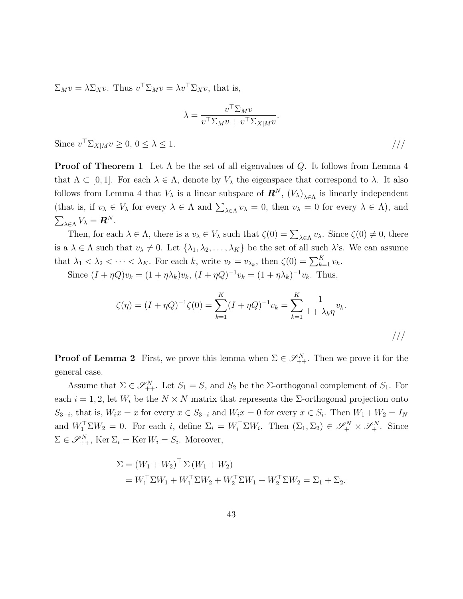$\Sigma_M v = \lambda \Sigma_X v$ . Thus  $v^\top \Sigma_M v = \lambda v^\top \Sigma_X v$ , that is,

$$
\lambda = \frac{v^\top \Sigma_M v}{v^\top \Sigma_M v + v^\top \Sigma_{X|M} v}.
$$

Since  $v^{\top} \Sigma_{X|M} v \ge 0, 0 \le \lambda \le 1.$  ///

**Proof of Theorem 1** Let  $\Lambda$  be the set of all eigenvalues of *Q*. It follows from Lemma 4 that  $\Lambda \subset [0,1]$ . For each  $\lambda \in \Lambda$ , denote by  $V_{\lambda}$  the eigenspace that correspond to  $\lambda$ . It also follows from Lemma 4 that  $V_{\lambda}$  is a linear subspace of  $\mathbf{R}^{N}$ ,  $(V_{\lambda})_{\lambda \in \Lambda}$  is linearly independent (that is, if  $v_{\lambda} \in V_{\lambda}$  for every  $\lambda \in \Lambda$  and  $\sum_{\lambda \in \Lambda} v_{\lambda} = 0$ , then  $v_{\lambda} = 0$  for every  $\lambda \in \Lambda$ ), and  $\sum_{\lambda \in \Lambda} V_{\lambda} = \mathbf{R}^{N}$ .

Then, for each  $\lambda \in \Lambda$ , there is a  $v_{\lambda} \in V_{\lambda}$  such that  $\zeta(0) = \sum_{\lambda \in \Lambda} v_{\lambda}$ . Since  $\zeta(0) \neq 0$ , there is a  $\lambda \in \Lambda$  such that  $v_{\lambda} \neq 0$ . Let  $\{\lambda_1, \lambda_2, \ldots, \lambda_K\}$  be the set of all such  $\lambda$ 's. We can assume that  $\lambda_1 < \lambda_2 < \cdots < \lambda_K$ . For each *k*, write  $v_k = v_{\lambda_k}$ , then  $\zeta(0) = \sum_{k=1}^K v_k$ .

Since  $(I + \eta Q)v_k = (1 + \eta \lambda_k)v_k$ ,  $(I + \eta Q)^{-1}v_k = (1 + \eta \lambda_k)^{-1}v_k$ . Thus,

$$
\zeta(\eta) = (I + \eta Q)^{-1} \zeta(0) = \sum_{k=1}^{K} (I + \eta Q)^{-1} v_k = \sum_{k=1}^{K} \frac{1}{1 + \lambda_k \eta} v_k.
$$

**Proof of Lemma 2** First, we prove this lemma when  $\Sigma \in \mathcal{S}_{++}^N$ . Then we prove it for the general case.

Assume that  $\Sigma \in \mathcal{S}_{++}^N$ . Let  $S_1 = S$ , and  $S_2$  be the  $\Sigma$ -orthogonal complement of  $S_1$ . For each  $i = 1, 2$ , let  $W_i$  be the  $N \times N$  matrix that represents the  $\Sigma$ -orthogonal projection onto  $S_{3-i}$ , that is,  $W_i x = x$  for every  $x \in S_{3-i}$  and  $W_i x = 0$  for every  $x \in S_i$ . Then  $W_1 + W_2 = I_N$ and  $W_1^{\top} \Sigma W_2 = 0$ . For each *i*, define  $\Sigma_i = W_i^{\top} \Sigma W_i$ . Then  $(\Sigma_1, \Sigma_2) \in \mathscr{S}_+^N \times \mathscr{S}_+^N$ . Since  $\Sigma \in \mathcal{S}_{++}^N$ , Ker  $\Sigma_i = \text{Ker } W_i = S_i$ . Moreover,

$$
\Sigma = (W_1 + W_2)^{\top} \Sigma (W_1 + W_2)
$$
  
=  $W_1^{\top} \Sigma W_1 + W_1^{\top} \Sigma W_2 + W_2^{\top} \Sigma W_1 + W_2^{\top} \Sigma W_2 = \Sigma_1 + \Sigma_2.$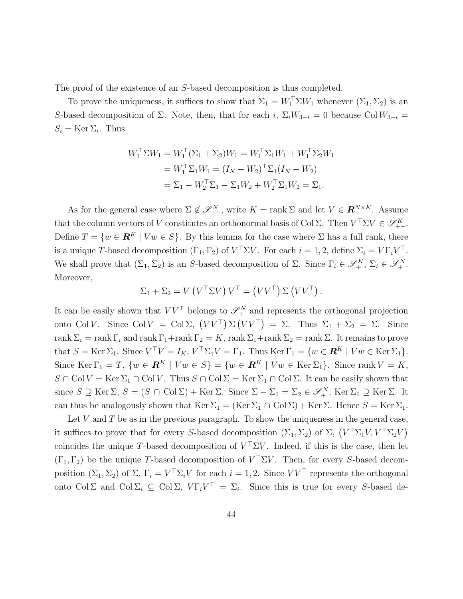The proof of the existence of an *S*-based decomposition is thus completed.

To prove the uniqueness, it suffices to show that  $\Sigma_1 = W_1^{\top} \Sigma W_1$  whenever  $(\Sigma_1, \Sigma_2)$  is an *S*-based decomposition of  $\Sigma$ . Note, then, that for each *i*,  $\Sigma_i W_{3-i} = 0$  because Col  $W_{3-i} =$  $S_i = \text{Ker } \Sigma_i$ . Thus

$$
W_1^{\top} \Sigma W_1 = W_1^{\top} (\Sigma_1 + \Sigma_2) W_1 = W_1^{\top} \Sigma_1 W_1 + W_1^{\top} \Sigma_2 W_1
$$
  
=  $W_1^{\top} \Sigma_1 W_1 = (I_N - W_2)^{\top} \Sigma_1 (I_N - W_2)$   
=  $\Sigma_1 - W_2^{\top} \Sigma_1 - \Sigma_1 W_2 + W_2^{\top} \Sigma_1 W_2 = \Sigma_1.$ 

As for the general case where  $\Sigma \notin \mathscr{S}_{++}^N$ , write  $K = \text{rank } \Sigma$  and let  $V \in \mathbb{R}^{N \times K}$ . Assume that the column vectors of *V* constitutes an orthonormal basis of Col  $\Sigma$ . Then  $V^{\top} \Sigma V \in \mathscr{S}_{++}^K$ . Define  $T = \{w \in \mathbb{R}^K \mid Vw \in S\}$ . By this lemma for the case where  $\Sigma$  has a full rank, there is a unique *T*-based decomposition  $(\Gamma_1, \Gamma_2)$  of  $V^{\perp} \Sigma V$ . For each  $i = 1, 2$ , define  $\Sigma_i = V \Gamma_i V^{\perp}$ . We shall prove that  $(\Sigma_1, \Sigma_2)$  is an *S*-based decomposition of  $\Sigma$ . Since  $\Gamma_i \in \mathscr{S}_+^K$ ,  $\Sigma_i \in \mathscr{S}_+^N$ . Moreover,

$$
\Sigma_1 + \Sigma_2 = V (V^{\top} \Sigma V) V^{\top} = (V V^{\top}) \Sigma (V V^{\top}).
$$

It can be easily shown that  $VV^{\top}$  belongs to  $\mathscr{S}_{+}^{N}$  and represents the orthogonal projection onto Col *V*. Since Col  $V = \text{Col}\Sigma$ ,  $(VV^{\top})\Sigma(VV^{\top}) = \Sigma$ . Thus  $\Sigma_1 + \Sigma_2 = \Sigma$ . Since rank  $\Sigma_i = \text{rank } \Gamma_i$  and  $\text{rank } \Gamma_1 + \text{rank } \Gamma_2 = K$ ,  $\text{rank } \Sigma_1 + \text{rank } \Sigma_2 = \text{rank } \Sigma$ . It remains to prove that  $S = \text{Ker } \Sigma_1$ . Since  $V^{\top}V = I_K$ ,  $V^{\top} \Sigma_1 V = \Gamma_1$ . Thus  $\text{Ker } \Gamma_1 = \{w \in \mathbf{R}^K \mid Vw \in \text{Ker } \Sigma_1\}$ . Since Ker  $\Gamma_1 = T$ ,  $\{w \in \mathbf{R}^K \mid Vw \in S\} = \{w \in \mathbf{R}^K \mid Vw \in \text{Ker } \Sigma_1\}$ . Since rank  $V = K$ ,  $S \cap \text{Col } V = \text{Ker } \Sigma_1 \cap \text{Col } V$ . Thus  $S \cap \text{Col } \Sigma = \text{Ker } \Sigma_1 \cap \text{Col } \Sigma$ . It can be easily shown that since  $S \supseteq \text{Ker } \Sigma$ ,  $S = (S \cap \text{Col } \Sigma) + \text{Ker } \Sigma$ . Since  $\Sigma - \Sigma_1 = \Sigma_2 \in \mathscr{S}_+^N$ ,  $\text{Ker } \Sigma_1 \supseteq \text{Ker } \Sigma$ . It can thus be analogously shown that  $\text{Ker } \Sigma_1 = (\text{Ker } \Sigma_1 \cap \text{Col } \Sigma) + \text{Ker } \Sigma$ . Hence  $S = \text{Ker } \Sigma_1$ .

Let *V* and *T* be as in the previous paragraph. To show the uniqueness in the general case, it suffices to prove that for every *S*-based decomposition  $(\Sigma_1, \Sigma_2)$  of  $\Sigma$ ,  $(V^{\top} \Sigma_1 V, V^{\top} \Sigma_2 V)$ coincides the unique *T*-based decomposition of *V <sup>⊤</sup>*Σ*V* . Indeed, if this is the case, then let  $(\Gamma_1, \Gamma_2)$  be the unique *T*-based decomposition of  $V^{\top} \Sigma V$ . Then, for every *S*-based decomposition  $(\Sigma_1, \Sigma_2)$  of  $\Sigma$ ,  $\Gamma_i = V^\top \Sigma_i V$  for each  $i = 1, 2$ . Since  $VV^\top$  represents the orthogonal onto Col  $\Sigma$  and Col  $\Sigma_i \subseteq \text{Col } \Sigma$ ,  $V\Gamma_i V^\top = \Sigma_i$ . Since this is true for every *S*-based de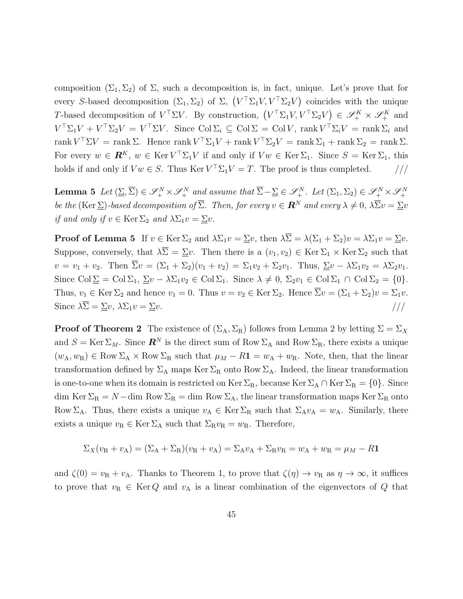composition  $(\Sigma_1, \Sigma_2)$  of  $\Sigma$ , such a decomposition is, in fact, unique. Let's prove that for every *S*-based decomposition  $(\Sigma_1, \Sigma_2)$  of  $\Sigma$ ,  $(V^{\top} \Sigma_1 V, V^{\top} \Sigma_2 V)$  coincides with the unique *T*-based decomposition of  $V^{\top} \Sigma V$ . By construction,  $(V^{\top} \Sigma_1 V, V^{\top} \Sigma_2 V) \in \mathscr{S}_+^K \times \mathscr{S}_+^K$  and  $V^{\top} \Sigma_1 V + V^{\top} \Sigma_2 V = V^{\top} \Sigma V$ . Since  $\text{Col } \Sigma_i \subseteq \text{Col } \Sigma = \text{Col } V$ , rank  $V^{\top} \Sigma_i V = \text{rank } \Sigma_i$  and  $\text{rank } V^\top \Sigma V = \text{rank } \Sigma. \text{ Hence } \text{rank } V^\top \Sigma_1 V + \text{rank } V^\top \Sigma_2 V = \text{rank } \Sigma_1 + \text{rank } \Sigma_2 = \text{rank } \Sigma.$ For every  $w \in \mathbf{R}^K$ ,  $w \in \text{Ker } V^\top \Sigma_1 V$  if and only if  $Vw \in \text{Ker } \Sigma_1$ . Since  $S = \text{Ker } \Sigma_1$ , this holds if and only if  $Vw \in S$ . Thus Ker  $V^{\top} \Sigma_1 V = T$ . The proof is thus completed.  $\frac{1}{1-\epsilon}$ 

**Lemma 5** Let  $(\Sigma, \overline{\Sigma}) \in \mathscr{S}_+^N \times \mathscr{S}_+^N$  and assume that  $\overline{\Sigma} - \underline{\Sigma} \in \mathscr{S}_+^N$ . Let  $(\Sigma_1, \Sigma_2) \in \mathscr{S}_+^N \times \mathscr{S}_+^N$ *be the* (Ker  $\Sigma$ )-based decomposition of  $\Sigma$ . Then, for every  $v \in \mathbb{R}^N$  and every  $\lambda \neq 0$ ,  $\lambda \overline{\Sigma} v = \Sigma v$ *if and only if*  $v \in \text{Ker } \Sigma_2$  *and*  $\lambda \Sigma_1 v = \Sigma v$ *.* 

**Proof of Lemma 5** If  $v \in \text{Ker } \Sigma_2$  and  $\lambda \Sigma_1 v = \Sigma v$ , then  $\lambda \overline{\Sigma} = \lambda(\Sigma_1 + \Sigma_2)v = \lambda \Sigma_1 v = \Sigma v$ . Suppose, conversely, that  $\lambda \overline{\Sigma} = \Sigma v$ . Then there is a  $(v_1, v_2) \in \text{Ker } \Sigma_1 \times \text{Ker } \Sigma_2$  such that  $v = v_1 + v_2$ . Then  $\overline{\Sigma}v = (\Sigma_1 + \Sigma_2)(v_1 + v_2) = \Sigma_1v_2 + \Sigma_2v_1$ . Thus,  $\Sigma v - \lambda \Sigma_1v_2 = \lambda \Sigma_2v_1$ . Since  $\text{Col}\Sigma = \text{Col}\Sigma_1, \Sigma_v - \lambda\Sigma_1v_2 \in \text{Col}\Sigma_1$ . Since  $\lambda \neq 0, \Sigma_2v_1 \in \text{Col}\Sigma_1 \cap \text{Col}\Sigma_2 = \{0\}.$ Thus,  $v_1 \in \text{Ker } \Sigma_2$  and hence  $v_1 = 0$ . Thus  $v = v_2 \in \text{Ker } \Sigma_2$ . Hence  $\overline{\Sigma}v = (\Sigma_1 + \Sigma_2)v = \Sigma_1v$ . Since  $\lambda \overline{\Sigma} = \underline{\Sigma} v$ ,  $\lambda \Sigma_1 v = \underline{\Sigma} v$ . ///

**Proof of Theorem 2** The existence of  $(\Sigma_A, \Sigma_R)$  follows from Lemma 2 by letting  $\Sigma = \Sigma_X$ and  $S = \text{Ker } \Sigma_M$ . Since  $\mathbb{R}^N$  is the direct sum of Row  $\Sigma_A$  and Row  $\Sigma_R$ , there exists a unique  $(w_A, w_B) \in \text{Row } \Sigma_A \times \text{Row } \Sigma_R$  such that  $\mu_M - R\mathbf{1} = w_A + w_R$ . Note, then, that the linear transformation defined by  $\Sigma_A$  maps Ker  $\Sigma_R$  onto Row  $\Sigma_A$ . Indeed, the linear transformation is one-to-one when its domain is restricted on Ker  $\Sigma_R$ , because Ker  $\Sigma_A \cap$  Ker  $\Sigma_R = \{0\}$ . Since dim Ker  $\Sigma_R = N - \text{dim Row } \Sigma_R = \text{dim Row } \Sigma_A$ , the linear transformation maps Ker  $\Sigma_R$  onto Row  $\Sigma_A$ . Thus, there exists a unique  $v_A \in \text{Ker } \Sigma_R$  such that  $\Sigma_A v_A = w_A$ . Similarly, there exists a unique  $v_R \in \text{Ker } \Sigma_A$  such that  $\Sigma_R v_R = w_R$ . Therefore,

$$
\Sigma_X(v_R + v_A) = (\Sigma_A + \Sigma_R)(v_R + v_A) = \Sigma_A v_A + \Sigma_R v_R = w_A + w_R = \mu_M - R\mathbf{1}
$$

and  $\zeta(0) = v_R + v_A$ . Thanks to Theorem 1, to prove that  $\zeta(\eta) \to v_R$  as  $\eta \to \infty$ , it suffices to prove that  $v_R \in \text{Ker } Q$  and  $v_A$  is a linear combination of the eigenvectors of  $Q$  that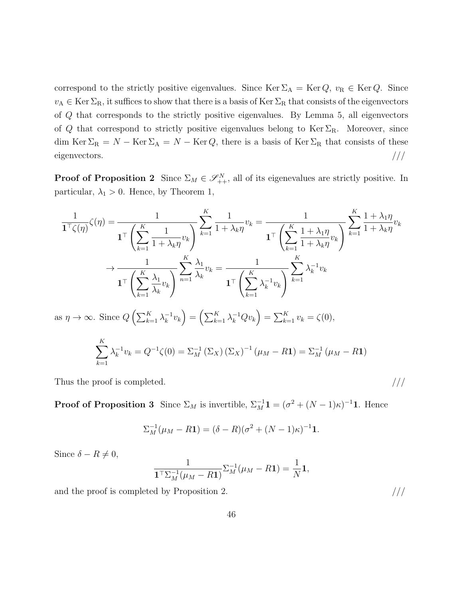correspond to the strictly positive eigenvalues. Since Ker  $\Sigma_A = \text{Ker }Q$ ,  $v_R \in \text{Ker }Q$ . Since  $v_A \in \text{Ker } \Sigma_R$ , it suffices to show that there is a basis of  $\text{Ker } \Sigma_R$  that consists of the eigenvectors of *Q* that corresponds to the strictly positive eigenvalues. By Lemma 5, all eigenvectors of *Q* that correspond to strictly positive eigenvalues belong to Ker  $\Sigma_R$ . Moreover, since dim Ker  $\Sigma_R = N - \text{Ker } \Sigma_A = N - \text{Ker } Q$ , there is a basis of Ker  $\Sigma_R$  that consists of these eigenvectors.  $/$ ///

**Proof of Proposition 2** Since  $\Sigma_M \in \mathcal{S}_{++}^N$ , all of its eigenevalues are strictly positive. In particular,  $\lambda_1 > 0$ . Hence, by Theorem 1,

$$
\frac{1}{\mathbf{1}^{\top}\zeta(\eta)}\zeta(\eta) = \frac{1}{\mathbf{1}^{\top}\left(\sum_{k=1}^{K}\frac{1}{1+\lambda_{k}\eta}v_{k}\right)}\sum_{k=1}^{K}\frac{1}{1+\lambda_{k}\eta}v_{k} = \frac{1}{\mathbf{1}^{\top}\left(\sum_{k=1}^{K}\frac{1+\lambda_{1}\eta}{1+\lambda_{k}\eta}v_{k}\right)}\sum_{k=1}^{K}\frac{1+\lambda_{1}\eta}{1+\lambda_{k}\eta}v_{k}
$$

$$
\to \frac{1}{\mathbf{1}^{\top}\left(\sum_{k=1}^{K}\frac{\lambda_{1}}{\lambda_{k}}v_{k}\right)}\sum_{n=1}^{K}\frac{\lambda_{1}}{\lambda_{k}}v_{k} = \frac{1}{\mathbf{1}^{\top}\left(\sum_{k=1}^{K}\frac{\lambda_{1}}{\lambda_{k}}v_{k}\right)}\sum_{k=1}^{K}\lambda_{k}^{-1}v_{k}
$$
as  $\eta \to \infty$ . Since  $Q\left(\sum_{k=1}^{K}\lambda_{k}^{-1}v_{k}\right) = \left(\sum_{k=1}^{K}\lambda_{k}^{-1}Qv_{k}\right) = \sum_{k=1}^{K}v_{k} = \zeta(0),$ 
$$
\sum_{k=1}^{K}\lambda_{k}^{-1}v_{k} = Q^{-1}\zeta(0) = \sum_{M}^{-1}\left(\sum_{X}\right)\left(\sum_{X}\right)^{-1}\left(\mu_{M} - R\mathbf{1}\right) = \sum_{M}^{-1}\left(\mu_{M} - R\mathbf{1}\right)
$$

Thus the proof is completed.  $/$ //

**Proof of Proposition 3** Since  $\Sigma_M$  is invertible,  $\Sigma_M^{-1} \mathbf{1} = (\sigma^2 + (N-1)\kappa)^{-1} \mathbf{1}$ . Hence

$$
\Sigma_M^{-1}(\mu_M - R\mathbf{1}) = (\delta - R)(\sigma^2 + (N - 1)\kappa)^{-1}\mathbf{1}.
$$

Since  $\delta - R \neq 0$ ,

$$
\frac{1}{\mathbf{1}^{\top} \Sigma_M^{-1} (\mu_M - R \mathbf{1})} \Sigma_M^{-1} (\mu_M - R \mathbf{1}) = \frac{1}{N} \mathbf{1},
$$

and the proof is completed by Proposition 2.  $///$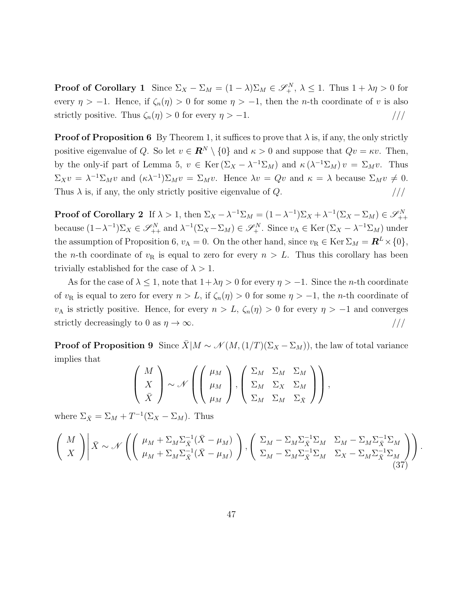**Proof of Corollary 1** Since  $\Sigma_X - \Sigma_M = (1 - \lambda)\Sigma_M \in \mathcal{S}_+^N$ ,  $\lambda \leq 1$ . Thus  $1 + \lambda \eta > 0$  for every  $\eta > -1$ . Hence, if  $\zeta_n(\eta) > 0$  for some  $\eta > -1$ , then the *n*-th coordinate of *v* is also strictly positive. Thus  $\zeta_n(\eta) > 0$  for every  $\eta > -1$ . ///

**Proof of Proposition 6** By Theorem 1, it suffices to prove that  $\lambda$  is, if any, the only strictly positive eigenvalue of *Q*. So let  $v \in \mathbb{R}^N \setminus \{0\}$  and  $\kappa > 0$  and suppose that  $Qv = \kappa v$ . Then, by the only-if part of Lemma 5,  $v \in \text{Ker}(\Sigma_X - \lambda^{-1} \Sigma_M)$  and  $\kappa(\lambda^{-1} \Sigma_M) v = \Sigma_M v$ . Thus  $\Sigma_X v = \lambda^{-1} \Sigma_M v$  and  $(\kappa \lambda^{-1}) \Sigma_M v = \Sigma_M v$ . Hence  $\lambda v = Qv$  and  $\kappa = \lambda$  because  $\Sigma_M v \neq 0$ . Thus  $\lambda$  is, if any, the only strictly positive eigenvalue of  $Q$ .

**Proof of Corollary 2** If  $\lambda > 1$ , then  $\Sigma_X - \lambda^{-1} \Sigma_M = (1 - \lambda^{-1}) \Sigma_X + \lambda^{-1} (\Sigma_X - \Sigma_M) \in \mathscr{S}^N_{++}$ because  $(1-\lambda^{-1})\Sigma_X \in \mathscr{S}_{++}^N$  and  $\lambda^{-1}(\Sigma_X - \Sigma_M) \in \mathscr{S}_+^N$ . Since  $v_A \in \text{Ker}(\Sigma_X - \lambda^{-1}\Sigma_M)$  under the assumption of Proposition 6,  $v_A = 0$ . On the other hand, since  $v_R \in \text{Ker } \Sigma_M = \mathbb{R}^L \times \{0\},\$ the *n*-th coordinate of  $v_R$  is equal to zero for every  $n > L$ . Thus this corollary has been trivially established for the case of  $\lambda > 1$ .

As for the case of  $\lambda \leq 1$ , note that  $1 + \lambda \eta > 0$  for every  $\eta > -1$ . Since the *n*-th coordinate of  $v_R$  is equal to zero for every  $n > L$ , if  $\zeta_n(\eta) > 0$  for some  $\eta > -1$ , the *n*-th coordinate of *v*<sub>A</sub> is strictly positive. Hence, for every  $n > L$ ,  $\zeta_n(\eta) > 0$  for every  $\eta > -1$  and converges strictly decreasingly to 0 as  $\eta \to \infty$ . ///

**Proof of Proposition 9** Since  $\bar{X}$ |*M*  $\sim \mathcal{N}(M,(1/T)(\Sigma_X - \Sigma_M))$ , the law of total variance implies that

$$
\begin{pmatrix}\nM \\
X \\
\bar{X}\n\end{pmatrix}\n\sim \mathcal{N}\left(\begin{pmatrix}\n\mu_M \\
\mu_M \\
\mu_M\n\end{pmatrix}, \begin{pmatrix}\n\Sigma_M & \Sigma_M & \Sigma_M \\
\Sigma_M & \Sigma_X & \Sigma_M \\
\Sigma_M & \Sigma_M & \Sigma_{\bar{X}}\n\end{pmatrix}\right),
$$

where  $\Sigma_{\bar{X}} = \Sigma_M + T^{-1}(\Sigma_X - \Sigma_M)$ . Thus

$$
\left(\begin{array}{c}\nM \\
X\n\end{array}\right)\n\left|\bar{X} \sim \mathcal{N}\left(\begin{pmatrix}\n\mu_M + \Sigma_M \Sigma_{\bar{X}}^{-1} (\bar{X} - \mu_M) \\
\mu_M + \Sigma_M \Sigma_{\bar{X}}^{-1} (\bar{X} - \mu_M)\n\end{pmatrix}, \begin{pmatrix}\n\Sigma_M - \Sigma_M \Sigma_{\bar{X}}^{-1} \Sigma_M & \Sigma_M - \Sigma_M \Sigma_{\bar{X}}^{-1} \Sigma_M \\
\Sigma_M - \Sigma_M \Sigma_{\bar{X}}^{-1} \Sigma_M & \Sigma_X - \Sigma_M \Sigma_{\bar{X}}^{-1} \Sigma_M\n\end{pmatrix}\right).
$$
\n(37)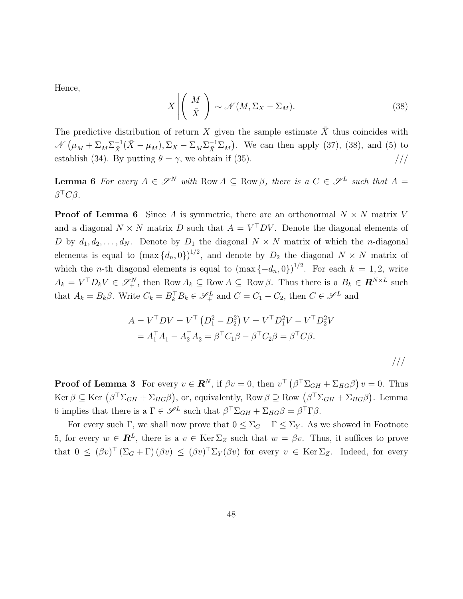Hence,

$$
X \left| \left( \begin{array}{c} M \\ \bar{X} \end{array} \right) \sim \mathcal{N}(M, \Sigma_X - \Sigma_M). \tag{38}
$$

The predictive distribution of return X given the sample estimate  $\overline{X}$  thus coincides with  $\mathcal{N}(\mu_M + \Sigma_M \Sigma_X^{-1} (\bar{X} - \mu_M), \Sigma_X - \Sigma_M \Sigma_X^{-1} \Sigma_M)$ . We can then apply (37), (38), and (5) to establish (34). By putting  $\theta = \gamma$ , we obtain if (35). ///

**Lemma 6** For every  $A \in \mathcal{S}^N$  with Row  $A \subseteq \text{Row } \beta$ , there is a  $C \in \mathcal{S}^L$  such that  $A =$ *β <sup>⊤</sup>Cβ.*

**Proof of Lemma 6** Since *A* is symmetric, there are an orthonormal  $N \times N$  matrix *V* and a diagonal  $N \times N$  matrix *D* such that  $A = V<sup>T</sup> DV$ . Denote the diagonal elements of *D* by  $d_1, d_2, \ldots, d_N$ . Denote by  $D_1$  the diagonal  $N \times N$  matrix of which the *n*-diagonal elements is equal to  $(\max\{d_n, 0\})^{1/2}$ , and denote by  $D_2$  the diagonal  $N \times N$  matrix of which the *n*-th diagonal elements is equal to  $(\max\{-d_n, 0\})^{1/2}$ . For each  $k = 1, 2$ , write  $A_k = V^{\top}D_k V \in \mathscr{S}_+^N$ , then Row  $A_k \subseteq \text{Row } A \subseteq \text{Row } \beta$ . Thus there is a  $B_k \in \mathbb{R}^{N \times L}$  such that  $A_k = B_k \beta$ . Write  $C_k = B_k^\top B_k \in \mathcal{S}_+^L$  and  $C = C_1 - C_2$ , then  $C \in \mathcal{S}_-^L$  and

$$
A = V^{\top}DV = V^{\top} (D_1^2 - D_2^2) V = V^{\top} D_1^2 V - V^{\top} D_2^2 V
$$
  
=  $A_1^{\top} A_1 - A_2^{\top} A_2 = \beta^{\top} C_1 \beta - \beta^{\top} C_2 \beta = \beta^{\top} C \beta.$ 

**Proof of Lemma 3** For every  $v \in \mathbb{R}^N$ , if  $\beta v = 0$ , then  $v^{\top} (\beta^{\top} \Sigma_{GH} + \Sigma_{HG} \beta) v = 0$ . Thus  $\text{Ker } \beta \subseteq \text{Ker } (\beta^{\top} \Sigma_{GH} + \Sigma_{HG} \beta), \text{ or, equivalently, } \text{Row } \beta \supseteq \text{Row } (\beta^{\top} \Sigma_{GH} + \Sigma_{HG} \beta).$  Lemma 6 implies that there is a  $\Gamma \in \mathscr{S}^L$  such that  $\beta^T \Sigma_{GH} + \Sigma_{HG} \beta = \beta^T \Gamma \beta$ .

For every such Γ, we shall now prove that  $0 \leq \Sigma_G + \Gamma \leq \Sigma_Y$ . As we showed in Footnote 5, for every  $w \in \mathbb{R}^L$ , there is a  $v \in \text{Ker } \Sigma_Z$  such that  $w = \beta v$ . Thus, it suffices to prove that  $0 \leq (\beta v)^{\top} (\Sigma_G + \Gamma)(\beta v) \leq (\beta v)^{\top} \Sigma_Y(\beta v)$  for every  $v \in \text{Ker } \Sigma_Z$ . Indeed, for every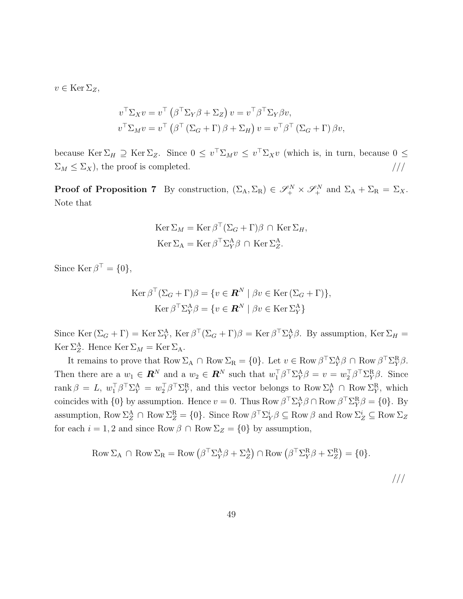$v \in \text{Ker } \Sigma_Z$ ,

$$
v^{\top} \Sigma_X v = v^{\top} (\beta^{\top} \Sigma_Y \beta + \Sigma_Z) v = v^{\top} \beta^{\top} \Sigma_Y \beta v,
$$
  

$$
v^{\top} \Sigma_M v = v^{\top} (\beta^{\top} (\Sigma_G + \Gamma) \beta + \Sigma_H) v = v^{\top} \beta^{\top} (\Sigma_G + \Gamma) \beta v,
$$

because Ker  $\Sigma_H \supseteq \text{Ker } \Sigma_Z$ . Since  $0 \leq v^\top \Sigma_M v \leq v^\top \Sigma_X v$  (which is, in turn, because  $0 \leq$  $\Sigma_M \leq \Sigma_X$ , the proof is completed.  $\frac{1}{1-\lambda_X}$ 

**Proof of Proposition 7** By construction,  $(\Sigma_A, \Sigma_R) \in \mathscr{S}_+^N \times \mathscr{S}_+^N$  and  $\Sigma_A + \Sigma_R = \Sigma_X$ . Note that

$$
\operatorname{Ker} \Sigma_M = \operatorname{Ker} \beta^\top (\Sigma_G + \Gamma) \beta \cap \operatorname{Ker} \Sigma_H,
$$
  

$$
\operatorname{Ker} \Sigma_A = \operatorname{Ker} \beta^\top \Sigma_Y^A \beta \cap \operatorname{Ker} \Sigma_Z^A.
$$

Since  $\text{Ker } \beta^{\top} = \{0\},\$ 

$$
\operatorname{Ker} \beta^{\top} (\Sigma_G + \Gamma) \beta = \{ v \in \mathbf{R}^N \mid \beta v \in \operatorname{Ker} (\Sigma_G + \Gamma) \},
$$

$$
\operatorname{Ker} \beta^{\top} \Sigma_Y^{\mathcal{A}} \beta = \{ v \in \mathbf{R}^N \mid \beta v \in \operatorname{Ker} \Sigma_Y^{\mathcal{A}} \}
$$

Since Ker  $(\Sigma_G + \Gamma) = \text{Ker } \Sigma_Y^A$ , Ker  $\beta^{\top}(\Sigma_G + \Gamma)\beta = \text{Ker } \beta^{\top} \Sigma_Y^A \beta$ . By assumption, Ker  $\Sigma_H =$ Ker  $\Sigma_Z^A$ . Hence Ker  $\Sigma_M = \text{Ker } \Sigma_A$ .

It remains to prove that  $Row \Sigma_A \cap Row \Sigma_R = \{0\}$ . Let  $v \in Row \beta^{\top} \Sigma_Y^A \beta \cap Row \beta^{\top} \Sigma_Y^R \beta$ . Then there are a  $w_1 \in \mathbb{R}^N$  and a  $w_2 \in \mathbb{R}^N$  such that  $w_1^{\top} \beta^{\top} \Sigma_Y^{\mathcal{A}} \beta = v = w_2^{\top} \beta^{\top} \Sigma_Y^{\mathcal{R}} \beta$ . Since  $\text{rank }\beta = L, w_1^\top \beta^\top \Sigma_Y^{\text{A}} = w_2^\top \beta^\top \Sigma_Y^{\text{R}}$ , and this vector belongs to Row  $\Sigma_Y^{\text{A}} \cap \text{Row } \Sigma_Y^{\text{R}}$ , which coincides with  $\{0\}$  by assumption. Hence  $v = 0$ . Thus Row  $\beta^{\top} \Sigma_Y^{\mathcal{A}} \beta \cap \text{Row } \beta^{\top} \Sigma_Y^{\mathcal{R}} \beta = \{0\}$ . By  $\text{assumption, Row } \Sigma_Z^A \cap \text{Row } \Sigma_Z^R = \{0\}.$  Since  $\text{Row } \beta^{\top} \Sigma_Y^i \beta \subseteq \text{Row } \beta \text{ and } \text{Row } \Sigma_Z^i \subseteq \text{Row } \Sigma_Z$ for each  $i = 1, 2$  and since Row  $\beta \cap \text{Row } \Sigma_Z = \{0\}$  by assumption,

Row 
$$
\Sigma_A \cap \text{Row } \Sigma_R = \text{Row } (\beta^\top \Sigma_Y^A \beta + \Sigma_Z^A) \cap \text{Row } (\beta^\top \Sigma_Y^R \beta + \Sigma_Z^R) = \{0\}.
$$

///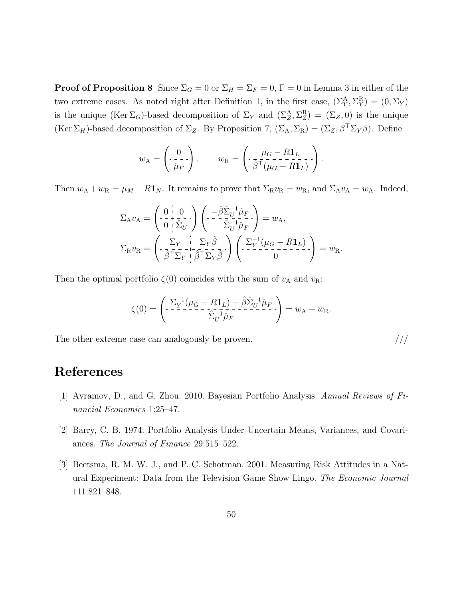**Proof of Proposition 8** Since  $\Sigma_G = 0$  or  $\Sigma_H = \Sigma_F = 0$ ,  $\Gamma = 0$  in Lemma 3 in either of the two extreme cases. As noted right after Definition 1, in the first case,  $(\Sigma_Y^A, \Sigma_Y^R) = (0, \Sigma_Y)$ is the unique  $(Ker \Sigma_G)$ -based decomposition of  $\Sigma_Y$  and  $(\Sigma_Z^A, \Sigma_Z^R) = (\Sigma_Z, 0)$  is the unique (Ker  $\Sigma_H$ )-based decomposition of  $\Sigma_Z$ . By Proposition 7, ( $\Sigma_A$ ,  $\Sigma_R$ ) = ( $\Sigma_Z$ ,  $\beta^T \Sigma_Y \beta$ ). Define

$$
w_{\mathbf{A}} = \begin{pmatrix} 0 \\ -\frac{1}{\hat{\mu}_F} \end{pmatrix}, \qquad w_{\mathbf{R}} = \begin{pmatrix} \mu_G - R\mathbf{1}_L \\ \bar{\beta}^{\dagger}(\mu_G - R\mathbf{1}_L) \end{pmatrix}.
$$

Then  $w_A + w_B = \mu_M - R\mathbf{1}_N$ . It remains to prove that  $\Sigma_R v_R = w_R$ , and  $\Sigma_A v_A = w_A$ . Indeed,

$$
\Sigma_{A}v_{A} = \begin{pmatrix} 0 & 0 \\ -\frac{1}{2} + \frac{1}{2} - \frac{1}{2} \end{pmatrix} \begin{pmatrix} -\hat{\beta}\hat{\Sigma}_{U}^{-1}\hat{\mu}_{F} \\ -\frac{1}{2} - \frac{1}{2} \frac{1}{2} \hat{\mu}_{F} \end{pmatrix} = w_{A},
$$
\n
$$
\Sigma_{R}v_{R} = \begin{pmatrix} \Sigma_{Y} & \Sigma_{Y}\hat{\beta} \\ -\frac{1}{2} - \frac{1}{2} - \frac{1}{2} \frac{1}{2} \frac{1}{2} \end{pmatrix} \begin{pmatrix} \Sigma_{Y}^{-1}(\mu_{G} - R\mathbf{1}_{L}) \\ -\frac{1}{2} - \frac{1}{2} - \frac{1}{2} \end{pmatrix} = w_{R}.
$$

Then the optimal portfolio  $\zeta(0)$  coincides with the sum of  $v_A$  and  $v_R$ :

$$
\zeta(0) = \left( \begin{array}{c} \Sigma_Y^{-1} (\mu_G - R \mathbf{1}_L) - \hat{\beta} \hat{\Sigma}_U^{-1} \hat{\mu}_F \\ - \Sigma_Y^{-1} - \Sigma_Y^{-1} \hat{\mu}_F \end{array} \right) = w_{\mathbf{A}} + w_{\mathbf{R}}.
$$

The other extreme case can analogously be proven.  $///$ 

## **References**

- [1] Avramov, D., and G. Zhou. 2010. Bayesian Portfolio Analysis. *Annual Reviews of Financial Economics* 1:25–47.
- [2] Barry, C. B. 1974. Portfolio Analysis Under Uncertain Means, Variances, and Covariances. *The Journal of Finance* 29:515–522.
- [3] Beetsma, R. M. W. J., and P. C. Schotman. 2001. Measuring Risk Attitudes in a Natural Experiment: Data from the Television Game Show Lingo. *The Economic Journal* 111:821–848.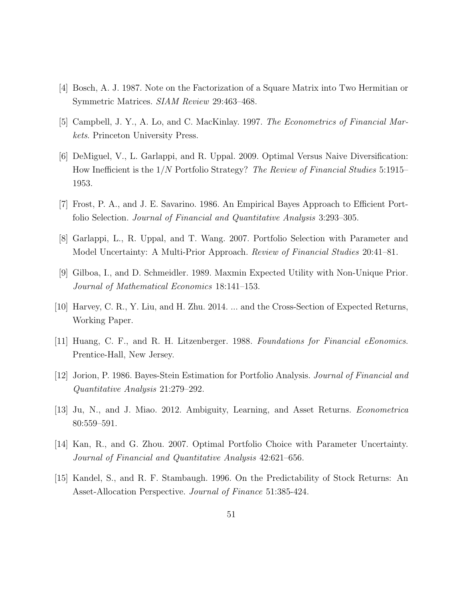- [4] Bosch, A. J. 1987. Note on the Factorization of a Square Matrix into Two Hermitian or Symmetric Matrices. *SIAM Review* 29:463–468.
- [5] Campbell, J. Y., A. Lo, and C. MacKinlay. 1997. *The Econometrics of Financial Markets*. Princeton University Press.
- [6] DeMiguel, V., L. Garlappi, and R. Uppal. 2009. Optimal Versus Naive Diversification: How Inefficient is the 1*/N* Portfolio Strategy? *The Review of Financial Studies* 5:1915– 1953.
- [7] Frost, P. A., and J. E. Savarino. 1986. An Empirical Bayes Approach to Efficient Portfolio Selection. *Journal of Financial and Quantitative Analysis* 3:293–305.
- [8] Garlappi, L., R. Uppal, and T. Wang. 2007. Portfolio Selection with Parameter and Model Uncertainty: A Multi-Prior Approach. *Review of Financial Studies* 20:41–81.
- [9] Gilboa, I., and D. Schmeidler. 1989. Maxmin Expected Utility with Non-Unique Prior. *Journal of Mathematical Economics* 18:141–153.
- [10] Harvey, C. R., Y. Liu, and H. Zhu. 2014. ... and the Cross-Section of Expected Returns, Working Paper.
- [11] Huang, C. F., and R. H. Litzenberger. 1988. *Foundations for Financial eEonomics*. Prentice-Hall, New Jersey.
- [12] Jorion, P. 1986. Bayes-Stein Estimation for Portfolio Analysis. *Journal of Financial and Quantitative Analysis* 21:279–292.
- [13] Ju, N., and J. Miao. 2012. Ambiguity, Learning, and Asset Returns. *Econometrica* 80:559–591.
- [14] Kan, R., and G. Zhou. 2007. Optimal Portfolio Choice with Parameter Uncertainty. *Journal of Financial and Quantitative Analysis* 42:621–656.
- [15] Kandel, S., and R. F. Stambaugh. 1996. On the Predictability of Stock Returns: An Asset-Allocation Perspective. *Journal of Finance* 51:385-424.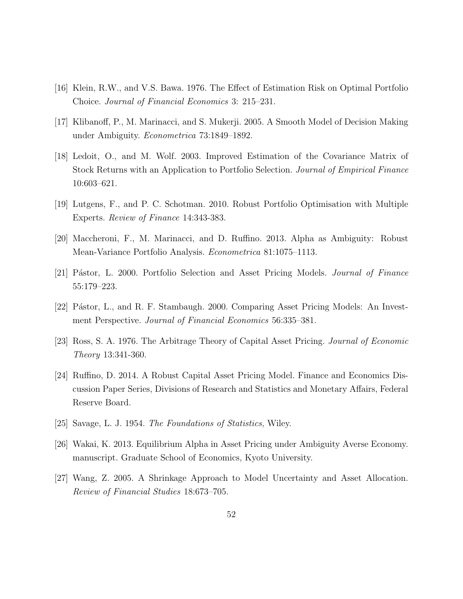- [16] Klein, R.W., and V.S. Bawa. 1976. The Effect of Estimation Risk on Optimal Portfolio Choice. *Journal of Financial Economics* 3: 215–231.
- [17] Klibanoff, P., M. Marinacci, and S. Mukerji. 2005. A Smooth Model of Decision Making under Ambiguity. *Econometrica* 73:1849–1892.
- [18] Ledoit, O., and M. Wolf. 2003. Improved Estimation of the Covariance Matrix of Stock Returns with an Application to Portfolio Selection. *Journal of Empirical Finance* 10:603–621.
- [19] Lutgens, F., and P. C. Schotman. 2010. Robust Portfolio Optimisation with Multiple Experts. *Review of Finance* 14:343-383.
- [20] Maccheroni, F., M. Marinacci, and D. Ruffino. 2013. Alpha as Ambiguity: Robust Mean-Variance Portfolio Analysis. *Econometrica* 81:1075–1113.
- [21] P´astor, L. 2000. Portfolio Selection and Asset Pricing Models. *Journal of Finance* 55:179–223.
- [22] Pástor, L., and R. F. Stambaugh. 2000. Comparing Asset Pricing Models: An Investment Perspective. *Journal of Financial Economics* 56:335–381.
- [23] Ross, S. A. 1976. The Arbitrage Theory of Capital Asset Pricing. *Journal of Economic Theory* 13:341-360.
- [24] Ruffino, D. 2014. A Robust Capital Asset Pricing Model. Finance and Economics Discussion Paper Series, Divisions of Research and Statistics and Monetary Affairs, Federal Reserve Board.
- [25] Savage, L. J. 1954. *The Foundations of Statistics*, Wiley.
- [26] Wakai, K. 2013. Equilibrium Alpha in Asset Pricing under Ambiguity Averse Economy. manuscript. Graduate School of Economics, Kyoto University.
- [27] Wang, Z. 2005. A Shrinkage Approach to Model Uncertainty and Asset Allocation. *Review of Financial Studies* 18:673–705.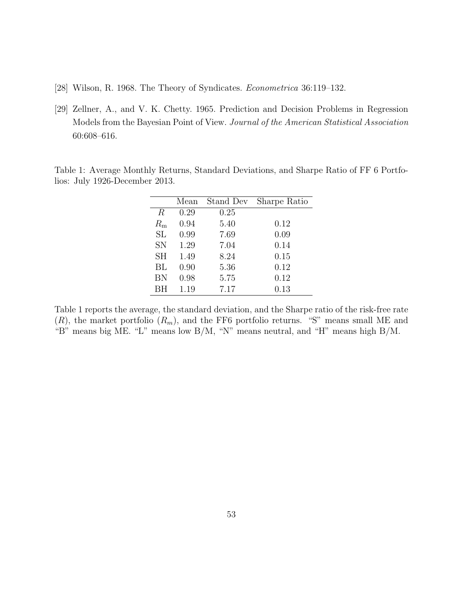- [28] Wilson, R. 1968. The Theory of Syndicates. *Econometrica* 36:119–132.
- [29] Zellner, A., and V. K. Chetty. 1965. Prediction and Decision Problems in Regression Models from the Bayesian Point of View. *Journal of the American Statistical Association* 60:608–616.

Table 1: Average Monthly Returns, Standard Deviations, and Sharpe Ratio of FF 6 Portfolios: July 1926-December 2013.

|                  | Mean | Stand Dev | Sharpe Ratio |
|------------------|------|-----------|--------------|
| $\boldsymbol{R}$ | 0.29 | 0.25      |              |
| $R_{\rm m}$      | 0.94 | 5.40      | 0.12         |
| SL               | 0.99 | 7.69      | 0.09         |
| <b>SN</b>        | 1.29 | 7.04      | 0.14         |
| <b>SH</b>        | 1.49 | 8.24      | 0.15         |
| BL               | 0.90 | 5.36      | 0.12         |
| BN               | 0.98 | 5.75      | 0.12         |
| ВH               | 1.19 | 7.17      | 0.13         |

Table 1 reports the average, the standard deviation, and the Sharpe ratio of the risk-free rate  $(R)$ , the market portfolio  $(R_m)$ , and the FF6 portfolio returns. "S" means small ME and "B" means big ME. "L" means low B/M, "N" means neutral, and "H" means high B/M.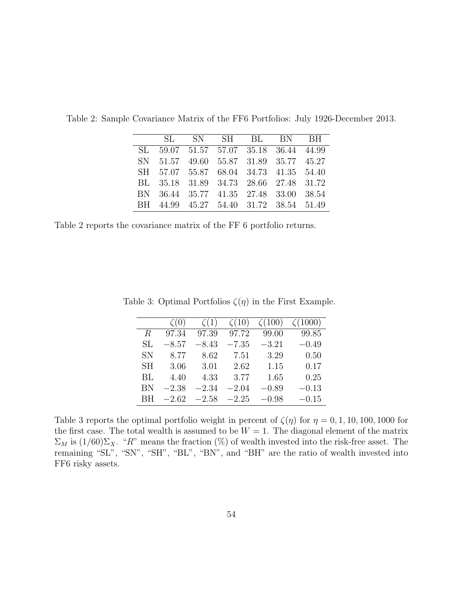|     | SL. |  | SN SH BL BN BH                         |  |
|-----|-----|--|----------------------------------------|--|
| SL. |     |  | 59.07 51.57 57.07 35.18 36.44 44.99    |  |
|     |     |  | SN 51.57 49.60 55.87 31.89 35.77 45.27 |  |
|     |     |  | SH 57.07 55.87 68.04 34.73 41.35 54.40 |  |
|     |     |  | BL 35.18 31.89 34.73 28.66 27.48 31.72 |  |
|     |     |  | BN 36.44 35.77 41.35 27.48 33.00 38.54 |  |
|     |     |  | BH 44.99 45.27 54.40 31.72 38.54 51.49 |  |

Table 2: Sample Covariance Matrix of the FF6 Portfolios: July 1926-December 2013.

Table 2 reports the covariance matrix of the FF 6 portfolio returns.

|           | $\zeta(0)$ | $\zeta(1)$ | $\zeta(10)$ | $\zeta(100)$ | $\zeta(1000)$ |
|-----------|------------|------------|-------------|--------------|---------------|
| $\,R$     | 97.34      | 97.39      | 97.72       | 99.00        | 99.85         |
| SL        | $-8.57$    | $-8.43$    | $-7.35$     | $-3.21$      | $-0.49$       |
| SN        | 8.77       | 8.62       | 7.51        | 3.29         | 0.50          |
| <b>SH</b> | 3.06       | 3.01       | 2.62        | 1.15         | 0.17          |
| BL        | 4.40       | 4.33       | 3.77        | 1.65         | 0.25          |
| ΒN        | $-2.38$    | $-2.34$    | $-2.04$     | $-0.89$      | $-0.13$       |
| BН        | $-2.62\,$  | $-2.58$    | $-2.25$     | $-0.98$      | $-0.15$       |

Table 3: Optimal Portfolios  $\zeta(\eta)$  in the First Example.

Table 3 reports the optimal portfolio weight in percent of  $\zeta(\eta)$  for  $\eta = 0, 1, 10, 100, 1000$  for the first case. The total wealth is assumed to be  $W = 1$ . The diagonal element of the matrix  $\Sigma_M$  is  $(1/60)\Sigma_X$ . "*R*" means the fraction (%) of wealth invested into the risk-free asset. The remaining "SL", "SN", "SH", "BL", "BN", and "BH" are the ratio of wealth invested into FF6 risky assets.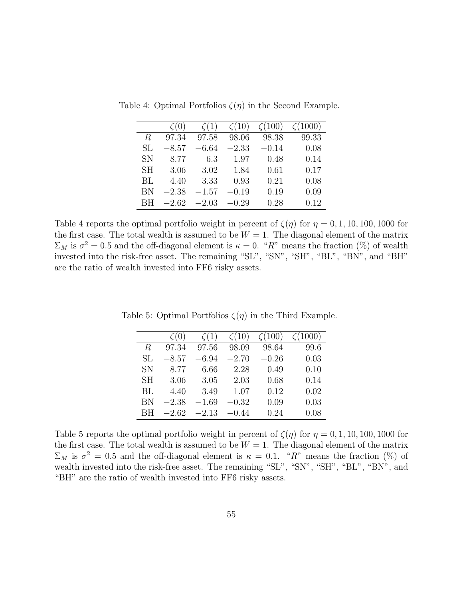|           | $\zeta(0)$ | $\zeta(1)$ | $\zeta(10)$ | $\zeta(100)$ | $\zeta(1000)$ |
|-----------|------------|------------|-------------|--------------|---------------|
| R.        | 97.34      | 97.58      | 98.06       | 98.38        | 99.33         |
| SL        | $-8.57$    | $-6.64$    | $-2.33$     | $-0.14$      | 0.08          |
| <b>SN</b> | 8.77       | 6.3        | 1.97        | 0.48         | 0.14          |
| <b>SH</b> | 3.06       | 3.02       | 1.84        | 0.61         | 0.17          |
| BL        | 4.40       | 3.33       | 0.93        | 0.21         | 0.08          |
| BN        | $-2.38$    | $-1.57$    | $-0.19$     | 0.19         | 0.09          |
| ВH        | $-2.62$    | $-2.03$    | $-0.29$     | 0.28         | 0.12          |

Table 4: Optimal Portfolios *ζ*(*η*) in the Second Example.

Table 4 reports the optimal portfolio weight in percent of  $\zeta(\eta)$  for  $\eta = 0, 1, 10, 100, 1000$  for the first case. The total wealth is assumed to be  $W = 1$ . The diagonal element of the matrix  $\Sigma_M$  is  $\sigma^2 = 0.5$  and the off-diagonal element is  $\kappa = 0$ . "*R*" means the fraction (%) of wealth invested into the risk-free asset. The remaining "SL", "SN", "SH", "BL", "BN", and "BH" are the ratio of wealth invested into FF6 risky assets.

|           | $\zeta(0)$ | $\zeta(1)$ | $\zeta(10)$ | $\zeta(100)$ | $\zeta(1000)$ |
|-----------|------------|------------|-------------|--------------|---------------|
| R         | 97.34      | 97.56      | 98.09       | 98.64        | 99.6          |
| SL        | $-8.57\,$  | $-6.94$    | $-2.70$     | $-0.26$      | 0.03          |
| <b>SN</b> | 8.77       | 6.66       | 2.28        | 0.49         | 0.10          |
| SН        | 3.06       | 3.05       | 2.03        | 0.68         | 0.14          |
| BL        | 4.40       | 3.49       | 1.07        | 0.12         | 0.02          |
| BN        | $-2.38$    | $-1.69$    | $-0.32$     | 0.09         | 0.03          |
| ВH        | $-2.62$    | $-2.13$    | $-0.44$     | 0.24         | 0.08          |

Table 5: Optimal Portfolios *ζ*(*η*) in the Third Example.

Table 5 reports the optimal portfolio weight in percent of  $\zeta(\eta)$  for  $\eta = 0, 1, 10, 100, 1000$  for the first case. The total wealth is assumed to be  $W = 1$ . The diagonal element of the matrix  $\Sigma_M$  is  $\sigma^2 = 0.5$  and the off-diagonal element is  $\kappa = 0.1$ . "*R*" means the fraction (%) of wealth invested into the risk-free asset. The remaining "SL", "SN", "SH", "BL", "BN", and "BH" are the ratio of wealth invested into FF6 risky assets.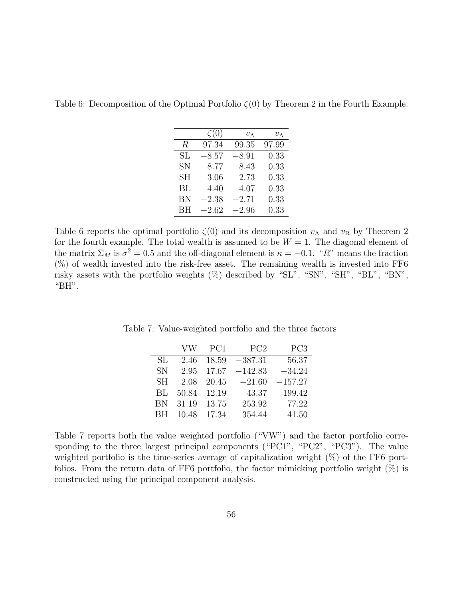Table 6: Decomposition of the Optimal Portfolio *ζ*(0) by Theorem 2 in the Fourth Example.

|           | $\zeta(0)$ | $v_A$   | $v_{\rm A}$ |
|-----------|------------|---------|-------------|
| R         | 97.34      | 99.35   | 97.99       |
| SL        | $-8.57$    | $-8.91$ | 0.33        |
| <b>SN</b> | 8.77       | 8.43    | 0.33        |
| <b>SH</b> | 3.06       | 2.73    | 0.33        |
| BL        | 4.40       | 4.07    | 0.33        |
| BN        | $-2.38$    | $-2.71$ | 0.33        |
| <b>BH</b> | $-2.62$    | $-2.96$ | 0.33        |

Table 6 reports the optimal portfolio  $\zeta(0)$  and its decomposition  $v_A$  and  $v_B$  by Theorem 2 for the fourth example. The total wealth is assumed to be  $W = 1$ . The diagonal element of the matrix  $\Sigma_M$  is  $\sigma^2 = 0.5$  and the off-diagonal element is  $\kappa = -0.1$ . "*R*" means the fraction  $(\%)$  of wealth invested into the risk-free asset. The remaining wealth is invested into FF6 risky assets with the portfolio weights (%) described by "SL", "SN", "SH", "BL", "BN", "BH".

Table 7: Value-weighted portfolio and the three factors

|           | VW    | PC <sub>1</sub> | PC <sub>2</sub> | PC <sub>3</sub> |
|-----------|-------|-----------------|-----------------|-----------------|
| SL.       | 2.46  | 18.59           | $-387.31$       | 56.37           |
| <b>SN</b> | 2.95  | 17.67           | $-142.83$       | $-34.24$        |
| <b>SH</b> | 2.08  | 20.45           | $-21.60$        | $-157.27$       |
| BL        | 50.84 | 12.19           | 43.37           | 199.42          |
| BN        | 31.19 | 13.75           | 253.92          | 77.22           |
| ВH        | 10.48 | 17.34           | 354.44          | $-41.50$        |

Table 7 reports both the value weighted portfolio ("VW") and the factor portfolio corresponding to the three largest principal components ("PC1", "PC2", "PC3"). The value weighted portfolio is the time-series average of capitalization weight (%) of the FF6 portfolios. From the return data of FF6 portfolio, the factor mimicking portfolio weight (%) is constructed using the principal component analysis.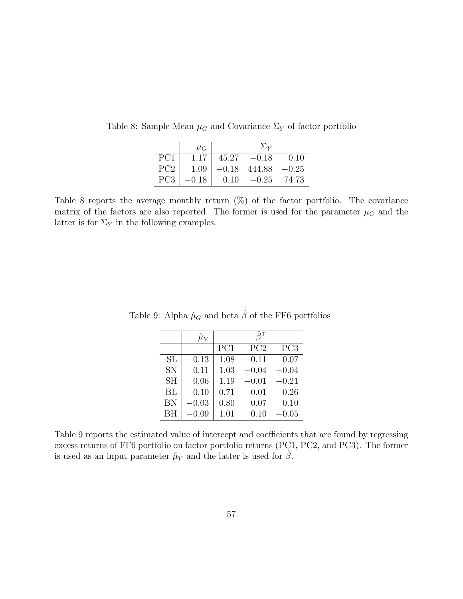|                 | $\mu_G$   |         | $\Sigma_{Y}$ |         |
|-----------------|-----------|---------|--------------|---------|
| PC1             | 1.17      | 45.27   | $-0.18$      | 0.10    |
| PC <sub>2</sub> | 1.09      | $-0.18$ | 444.88       | $-0.25$ |
| PC <sub>3</sub> | $-0.18\,$ | 0.10    | $-0.25$      | 74.73   |

Table 8: Sample Mean  $\mu$ <sup>*G*</sup> and Covariance  $\Sigma$ <sup>*Y*</sup> of factor portfolio

Table 8 reports the average monthly return  $(\%)$  of the factor portfolio. The covariance matrix of the factors are also reported. The former is used for the parameter  $\mu$ <sup>*G*</sup> and the latter is for  $\Sigma_Y$  in the following examples.

|           | $\hat{\mu}_Y$ |      |         |                 |
|-----------|---------------|------|---------|-----------------|
|           |               | PC1  | PC2     | PC <sub>3</sub> |
| SL        | 0.13          | 1.08 | $-0.11$ | 0.07            |
| <b>SN</b> | 0.11          | 1.03 | $-0.04$ | $-0.04$         |
| <b>SH</b> | 0.06          | 1.19 | $-0.01$ | $-0.21$         |
| BL        | 0.10          | 0.71 | 0.01    | 0.26            |
| BN        | $-0.03$       | 0.80 | 0.07    | 0.10            |
| BH        | 0.09          | 1.01 | 0.10    | $0.05\,$        |

Table 9: Alpha $\hat{\mu}_G$  and beta  $\hat{\beta}$  of the FF6 portfolios

Table 9 reports the estimated value of intercept and coefficients that are found by regressing excess returns of FF6 portfolio on factor portfolio returns (PC1, PC2, and PC3). The former is used as an input parameter  $\hat{\mu}_Y$  and the latter is used for  $\hat{\beta}$ .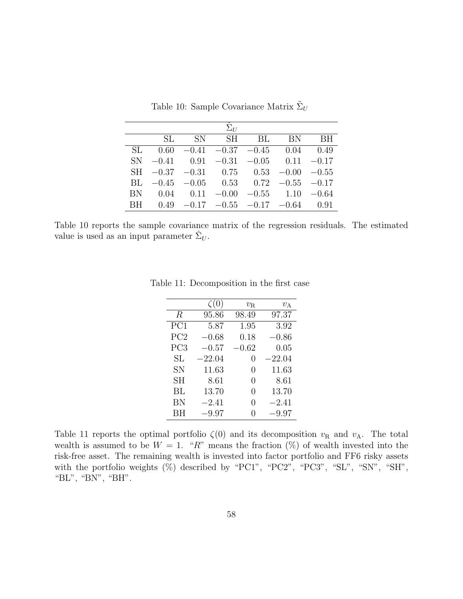|           | SL. |  | SN SH BL BN                                      | BH |
|-----------|-----|--|--------------------------------------------------|----|
| SL.       |     |  | $0.60$ $-0.41$ $-0.37$ $-0.45$ $0.04$ $0.49$     |    |
|           |     |  | SN $-0.41$ $0.91$ $-0.31$ $-0.05$ $0.11$ $-0.17$ |    |
|           |     |  | SH $-0.37$ $-0.31$ 0.75 0.53 $-0.00$ $-0.55$     |    |
| BL.       |     |  | $-0.45$ $-0.05$ $0.53$ $0.72$ $-0.55$ $-0.17$    |    |
|           |     |  | BN $0.04$ $0.11$ $-0.00$ $-0.55$ $1.10$ $-0.64$  |    |
| <b>BH</b> |     |  | $0.49 -0.17 -0.55 -0.17 -0.64$ 0.91              |    |

Table 10: Sample Covariance Matrix  $\tilde{\Sigma}_U$ 

Table 10 reports the sample covariance matrix of the regression residuals. The estimated value is used as an input parameter  $\hat{\Sigma}_U$ .

|                     | $\zeta(0)$ | $v_{\rm R}$      | $v_A$      |
|---------------------|------------|------------------|------------|
| R                   | 95.86      | 98.49            | 97.37      |
| PC1                 | 5.87       | 1.95             | 3.92       |
| PC2                 | $-0.68$    | 0.18             | $-0.86\,$  |
| PC <sub>3</sub>     | $-0.57$    | $-0.62$          | 0.05       |
| $\operatorname{SL}$ | $-22.04$   | $\left( \right)$ | $-22.04\,$ |
| <b>SN</b>           | 11.63      | $\mathbf{0}$     | 11.63      |
| SН                  | 8.61       | $\left( \right)$ | 8.61       |
| ВL                  | 13.70      | $\mathcal{O}$    | 13.70      |
| ΒN                  | $-2.41$    | $\left( \right)$ | $-2.41$    |
| ВH                  | $-9.97$    |                  | $-9.97$    |

Table 11: Decomposition in the first case

Table 11 reports the optimal portfolio  $\zeta(0)$  and its decomposition  $v_R$  and  $v_A$ . The total wealth is assumed to be  $W = 1$ . "R" means the fraction  $(\%)$  of wealth invested into the risk-free asset. The remaining wealth is invested into factor portfolio and FF6 risky assets with the portfolio weights  $(\%)$  described by "PC1", "PC2", "PC3", "SL", "SN", "SH", "BL", "BN", "BH".